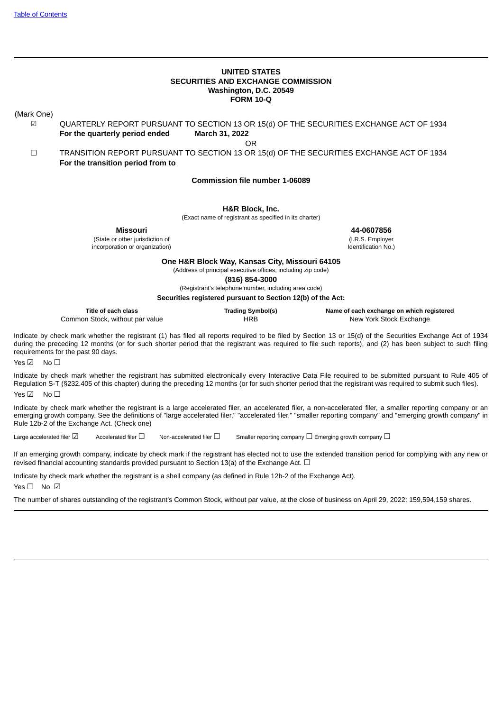## **UNITED STATES SECURITIES AND EXCHANGE COMMISSION Washington, D.C. 20549 FORM 10-Q**

(Mark One)

☑ QUARTERLY REPORT PURSUANT TO SECTION 13 OR 15(d) OF THE SECURITIES EXCHANGE ACT OF 1934 **For the quarterly period ended March 31, 2022**

OR

☐ TRANSITION REPORT PURSUANT TO SECTION 13 OR 15(d) OF THE SECURITIES EXCHANGE ACT OF 1934 **For the transition period from to**

### **Commission file number 1-06089**

#### **H&R Block, Inc.**

(Exact name of registrant as specified in its charter)

**Missouri 44-0607856**

(State or other jurisdiction of  $(1.8.5.$  Employer<br>
incorporation or organization)  $(1.8.5.$  Employer incorporation or organization)

**One H&R Block Way, Kansas City, Missouri 64105**

(Address of principal executive offices, including zip code)

**(816) 854-3000**

(Registrant's telephone number, including area code)

**Securities registered pursuant to Section 12(b) of the Act:**

| Title of each class             | <b>Trading Symbol(s)</b> | Name of each exchange on which registered |
|---------------------------------|--------------------------|-------------------------------------------|
| Common Stock, without par value | HRB                      | New York Stock Exchange                   |

Indicate by check mark whether the registrant (1) has filed all reports required to be filed by Section 13 or 15(d) of the Securities Exchange Act of 1934 during the preceding 12 months (or for such shorter period that the registrant was required to file such reports), and (2) has been subject to such filing requirements for the past 90 days.

Yes ☑ No □

Indicate by check mark whether the registrant has submitted electronically every Interactive Data File required to be submitted pursuant to Rule 405 of Regulation S-T (§232.405 of this chapter) during the preceding 12 months (or for such shorter period that the registrant was required to submit such files). Yes <del><u>の</u> No □</del>

Indicate by check mark whether the registrant is a large accelerated filer, an accelerated filer, a non-accelerated filer, a smaller reporting company or an emerging growth company. See the definitions of "large accelerated filer," "accelerated filer," "smaller reporting company" and "emerging growth company" in Rule 12b-2 of the Exchange Act. (Check one)

Large accelerated filer  $□$  Accelerated filer □ Non-accelerated filer □ Smaller reporting company □ Emerging growth company □

If an emerging growth company, indicate by check mark if the registrant has elected not to use the extended transition period for complying with any new or revised financial accounting standards provided pursuant to Section 13(a) of the Exchange Act.  $\Box$ 

Indicate by check mark whether the registrant is a shell company (as defined in Rule 12b-2 of the Exchange Act).

Yes □ No ☑

<span id="page-0-0"></span>The number of shares outstanding of the registrant's Common Stock, without par value, at the close of business on April 29, 2022: 159,594,159 shares.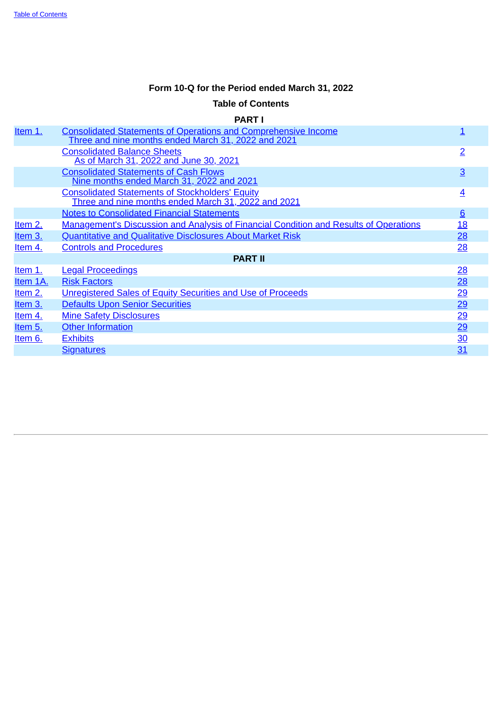# **Form 10-Q for the Period ended March 31, 2022**

# **Table of Contents**

## **[PART I](#page-1-0)**

<span id="page-1-0"></span>

| Item 1.         | <b>Consolidated Statements of Operations and Comprehensive Income</b><br>Three and nine months ended March 31, 2022 and 2021 |                |
|-----------------|------------------------------------------------------------------------------------------------------------------------------|----------------|
|                 | <b>Consolidated Balance Sheets</b><br>As of March 31, 2022 and June 30, 2021                                                 | $\overline{2}$ |
|                 | <b>Consolidated Statements of Cash Flows</b><br>Nine months ended March 31, 2022 and 2021                                    | $\overline{3}$ |
|                 | <b>Consolidated Statements of Stockholders' Equity</b><br>Three and nine months ended March 31, 2022 and 2021                | $\overline{4}$ |
|                 | <b>Notes to Consolidated Financial Statements</b>                                                                            | 6              |
| <u>Item 2.</u>  | Management's Discussion and Analysis of Financial Condition and Results of Operations                                        | <u> 18</u>     |
| Item 3.         | <b>Quantitative and Qualitative Disclosures About Market Risk</b>                                                            | 28             |
| Item 4.         | <b>Controls and Procedures</b>                                                                                               | 28             |
|                 | <b>PART II</b>                                                                                                               |                |
| <u>Item 1.</u>  | <b>Legal Proceedings</b>                                                                                                     | <u>28</u>      |
| <u>Item 1A.</u> | <b>Risk Factors</b>                                                                                                          | 28             |
| Item 2.         | Unregistered Sales of Equity Securities and Use of Proceeds                                                                  | 29             |
| Item 3.         | <b>Defaults Upon Senior Securities</b>                                                                                       | 29             |
| <u>Item 4.</u>  | <b>Mine Safety Disclosures</b>                                                                                               | 29             |
| Item 5.         | <b>Other Information</b>                                                                                                     | 29             |
| Item 6.         | <b>Exhibits</b>                                                                                                              | 30             |
|                 | <b>Signatures</b>                                                                                                            | 31             |
|                 |                                                                                                                              |                |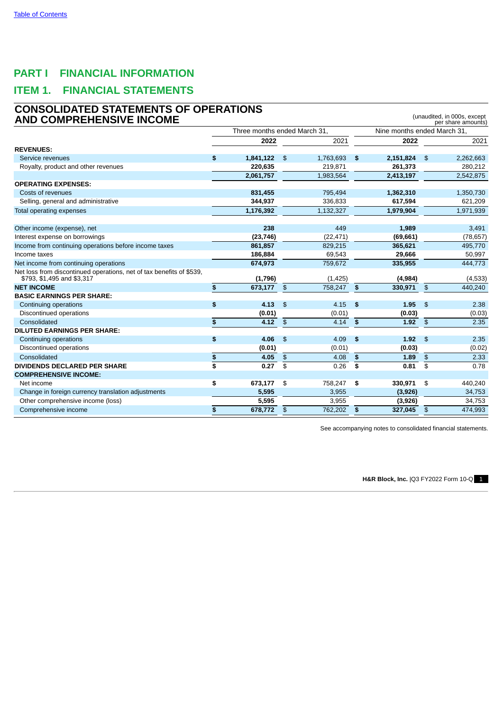# **PART I FINANCIAL INFORMATION**

# <span id="page-2-0"></span>**ITEM 1. FINANCIAL STATEMENTS**

## <span id="page-2-1"></span>**CONSOLIDATED STATEMENTS OF OPERATIONS AND COMPREHENSIVE INCOME**

| <b>AND COMPREHENSIVE INCOME</b>                                                                    |                              |                |           |                             |                | (unaudited, in 000s, except<br>per share amounts) |
|----------------------------------------------------------------------------------------------------|------------------------------|----------------|-----------|-----------------------------|----------------|---------------------------------------------------|
|                                                                                                    | Three months ended March 31. |                |           | Nine months ended March 31, |                |                                                   |
|                                                                                                    | 2022                         |                | 2021      | 2022                        |                | 2021                                              |
| <b>REVENUES:</b>                                                                                   |                              |                |           |                             |                |                                                   |
| Service revenues                                                                                   | \$<br>1,841,122              | $\frac{1}{2}$  | 1,763,693 | \$<br>2,151,824             | \$             | 2,262,663                                         |
| Royalty, product and other revenues                                                                | 220,635                      |                | 219,871   | 261,373                     |                | 280,212                                           |
|                                                                                                    | 2,061,757                    |                | 1,983,564 | 2,413,197                   |                | 2,542,875                                         |
| <b>OPERATING EXPENSES:</b>                                                                         |                              |                |           |                             |                |                                                   |
| Costs of revenues                                                                                  | 831,455                      |                | 795,494   | 1,362,310                   |                | 1,350,730                                         |
| Selling, general and administrative                                                                | 344,937                      |                | 336,833   | 617,594                     |                | 621,209                                           |
| Total operating expenses                                                                           | 1,176,392                    |                | 1,132,327 | 1,979,904                   |                | 1,971,939                                         |
|                                                                                                    |                              |                |           |                             |                |                                                   |
| Other income (expense), net                                                                        | 238                          |                | 449       | 1,989                       |                | 3,491                                             |
| Interest expense on borrowings                                                                     | (23, 746)                    |                | (22, 471) | (69, 661)                   |                | (78, 657)                                         |
| Income from continuing operations before income taxes                                              | 861,857                      |                | 829,215   | 365,621                     |                | 495,770                                           |
| Income taxes                                                                                       | 186,884                      |                | 69,543    | 29,666                      |                | 50,997                                            |
| Net income from continuing operations                                                              | 674,973                      |                | 759,672   | 335,955                     |                | 444,773                                           |
| Net loss from discontinued operations, net of tax benefits of \$539,<br>\$793, \$1,495 and \$3,317 | (1,796)                      |                | (1, 425)  | (4,984)                     |                | (4,533)                                           |
| <b>NET INCOME</b>                                                                                  | \$<br>$673,177$ \$           |                | 758,247   | \$<br>330,971               | $\mathfrak{S}$ | 440,240                                           |
| <b>BASIC EARNINGS PER SHARE:</b>                                                                   |                              |                |           |                             |                |                                                   |
| Continuing operations                                                                              | \$<br>4.13                   | $\mathfrak{S}$ | 4.15      | \$<br>1.95                  | \$             | 2.38                                              |
| Discontinued operations                                                                            | (0.01)                       |                | (0.01)    | (0.03)                      |                | (0.03)                                            |
| Consolidated                                                                                       | \$<br>4.12                   | $\sqrt{2}$     | 4.14      | \$<br>1.92                  | $\frac{1}{2}$  | 2.35                                              |
| <b>DILUTED EARNINGS PER SHARE:</b>                                                                 |                              |                |           |                             |                |                                                   |
| Continuing operations                                                                              | \$<br>4.06                   | $\mathfrak{S}$ | 4.09      | \$<br>1.92                  | $\frac{1}{2}$  | 2.35                                              |
| Discontinued operations                                                                            | (0.01)                       |                | (0.01)    | (0.03)                      |                | (0.02)                                            |
| Consolidated                                                                                       | \$<br>4.05                   | $\frac{2}{3}$  | 4.08      | \$<br>1.89                  | \$             | 2.33                                              |
| <b>DIVIDENDS DECLARED PER SHARE</b>                                                                | \$<br>0.27                   | \$             | 0.26      | \$<br>0.81                  | \$             | 0.78                                              |
| <b>COMPREHENSIVE INCOME:</b>                                                                       |                              |                |           |                             |                |                                                   |
| Net income                                                                                         | \$<br>673,177                | \$             | 758,247   | \$<br>330,971               | -\$            | 440,240                                           |
| Change in foreign currency translation adjustments                                                 | 5,595                        |                | 3,955     | (3,926)                     |                | 34,753                                            |
| Other comprehensive income (loss)                                                                  | 5,595                        |                | 3,955     | (3,926)                     |                | 34,753                                            |
| Comprehensive income                                                                               | \$<br>678,772                | \$             | 762,202   | \$<br>327,045               | $\mathfrak{S}$ | 474,993                                           |

<span id="page-2-2"></span>See accompanying notes to consolidated financial statements.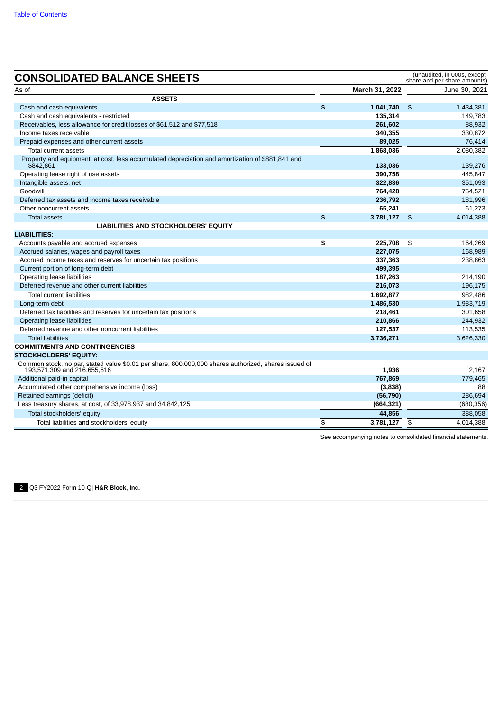| <b>CONSOLIDATED BALANCE SHEETS</b>                                                                                                  |                 | (unaudited, in 000s, except<br>share and per share amounts) |
|-------------------------------------------------------------------------------------------------------------------------------------|-----------------|-------------------------------------------------------------|
| As of                                                                                                                               | March 31, 2022  | June 30, 2021                                               |
| <b>ASSETS</b>                                                                                                                       |                 |                                                             |
| Cash and cash equivalents                                                                                                           | \$<br>1,041,740 | \$<br>1,434,381                                             |
| Cash and cash equivalents - restricted                                                                                              | 135,314         | 149,783                                                     |
| Receivables, less allowance for credit losses of \$61,512 and \$77,518                                                              | 261,602         | 88.932                                                      |
| Income taxes receivable                                                                                                             | 340,355         | 330,872                                                     |
| Prepaid expenses and other current assets                                                                                           | 89,025          | 76,414                                                      |
| Total current assets                                                                                                                | 1,868,036       | 2,080,382                                                   |
| Property and equipment, at cost, less accumulated depreciation and amortization of \$881,841 and<br>\$842,861                       | 133.036         | 139,276                                                     |
| Operating lease right of use assets                                                                                                 | 390.758         | 445.847                                                     |
| Intangible assets, net                                                                                                              | 322,836         | 351,093                                                     |
| Goodwill                                                                                                                            | 764,428         | 754,521                                                     |
| Deferred tax assets and income taxes receivable                                                                                     | 236,792         | 181,996                                                     |
| Other noncurrent assets                                                                                                             | 65,241          | 61,273                                                      |
| <b>Total assets</b>                                                                                                                 | \$<br>3,781,127 | \$<br>4,014,388                                             |
| LIABILITIES AND STOCKHOLDERS' EQUITY                                                                                                |                 |                                                             |
| <b>LIABILITIES:</b>                                                                                                                 |                 |                                                             |
| Accounts payable and accrued expenses                                                                                               | \$<br>225.708   | \$<br>164.269                                               |
| Accrued salaries, wages and payroll taxes                                                                                           | 227,075         | 168,989                                                     |
| Accrued income taxes and reserves for uncertain tax positions                                                                       | 337,363         | 238,863                                                     |
| Current portion of long-term debt                                                                                                   | 499,395         |                                                             |
| Operating lease liabilities                                                                                                         | 187,263         | 214,190                                                     |
| Deferred revenue and other current liabilities                                                                                      | 216,073         | 196,175                                                     |
| <b>Total current liabilities</b>                                                                                                    | 1,692,877       | 982.486                                                     |
| Long-term debt                                                                                                                      | 1,486,530       | 1,983,719                                                   |
| Deferred tax liabilities and reserves for uncertain tax positions                                                                   | 218,461         | 301,658                                                     |
| Operating lease liabilities                                                                                                         | 210,866         | 244,932                                                     |
| Deferred revenue and other noncurrent liabilities                                                                                   | 127,537         | 113,535                                                     |
| <b>Total liabilities</b>                                                                                                            | 3,736,271       | 3,626,330                                                   |
| <b>COMMITMENTS AND CONTINGENCIES</b>                                                                                                |                 |                                                             |
| <b>STOCKHOLDERS' EQUITY:</b>                                                                                                        |                 |                                                             |
| Common stock, no par, stated value \$0.01 per share, 800,000,000 shares authorized, shares issued of<br>193,571,309 and 216,655,616 | 1,936           | 2,167                                                       |
| Additional paid-in capital                                                                                                          | 767,869         | 779,465                                                     |
| Accumulated other comprehensive income (loss)                                                                                       | (3,838)         | 88                                                          |
| Retained earnings (deficit)                                                                                                         | (56, 790)       | 286,694                                                     |
| Less treasury shares, at cost, of 33,978,937 and 34,842,125                                                                         | (664, 321)      | (680, 356)                                                  |
| Total stockholders' equity                                                                                                          | 44.856          | 388.058                                                     |
| Total liabilities and stockholders' equity                                                                                          | \$<br>3.781.127 | \$<br>4,014,388                                             |

<span id="page-3-0"></span>See accompanying notes to consolidated financial statements.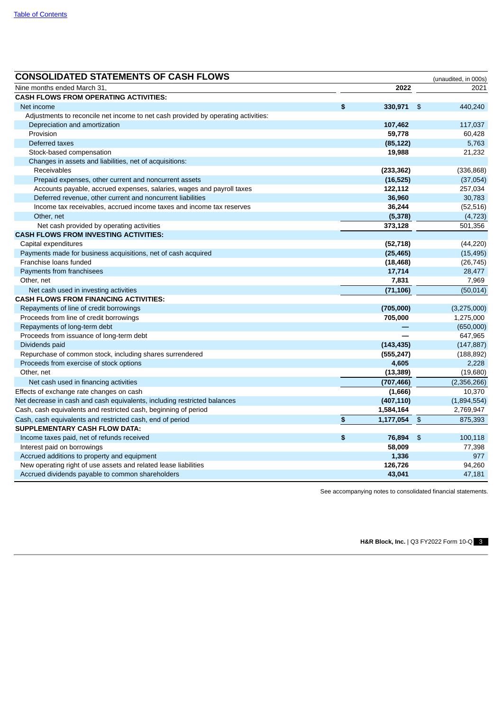| <b>CONSOLIDATED STATEMENTS OF CASH FLOWS</b>                                      |                  |               | (unaudited, in 000s) |
|-----------------------------------------------------------------------------------|------------------|---------------|----------------------|
| Nine months ended March 31.                                                       | 2022             |               | 2021                 |
| <b>CASH FLOWS FROM OPERATING ACTIVITIES:</b>                                      |                  |               |                      |
| Net income                                                                        | \$<br>330,971 \$ |               | 440,240              |
| Adjustments to reconcile net income to net cash provided by operating activities: |                  |               |                      |
| Depreciation and amortization                                                     | 107,462          |               | 117,037              |
| Provision                                                                         | 59,778           |               | 60,428               |
| Deferred taxes                                                                    | (85, 122)        |               | 5,763                |
| Stock-based compensation                                                          | 19,988           |               | 21,232               |
| Changes in assets and liabilities, net of acquisitions:                           |                  |               |                      |
| Receivables                                                                       | (233, 362)       |               | (336, 868)           |
| Prepaid expenses, other current and noncurrent assets                             | (16, 525)        |               | (37,054)             |
| Accounts payable, accrued expenses, salaries, wages and payroll taxes             | 122,112          |               | 257,034              |
| Deferred revenue, other current and noncurrent liabilities                        | 36,960           |               | 30,783               |
| Income tax receivables, accrued income taxes and income tax reserves              | 36,244           |               | (52, 516)            |
| Other, net                                                                        | (5, 378)         |               | (4, 723)             |
| Net cash provided by operating activities                                         | 373,128          |               | 501,356              |
| <b>CASH FLOWS FROM INVESTING ACTIVITIES:</b>                                      |                  |               |                      |
| Capital expenditures                                                              | (52, 718)        |               | (44, 220)            |
| Payments made for business acquisitions, net of cash acquired                     | (25, 465)        |               | (15, 495)            |
| Franchise Ioans funded                                                            | (18, 468)        |               | (26, 745)            |
| Payments from franchisees                                                         | 17,714           |               | 28,477               |
| Other, net                                                                        | 7,831            |               | 7,969                |
| Net cash used in investing activities                                             | (71, 106)        |               | (50, 014)            |
| <b>CASH FLOWS FROM FINANCING ACTIVITIES:</b>                                      |                  |               |                      |
| Repayments of line of credit borrowings                                           | (705,000)        |               | (3,275,000)          |
| Proceeds from line of credit borrowings                                           | 705,000          |               | 1,275,000            |
| Repayments of long-term debt                                                      |                  |               | (650,000)            |
| Proceeds from issuance of long-term debt                                          |                  |               | 647,965              |
| Dividends paid                                                                    | (143, 435)       |               | (147, 887)           |
| Repurchase of common stock, including shares surrendered                          | (555, 247)       |               | (188, 892)           |
| Proceeds from exercise of stock options                                           | 4,605            |               | 2,228                |
| Other, net                                                                        | (13, 389)        |               | (19,680)             |
| Net cash used in financing activities                                             | (707, 466)       |               | (2,356,266)          |
| Effects of exchange rate changes on cash                                          | (1,666)          |               | 10,370               |
| Net decrease in cash and cash equivalents, including restricted balances          | (407, 110)       |               | (1,894,554)          |
| Cash, cash equivalents and restricted cash, beginning of period                   | 1,584,164        |               | 2,769,947            |
| Cash, cash equivalents and restricted cash, end of period                         | \$<br>1,177,054  | $\frac{3}{2}$ | 875,393              |
| <b>SUPPLEMENTARY CASH FLOW DATA:</b>                                              |                  |               |                      |
| Income taxes paid, net of refunds received                                        | \$<br>76,894 \$  |               | 100,118              |
| Interest paid on borrowings                                                       | 58,009           |               | 77,398               |
| Accrued additions to property and equipment                                       | 1,336            |               | 977                  |
| New operating right of use assets and related lease liabilities                   | 126,726          |               | 94,260               |
| Accrued dividends payable to common shareholders                                  | 43,041           |               | 47,181               |

<span id="page-4-0"></span>See accompanying notes to consolidated financial statements.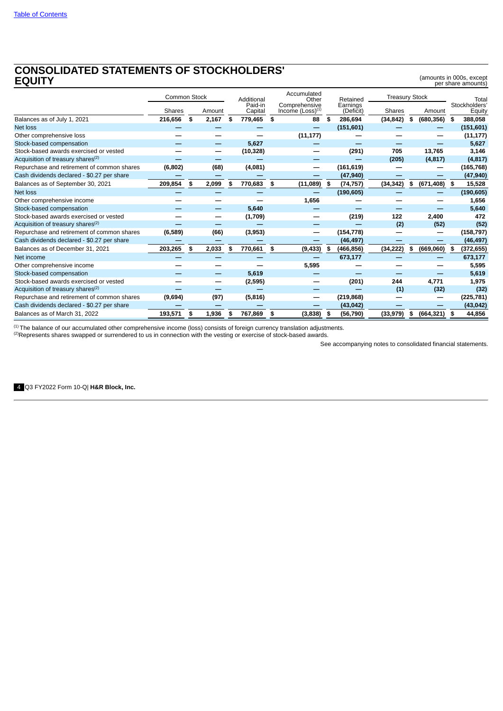# **CONSOLIDATED STATEMENTS OF STOCKHOLDERS' EQUITY**

(amounts in 000s, except per share amounts)

|                                               | <b>Common Stock</b> |             | Additional |                    |    | Accumulated<br>Other                   | Retained              | <b>Treasury Stock</b> |    |            | Total                   |
|-----------------------------------------------|---------------------|-------------|------------|--------------------|----|----------------------------------------|-----------------------|-----------------------|----|------------|-------------------------|
|                                               | <b>Shares</b>       | Amount      |            | Paid-in<br>Capital |    | Comprehensive<br>Income $(Loss)^{(1)}$ | Earnings<br>(Deficit) | <b>Shares</b>         |    | Amount     | Stockholders'<br>Equity |
| Balances as of July 1, 2021                   | 216,656             | \$<br>2,167 | \$         | 779,465 \$         |    | 88                                     | \$<br>286,694         | (34, 842)             | S  | (680, 356) | \$<br>388,058           |
| Net loss                                      |                     |             |            |                    |    |                                        | (151, 601)            |                       |    |            | (151, 601)              |
| Other comprehensive loss                      |                     |             |            |                    |    | (11, 177)                              |                       |                       |    |            | (11, 177)               |
| Stock-based compensation                      |                     |             |            | 5,627              |    |                                        |                       |                       |    |            | 5,627                   |
| Stock-based awards exercised or vested        |                     |             |            | (10, 328)          |    |                                        | (291)                 | 705                   |    | 13,765     | 3,146                   |
| Acquisition of treasury shares <sup>(2)</sup> |                     |             |            |                    |    |                                        |                       | (205)                 |    | (4, 817)   | (4, 817)                |
| Repurchase and retirement of common shares    | (6, 802)            | (68)        |            | (4,081)            |    |                                        | (161, 619)            |                       |    |            | (165, 768)              |
| Cash dividends declared - \$0.27 per share    |                     |             |            |                    |    |                                        | (47, 940)             |                       |    |            | (47, 940)               |
| Balances as of September 30, 2021             | 209,854             | \$<br>2,099 | \$         | 770,683            | \$ | (11,089)                               | \$<br>(74, 757)       | (34, 342)             | \$ | (671, 408) | \$<br>15,528            |
| <b>Net loss</b>                               |                     |             |            |                    |    |                                        | (190, 605)            |                       |    |            | (190, 605)              |
| Other comprehensive income                    |                     |             |            |                    |    | 1,656                                  |                       |                       |    |            | 1,656                   |
| Stock-based compensation                      |                     |             |            | 5,640              |    |                                        |                       |                       |    |            | 5,640                   |
| Stock-based awards exercised or vested        |                     |             |            | (1,709)            |    |                                        | (219)                 | 122                   |    | 2,400      | 472                     |
| Acquisition of treasury shares <sup>(2)</sup> |                     |             |            |                    |    |                                        |                       | (2)                   |    | (52)       | (52)                    |
| Repurchase and retirement of common shares    | (6,589)             | (66)        |            | (3,953)            |    | -                                      | (154, 778)            |                       |    |            | (158, 797)              |
| Cash dividends declared - \$0.27 per share    |                     |             |            |                    |    |                                        | (46, 497)             |                       |    |            | (46, 497)               |
| Balances as of December 31, 2021              | 203,265             | \$<br>2,033 | \$         | 770,661            | \$ | (9, 433)                               | \$<br>(466, 856)      | (34, 222)             | \$ | (669,060)  | \$<br>(372, 655)        |
| Net income                                    |                     |             |            |                    |    |                                        | 673,177               |                       |    |            | 673,177                 |
| Other comprehensive income                    |                     |             |            |                    |    | 5,595                                  |                       |                       |    |            | 5,595                   |
| Stock-based compensation                      |                     |             |            | 5,619              |    |                                        |                       |                       |    |            | 5,619                   |
| Stock-based awards exercised or vested        |                     |             |            | (2,595)            |    |                                        | (201)                 | 244                   |    | 4,771      | 1,975                   |
| Acquisition of treasury shares <sup>(2)</sup> |                     |             |            |                    |    |                                        |                       | (1)                   |    | (32)       | (32)                    |
| Repurchase and retirement of common shares    | (9,694)             | (97)        |            | (5, 816)           |    |                                        | (219, 868)            |                       |    |            | (225, 781)              |
| Cash dividends declared - \$0.27 per share    |                     |             |            |                    |    |                                        | (43, 042)             |                       |    |            | (43, 042)               |
| Balances as of March 31, 2022                 | 193,571             | \$<br>1,936 | \$         | 767,869            | S  | (3,838)                                | \$<br>(56, 790)       | (33,979)              | S  | (664, 321) | \$<br>44,856            |

The balance of our accumulated other comprehensive income (loss) consists of foreign currency translation adjustments. (1) (2)

Represents shares swapped or surrendered to us in connection with the vesting or exercise of stock-based awards.

See accompanying notes to consolidated financial statements.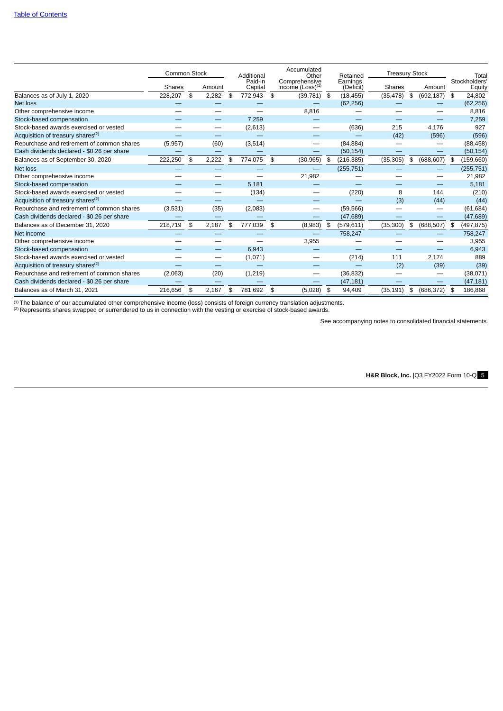|                                               |                     |             |                       | Accumulated            |                      |                       |                  |                        |
|-----------------------------------------------|---------------------|-------------|-----------------------|------------------------|----------------------|-----------------------|------------------|------------------------|
|                                               | <b>Common Stock</b> |             | Additional<br>Paid-in | Other<br>Comprehensive | Retained<br>Earnings | <b>Treasury Stock</b> |                  | Total<br>Stockholders' |
|                                               | Shares              | Amount      | Capital               | Income $(Loss)^{(1)}$  | (Deficit)            | Shares                | Amount           | Equity                 |
| Balances as of July 1, 2020                   | 228,207             | \$<br>2,282 | \$<br>772,943         | \$<br>$(39,781)$ \$    | (18, 455)            | (35, 478)             | \$<br>(692, 187) | \$<br>24,802           |
| <b>Net loss</b>                               |                     |             |                       |                        | (62, 256)            |                       |                  | (62, 256)              |
| Other comprehensive income                    |                     |             |                       | 8,816                  |                      |                       |                  | 8,816                  |
| Stock-based compensation                      |                     |             | 7.259                 |                        |                      |                       |                  | 7,259                  |
| Stock-based awards exercised or vested        |                     | –           | (2,613)               |                        | (636)                | 215                   | 4,176            | 927                    |
| Acquisition of treasury shares <sup>(2)</sup> |                     |             |                       |                        |                      | (42)                  | (596)            | (596)                  |
| Repurchase and retirement of common shares    | (5,957)             | (60)        | (3,514)               |                        | (84, 884)            |                       |                  | (88, 458)              |
| Cash dividends declared - \$0.26 per share    |                     |             |                       |                        | (50, 154)            |                       |                  | (50, 154)              |
| Balances as of September 30, 2020             | 222,250             | \$<br>2,222 | \$<br>774,075         | \$<br>(30, 965)        | \$<br>(216, 385)     | (35, 305)             | \$<br>(688, 607) | \$<br>(159, 660)       |
| <b>Net loss</b>                               |                     |             |                       |                        | (255, 751)           |                       |                  | (255, 751)             |
| Other comprehensive income                    |                     |             |                       | 21,982                 |                      |                       |                  | 21,982                 |
| Stock-based compensation                      |                     | —           | 5,181                 |                        |                      |                       |                  | 5,181                  |
| Stock-based awards exercised or vested        |                     |             | (134)                 |                        | (220)                | 8                     | 144              | (210)                  |
| Acquisition of treasury shares <sup>(2)</sup> |                     |             |                       |                        |                      | (3)                   | (44)             | (44)                   |
| Repurchase and retirement of common shares    | (3,531)             | (35)        | (2,083)               |                        | (59, 566)            |                       |                  | (61, 684)              |
| Cash dividends declared - \$0.26 per share    |                     |             |                       |                        | (47, 689)            |                       |                  | (47, 689)              |
| Balances as of December 31, 2020              | 218,719             | \$<br>2,187 | \$<br>777,039         | \$<br>(8,983)          | \$<br>(579, 611)     | (35, 300)             | \$<br>(688, 507) | \$<br>(497,875)        |
| Net income                                    |                     |             |                       |                        | 758,247              |                       |                  | 758,247                |
| Other comprehensive income                    |                     |             |                       | 3,955                  |                      |                       |                  | 3,955                  |
| Stock-based compensation                      |                     | —           | 6.943                 |                        |                      | –                     | —                | 6.943                  |
| Stock-based awards exercised or vested        |                     |             | (1,071)               |                        | (214)                | 111                   | 2,174            | 889                    |
| Acquisition of treasury shares <sup>(2)</sup> |                     |             |                       |                        |                      | (2)                   | (39)             | (39)                   |
| Repurchase and retirement of common shares    | (2,063)             | (20)        | (1,219)               | —                      | (36, 832)            |                       |                  | (38,071)               |
| Cash dividends declared - \$0.26 per share    |                     |             |                       |                        | (47, 181)            |                       |                  | (47, 181)              |
| Balances as of March 31, 2021                 | 216,656             | \$<br>2,167 | \$<br>781,692         | \$<br>(5,028)          | \$<br>94,409         | (35, 191)             | \$<br>(686, 372) | \$<br>186,868          |

The balance of our accumulated other comprehensive income (loss) consists of foreign currency translation adjustments. (1)

<span id="page-6-0"></span>Represents shares swapped or surrendered to us in connection with the vesting or exercise of stock-based awards. (2)

See accompanying notes to consolidated financial statements.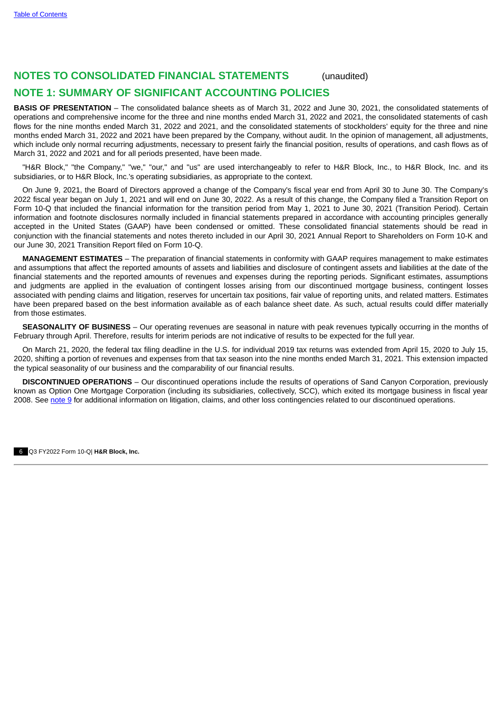## **NOTES TO CONSOLIDATED FINANCIAL STATEMENTS** (unaudited)

# **NOTE 1: SUMMARY OF SIGNIFICANT ACCOUNTING POLICIES**

**BASIS OF PRESENTATION** – The consolidated balance sheets as of March 31, 2022 and June 30, 2021, the consolidated statements of operations and comprehensive income for the three and nine months ended March 31, 2022 and 2021, the consolidated statements of cash flows for the nine months ended March 31, 2022 and 2021, and the consolidated statements of stockholders' equity for the three and nine months ended March 31, 2022 and 2021 have been prepared by the Company, without audit. In the opinion of management, all adjustments, which include only normal recurring adjustments, necessary to present fairly the financial position, results of operations, and cash flows as of March 31, 2022 and 2021 and for all periods presented, have been made.

"H&R Block," "the Company," "we," "our," and "us" are used interchangeably to refer to H&R Block, Inc., to H&R Block, Inc. and its subsidiaries, or to H&R Block, Inc.'s operating subsidiaries, as appropriate to the context.

On June 9, 2021, the Board of Directors approved a change of the Company's fiscal year end from April 30 to June 30. The Company's 2022 fiscal year began on July 1, 2021 and will end on June 30, 2022. As a result of this change, the Company filed a Transition Report on Form 10-Q that included the financial information for the transition period from May 1, 2021 to June 30, 2021 (Transition Period). Certain information and footnote disclosures normally included in financial statements prepared in accordance with accounting principles generally accepted in the United States (GAAP) have been condensed or omitted. These consolidated financial statements should be read in conjunction with the financial statements and notes thereto included in our April 30, 2021 Annual Report to Shareholders on Form 10-K and our June 30, 2021 Transition Report filed on Form 10-Q.

**MANAGEMENT ESTIMATES** – The preparation of financial statements in conformity with GAAP requires management to make estimates and assumptions that affect the reported amounts of assets and liabilities and disclosure of contingent assets and liabilities at the date of the financial statements and the reported amounts of revenues and expenses during the reporting periods. Significant estimates, assumptions and judgments are applied in the evaluation of contingent losses arising from our discontinued mortgage business, contingent losses associated with pending claims and litigation, reserves for uncertain tax positions, fair value of reporting units, and related matters. Estimates have been prepared based on the best information available as of each balance sheet date. As such, actual results could differ materially from those estimates.

**SEASONALITY OF BUSINESS** – Our operating revenues are seasonal in nature with peak revenues typically occurring in the months of February through April. Therefore, results for interim periods are not indicative of results to be expected for the full year.

On March 21, 2020, the federal tax filing deadline in the U.S. for individual 2019 tax returns was extended from April 15, 2020 to July 15, 2020, shifting a portion of revenues and expenses from that tax season into the nine months ended March 31, 2021. This extension impacted the typical seasonality of our business and the comparability of our financial results.

**DISCONTINUED OPERATIONS** – Our discontinued operations include the results of operations of Sand Canyon Corporation, previously known as Option One Mortgage Corporation (including its subsidiaries, collectively, SCC), which exited its mortgage business in fiscal year 2008. See [note](#page-15-0) 9 for additional information on litigation, claims, and other loss contingencies related to our discontinued operations.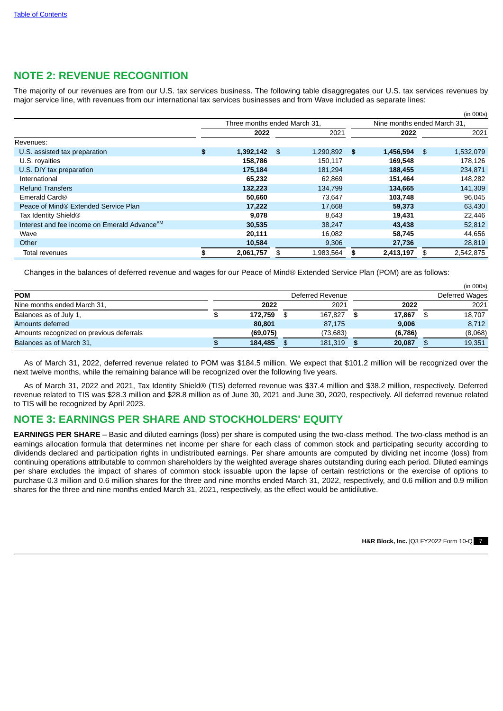# **NOTE 2: REVENUE RECOGNITION**

The majority of our revenues are from our U.S. tax services business. The following table disaggregates our U.S. tax services revenues by major service line, with revenues from our international tax services businesses and from Wave included as separate lines:

|                                                          |                              |                 |                             | (in 000s)       |
|----------------------------------------------------------|------------------------------|-----------------|-----------------------------|-----------------|
|                                                          | Three months ended March 31, |                 | Nine months ended March 31. |                 |
|                                                          | 2022                         | 2021            | 2022                        | 2021            |
| Revenues:                                                |                              |                 |                             |                 |
| U.S. assisted tax preparation                            | \$<br>1,392,142              | \$<br>1,290,892 | \$<br>1,456,594             | \$<br>1,532,079 |
| U.S. royalties                                           | 158,786                      | 150,117         | 169,548                     | 178,126         |
| U.S. DIY tax preparation                                 | 175,184                      | 181,294         | 188,455                     | 234,871         |
| International                                            | 65,232                       | 62,869          | 151,464                     | 148,282         |
| <b>Refund Transfers</b>                                  | 132,223                      | 134,799         | 134,665                     | 141,309         |
| Emerald Card®                                            | 50,660                       | 73,647          | 103,748                     | 96,045          |
| Peace of Mind® Extended Service Plan                     | 17,222                       | 17,668          | 59,373                      | 63,430          |
| Tax Identity Shield <sup>®</sup>                         | 9,078                        | 8,643           | 19,431                      | 22,446          |
| Interest and fee income on Emerald Advance <sup>SM</sup> | 30,535                       | 38,247          | 43,438                      | 52,812          |
| Wave                                                     | 20,111                       | 16,082          | 58,745                      | 44,656          |
| Other                                                    | 10,584                       | 9,306           | 27,736                      | 28,819          |
| Total revenues                                           | 2,061,757                    | \$<br>1,983,564 | \$<br>2,413,197             | 2,542,875       |

Changes in the balances of deferred revenue and wages for our Peace of Mind® Extended Service Plan (POM) are as follows:

|                                          |           |                  |         | (in 000s)      |
|------------------------------------------|-----------|------------------|---------|----------------|
| <b>POM</b>                               |           | Deferred Revenue |         | Deferred Wages |
| Nine months ended March 31,              | 2022      | 2021             | 2022    | 2021           |
| Balances as of July 1,                   | 172,759   | 167.827          | 17,867  | 18,707         |
| Amounts deferred                         | 80,801    | 87.175           | 9,006   | 8,712          |
| Amounts recognized on previous deferrals | (69, 075) | (73,683)         | (6,786) | (8,068)        |
| Balances as of March 31,                 | 184,485   | 181,319          | 20,087  | 19,351         |

As of March 31, 2022, deferred revenue related to POM was \$184.5 million. We expect that \$101.2 million will be recognized over the next twelve months, while the remaining balance will be recognized over the following five years.

As of March 31, 2022 and 2021, Tax Identity Shield® (TIS) deferred revenue was \$37.4 million and \$38.2 million, respectively. Deferred revenue related to TIS was \$28.3 million and \$28.8 million as of June 30, 2021 and June 30, 2020, respectively. All deferred revenue related to TIS will be recognized by April 2023.

# **NOTE 3: EARNINGS PER SHARE AND STOCKHOLDERS' EQUITY**

**EARNINGS PER SHARE** – Basic and diluted earnings (loss) per share is computed using the two-class method. The two-class method is an earnings allocation formula that determines net income per share for each class of common stock and participating security according to dividends declared and participation rights in undistributed earnings. Per share amounts are computed by dividing net income (loss) from continuing operations attributable to common shareholders by the weighted average shares outstanding during each period. Diluted earnings per share excludes the impact of shares of common stock issuable upon the lapse of certain restrictions or the exercise of options to purchase 0.3 million and 0.6 million shares for the three and nine months ended March 31, 2022, respectively, and 0.6 million and 0.9 million shares for the three and nine months ended March 31, 2021, respectively, as the effect would be antidilutive.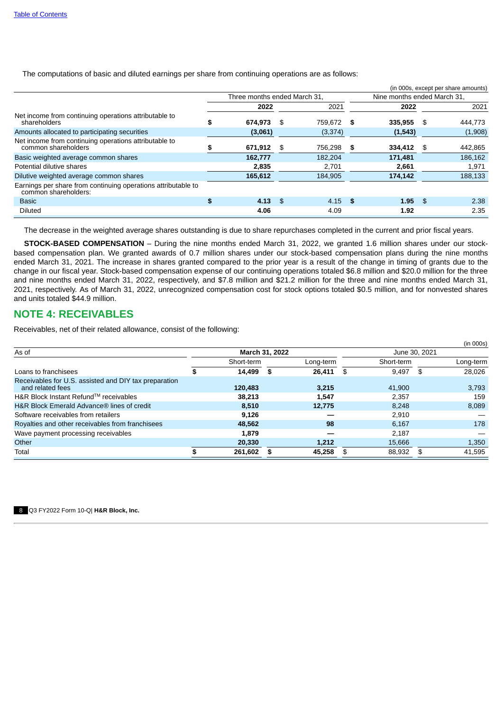The computations of basic and diluted earnings per share from continuing operations are as follows:

|                                                                                       |                              |               |                             |          |      | (in 000s, except per share amounts) |  |
|---------------------------------------------------------------------------------------|------------------------------|---------------|-----------------------------|----------|------|-------------------------------------|--|
|                                                                                       | Three months ended March 31. |               | Nine months ended March 31. |          |      |                                     |  |
|                                                                                       | 2022                         | 2021          |                             | 2022     |      | 2021                                |  |
| Net income from continuing operations attributable to<br>shareholders                 | \$<br>674.973                | \$<br>759.672 | - 5                         | 335,955  | \$   | 444,773                             |  |
| Amounts allocated to participating securities                                         | (3,061)                      | (3,374)       |                             | (1, 543) |      | (1,908)                             |  |
| Net income from continuing operations attributable to<br>common shareholders          | 671,912                      | \$<br>756,298 | S                           | 334,412  | - \$ | 442,865                             |  |
| Basic weighted average common shares                                                  | 162,777                      | 182.204       |                             | 171.481  |      | 186,162                             |  |
| Potential dilutive shares                                                             | 2,835                        | 2.701         |                             | 2,661    |      | 1,971                               |  |
| Dilutive weighted average common shares                                               | 165,612                      | 184,905       |                             | 174,142  |      | 188,133                             |  |
| Earnings per share from continuing operations attributable to<br>common shareholders: |                              |               |                             |          |      |                                     |  |
| <b>Basic</b>                                                                          | \$<br>$4.13$ \$              | $4.15$ \$     |                             | 1.95     | - \$ | 2.38                                |  |
| Diluted                                                                               | 4.06                         | 4.09          |                             | 1.92     |      | 2.35                                |  |
|                                                                                       |                              |               |                             |          |      |                                     |  |

The decrease in the weighted average shares outstanding is due to share repurchases completed in the current and prior fiscal years.

**STOCK-BASED COMPENSATION** – During the nine months ended March 31, 2022, we granted 1.6 million shares under our stockbased compensation plan. We granted awards of 0.7 million shares under our stock-based compensation plans during the nine months ended March 31, 2021. The increase in shares granted compared to the prior year is a result of the change in timing of grants due to the change in our fiscal year. Stock-based compensation expense of our continuing operations totaled \$6.8 million and \$20.0 million for the three and nine months ended March 31, 2022, respectively, and \$7.8 million and \$21.2 million for the three and nine months ended March 31, 2021, respectively. As of March 31, 2022, unrecognized compensation cost for stock options totaled \$0.5 million, and for nonvested shares and units totaled \$44.9 million.

# **NOTE 4: RECEIVABLES**

Receivables, net of their related allowance, consist of the following:

|                                                                           |   |                |   |           |     |               |    | (in 000s) |  |  |
|---------------------------------------------------------------------------|---|----------------|---|-----------|-----|---------------|----|-----------|--|--|
| As of                                                                     |   | March 31, 2022 |   |           |     | June 30, 2021 |    |           |  |  |
|                                                                           |   | Short-term     |   | Long-term |     | Short-term    |    | Long-term |  |  |
| Loans to franchisees                                                      | æ | 14,499         | S | 26,411    | \$  | 9,497         | \$ | 28,026    |  |  |
| Receivables for U.S. assisted and DIY tax preparation<br>and related fees |   | 120,483        |   | 3,215     |     | 41.900        |    | 3,793     |  |  |
| H&R Block Instant Refund™ receivables                                     |   | 38,213         |   | 1,547     |     | 2.357         |    | 159       |  |  |
| H&R Block Emerald Advance® lines of credit                                |   | 8,510          |   | 12,775    |     | 8.248         |    | 8,089     |  |  |
| Software receivables from retailers                                       |   | 9,126          |   |           |     | 2.910         |    |           |  |  |
| Royalties and other receivables from franchisees                          |   | 48.562         |   | 98        |     | 6.167         |    | 178       |  |  |
| Wave payment processing receivables                                       |   | 1,879          |   |           |     | 2.187         |    |           |  |  |
| Other                                                                     |   | 20,330         |   | 1,212     |     | 15,666        |    | 1,350     |  |  |
| Total                                                                     |   | 261.602        |   | 45,258    | \$. | 88,932        | \$ | 41,595    |  |  |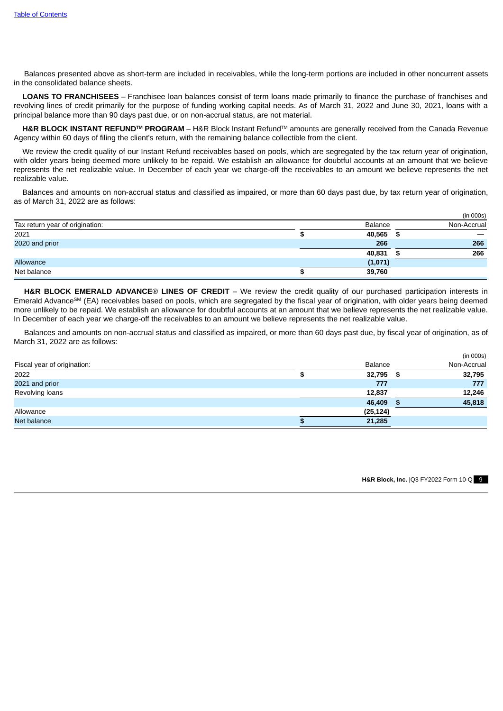Balances presented above as short-term are included in receivables, while the long-term portions are included in other noncurrent assets in the consolidated balance sheets.

**LOANS TO FRANCHISEES** – Franchisee loan balances consist of term loans made primarily to finance the purchase of franchises and revolving lines of credit primarily for the purpose of funding working capital needs. As of March 31, 2022 and June 30, 2021, loans with a principal balance more than 90 days past due, or on non-accrual status, are not material.

H&R BLOCK INSTANT REFUND™ PROGRAM – H&R Block Instant Refund™ amounts are generally received from the Canada Revenue Agency within 60 days of filing the client's return, with the remaining balance collectible from the client.

We review the credit quality of our Instant Refund receivables based on pools, which are segregated by the tax return year of origination, with older years being deemed more unlikely to be repaid. We establish an allowance for doubtful accounts at an amount that we believe represents the net realizable value. In December of each year we charge-off the receivables to an amount we believe represents the net realizable value.

Balances and amounts on non-accrual status and classified as impaired, or more than 60 days past due, by tax return year of origination, as of March 31, 2022 are as follows:

|                                 |         |     | (in 000s)   |
|---------------------------------|---------|-----|-------------|
| Tax return year of origination: | Balance |     | Non-Accrual |
| 2021                            | 40,565  | - 5 | –           |
| 2020 and prior                  | 266     |     | 266         |
|                                 | 40,831  |     | 266         |
| Allowance                       | (1,071) |     |             |
| Net balance                     | 39,760  |     |             |

**H&R BLOCK EMERALD ADVANCE**® **LINES OF CREDIT** – We review the credit quality of our purchased participation interests in Emerald Advance<sup>SM</sup> (EA) receivables based on pools, which are segregated by the fiscal year of origination, with older years being deemed more unlikely to be repaid. We establish an allowance for doubtful accounts at an amount that we believe represents the net realizable value. In December of each year we charge-off the receivables to an amount we believe represents the net realizable value.

Balances and amounts on non-accrual status and classified as impaired, or more than 60 days past due, by fiscal year of origination, as of March 31, 2022 are as follows:

| (in UUUS)   |
|-------------|
| Non-Accrual |
| 32,795      |
| 777         |
| 12,246      |
| 45,818      |
|             |
|             |
|             |

**H&R Block, Inc.** |Q3 FY2022 Form 10-Q 9

 $(1)$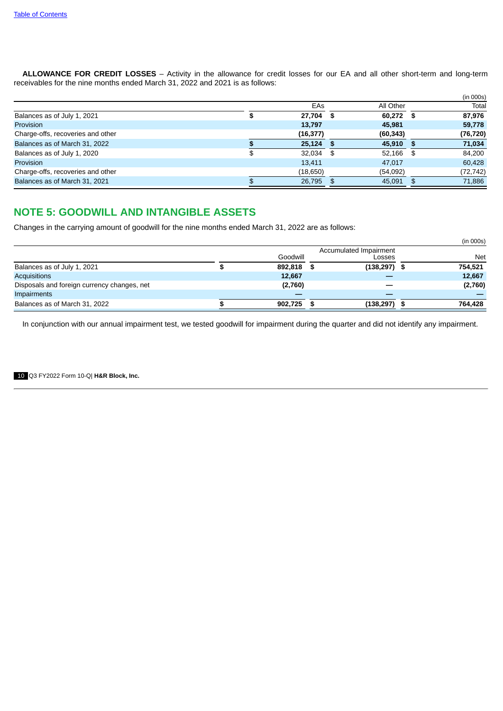**ALLOWANCE FOR CREDIT LOSSES** – Activity in the allowance for credit losses for our EA and all other short-term and long-term receivables for the nine months ended March 31, 2022 and 2021 is as follows:

|                                   |             |      |           | (in 000s)    |
|-----------------------------------|-------------|------|-----------|--------------|
|                                   | EAs         |      | All Other | Total        |
| Balances as of July 1, 2021       | 27,704 \$   |      | 60,272 \$ | 87.976       |
| <b>Provision</b>                  | 13,797      |      | 45,981    | 59,778       |
| Charge-offs, recoveries and other | (16, 377)   |      | (60, 343) | (76, 720)    |
| Balances as of March 31, 2022     | $25,124$ \$ |      | 45,910 \$ | 71,034       |
| Balances as of July 1, 2020       | 32.034      | - \$ | 52,166    | \$<br>84.200 |
| <b>Provision</b>                  | 13,411      |      | 47,017    | 60,428       |
| Charge-offs, recoveries and other | (18,650)    |      | (54,092)  | (72, 742)    |
| Balances as of March 31, 2021     | 26,795 \$   |      | 45,091    | 71,886       |

## <span id="page-11-0"></span>**NOTE 5: GOODWILL AND INTANGIBLE ASSETS**

Changes in the carrying amount of goodwill for the nine months ended March 31, 2022 are as follows:

|                                             |          |   |                                  | (in 000s)  |
|---------------------------------------------|----------|---|----------------------------------|------------|
|                                             | Goodwill |   | Accumulated Impairment<br>Losses | <b>Net</b> |
| Balances as of July 1, 2021                 | 892,818  | S | $(138, 297)$ \$                  | 754,521    |
| <b>Acquisitions</b>                         | 12,667   |   |                                  | 12,667     |
| Disposals and foreign currency changes, net | (2,760)  |   |                                  | (2,760)    |
| <b>Impairments</b>                          |          |   |                                  |            |
| Balances as of March 31, 2022               | 902.725  |   | $(138, 297)$ \$                  | 764,428    |

In conjunction with our annual impairment test, we tested goodwill for impairment during the quarter and did not identify any impairment.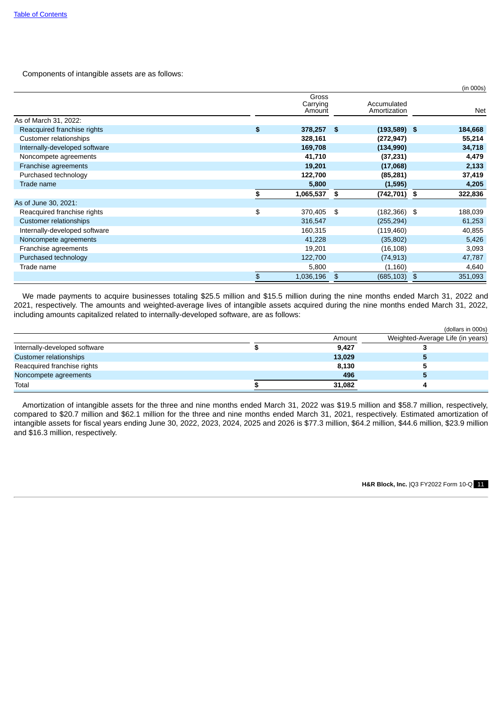Components of intangible assets are as follows:

|                               |                             |                |                             |            | (in 000s)  |
|-------------------------------|-----------------------------|----------------|-----------------------------|------------|------------|
|                               | Gross<br>Carrying<br>Amount |                | Accumulated<br>Amortization |            | <b>Net</b> |
| As of March 31, 2022:         |                             |                |                             |            |            |
| Reacquired franchise rights   | \$<br>378,257               | \$             | $(193,589)$ \$              |            | 184,668    |
| Customer relationships        | 328,161                     |                | (272, 947)                  |            | 55,214     |
| Internally-developed software | 169,708                     |                | (134,990)                   |            | 34,718     |
| Noncompete agreements         | 41,710                      |                | (37, 231)                   |            | 4,479      |
| Franchise agreements          | 19,201                      |                | (17,068)                    |            | 2,133      |
| Purchased technology          | 122,700                     |                | (85, 281)                   |            | 37,419     |
| Trade name                    | 5,800                       |                | (1, 595)                    |            | 4,205      |
|                               | \$<br>1,065,537             | \$             | (742,701) \$                |            | 322,836    |
| As of June 30, 2021:          |                             |                |                             |            |            |
| Reacquired franchise rights   | \$<br>370,405               | \$             | $(182, 366)$ \$             |            | 188,039    |
| <b>Customer relationships</b> | 316,547                     |                | (255, 294)                  |            | 61,253     |
| Internally-developed software | 160,315                     |                | (119, 460)                  |            | 40,855     |
| Noncompete agreements         | 41,228                      |                | (35, 802)                   |            | 5,426      |
| Franchise agreements          | 19,201                      |                | (16, 108)                   |            | 3,093      |
| Purchased technology          | 122,700                     |                | (74, 913)                   |            | 47,787     |
| Trade name                    | 5,800                       |                | (1,160)                     |            | 4,640      |
|                               | \$<br>1,036,196             | $\mathfrak{F}$ | (685, 103)                  | $\sqrt{3}$ | 351,093    |

We made payments to acquire businesses totaling \$25.5 million and \$15.5 million during the nine months ended March 31, 2022 and 2021, respectively. The amounts and weighted-average lives of intangible assets acquired during the nine months ended March 31, 2022, including amounts capitalized related to internally-developed software, are as follows:

|                               |        | (dollars in 000s)                |
|-------------------------------|--------|----------------------------------|
|                               | Amount | Weighted-Average Life (in years) |
| Internally-developed software | 9.427  |                                  |
| <b>Customer relationships</b> | 13,029 |                                  |
| Reacquired franchise rights   | 8,130  |                                  |
| Noncompete agreements         | 496    |                                  |
| Total                         | 31,082 |                                  |
|                               |        |                                  |

Amortization of intangible assets for the three and nine months ended March 31, 2022 was \$19.5 million and \$58.7 million, respectively, compared to \$20.7 million and \$62.1 million for the three and nine months ended March 31, 2021, respectively. Estimated amortization of intangible assets for fiscal years ending June 30, 2022, 2023, 2024, 2025 and 2026 is \$77.3 million, \$64.2 million, \$44.6 million, \$23.9 million and \$16.3 million, respectively.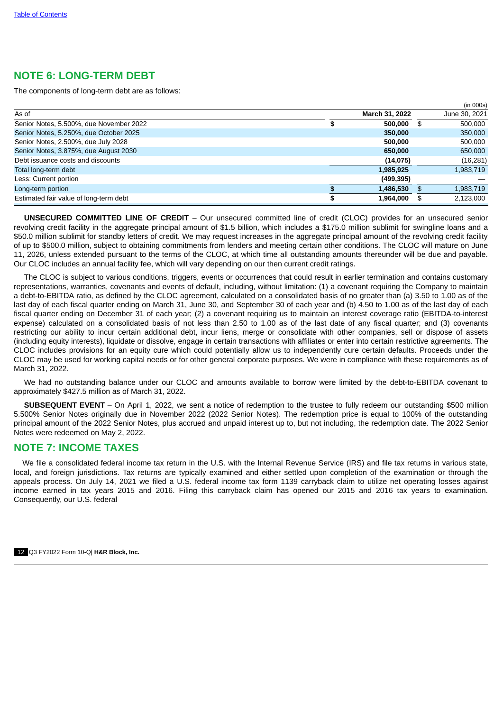# **NOTE 6: LONG-TERM DEBT**

The components of long-term debt are as follows:

|                                         |                   |      | (in 000s)     |
|-----------------------------------------|-------------------|------|---------------|
| As of                                   | March 31, 2022    |      | June 30, 2021 |
| Senior Notes, 5.500%, due November 2022 | $500,000$ \$<br>æ |      | 500,000       |
| Senior Notes, 5.250%, due October 2025  | 350,000           |      | 350,000       |
| Senior Notes, 2.500%, due July 2028     | 500,000           |      | 500,000       |
| Senior Notes, 3.875%, due August 2030   | 650,000           |      | 650,000       |
| Debt issuance costs and discounts       | (14, 075)         |      | (16, 281)     |
| Total long-term debt                    | 1,985,925         |      | 1,983,719     |
| Less: Current portion                   | (499, 395)        |      |               |
| Long-term portion                       | 1,486,530         | - \$ | 1,983,719     |
| Estimated fair value of long-term debt  | 1,964,000<br>S    | - \$ | 2,123,000     |
|                                         |                   |      |               |

**UNSECURED COMMITTED LINE OF CREDIT** – Our unsecured committed line of credit (CLOC) provides for an unsecured senior revolving credit facility in the aggregate principal amount of \$1.5 billion, which includes a \$175.0 million sublimit for swingline loans and a \$50.0 million sublimit for standby letters of credit. We may request increases in the aggregate principal amount of the revolving credit facility of up to \$500.0 million, subject to obtaining commitments from lenders and meeting certain other conditions. The CLOC will mature on June 11, 2026, unless extended pursuant to the terms of the CLOC, at which time all outstanding amounts thereunder will be due and payable. Our CLOC includes an annual facility fee, which will vary depending on our then current credit ratings.

The CLOC is subject to various conditions, triggers, events or occurrences that could result in earlier termination and contains customary representations, warranties, covenants and events of default, including, without limitation: (1) a covenant requiring the Company to maintain a debt-to-EBITDA ratio, as defined by the CLOC agreement, calculated on a consolidated basis of no greater than (a) 3.50 to 1.00 as of the last day of each fiscal quarter ending on March 31, June 30, and September 30 of each year and (b) 4.50 to 1.00 as of the last day of each fiscal quarter ending on December 31 of each year; (2) a covenant requiring us to maintain an interest coverage ratio (EBITDA-to-interest expense) calculated on a consolidated basis of not less than 2.50 to 1.00 as of the last date of any fiscal quarter; and (3) covenants restricting our ability to incur certain additional debt, incur liens, merge or consolidate with other companies, sell or dispose of assets (including equity interests), liquidate or dissolve, engage in certain transactions with affiliates or enter into certain restrictive agreements. The CLOC includes provisions for an equity cure which could potentially allow us to independently cure certain defaults. Proceeds under the CLOC may be used for working capital needs or for other general corporate purposes. We were in compliance with these requirements as of March 31, 2022.

We had no outstanding balance under our CLOC and amounts available to borrow were limited by the debt-to-EBITDA covenant to approximately \$427.5 million as of March 31, 2022.

**SUBSEQUENT EVENT** – On April 1, 2022, we sent a notice of redemption to the trustee to fully redeem our outstanding \$500 million 5.500% Senior Notes originally due in November 2022 (2022 Senior Notes). The redemption price is equal to 100% of the outstanding principal amount of the 2022 Senior Notes, plus accrued and unpaid interest up to, but not including, the redemption date. The 2022 Senior Notes were redeemed on May 2, 2022.

## <span id="page-13-0"></span>**NOTE 7: INCOME TAXES**

We file a consolidated federal income tax return in the U.S. with the Internal Revenue Service (IRS) and file tax returns in various state, local, and foreign jurisdictions. Tax returns are typically examined and either settled upon completion of the examination or through the appeals process. On July 14, 2021 we filed a U.S. federal income tax form 1139 carryback claim to utilize net operating losses against income earned in tax years 2015 and 2016. Filing this carryback claim has opened our 2015 and 2016 tax years to examination. Consequently, our U.S. federal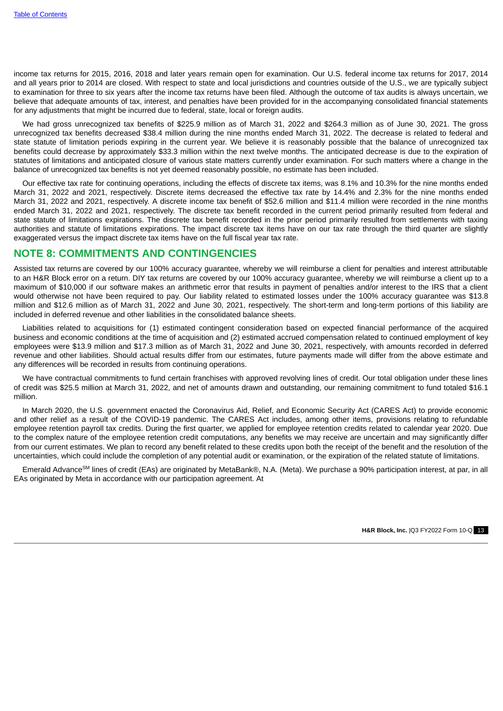income tax returns for 2015, 2016, 2018 and later years remain open for examination. Our U.S. federal income tax returns for 2017, 2014 and all years prior to 2014 are closed. With respect to state and local jurisdictions and countries outside of the U.S., we are typically subject to examination for three to six years after the income tax returns have been filed. Although the outcome of tax audits is always uncertain, we believe that adequate amounts of tax, interest, and penalties have been provided for in the accompanying consolidated financial statements for any adjustments that might be incurred due to federal, state, local or foreign audits.

We had gross unrecognized tax benefits of \$225.9 million as of March 31, 2022 and \$264.3 million as of June 30, 2021. The gross unrecognized tax benefits decreased \$38.4 million during the nine months ended March 31, 2022. The decrease is related to federal and state statute of limitation periods expiring in the current year. We believe it is reasonably possible that the balance of unrecognized tax benefits could decrease by approximately \$33.3 million within the next twelve months. The anticipated decrease is due to the expiration of statutes of limitations and anticipated closure of various state matters currently under examination. For such matters where a change in the balance of unrecognized tax benefits is not yet deemed reasonably possible, no estimate has been included.

Our effective tax rate for continuing operations, including the effects of discrete tax items, was 8.1% and 10.3% for the nine months ended March 31, 2022 and 2021, respectively. Discrete items decreased the effective tax rate by 14.4% and 2.3% for the nine months ended March 31, 2022 and 2021, respectively. A discrete income tax benefit of \$52.6 million and \$11.4 million were recorded in the nine months ended March 31, 2022 and 2021, respectively. The discrete tax benefit recorded in the current period primarily resulted from federal and state statute of limitations expirations. The discrete tax benefit recorded in the prior period primarily resulted from settlements with taxing authorities and statute of limitations expirations. The impact discrete tax items have on our tax rate through the third quarter are slightly exaggerated versus the impact discrete tax items have on the full fiscal year tax rate.

## **NOTE 8: COMMITMENTS AND CONTINGENCIES**

Assisted tax returns are covered by our 100% accuracy guarantee, whereby we will reimburse a client for penalties and interest attributable to an H&R Block error on a return. DIY tax returns are covered by our 100% accuracy guarantee, whereby we will reimburse a client up to a maximum of \$10,000 if our software makes an arithmetic error that results in payment of penalties and/or interest to the IRS that a client would otherwise not have been required to pay. Our liability related to estimated losses under the 100% accuracy guarantee was \$13.8 million and \$12.6 million as of March 31, 2022 and June 30, 2021, respectively. The short-term and long-term portions of this liability are included in deferred revenue and other liabilities in the consolidated balance sheets.

Liabilities related to acquisitions for (1) estimated contingent consideration based on expected financial performance of the acquired business and economic conditions at the time of acquisition and (2) estimated accrued compensation related to continued employment of key employees were \$13.9 million and \$17.3 million as of March 31, 2022 and June 30, 2021, respectively, with amounts recorded in deferred revenue and other liabilities. Should actual results differ from our estimates, future payments made will differ from the above estimate and any differences will be recorded in results from continuing operations.

We have contractual commitments to fund certain franchises with approved revolving lines of credit. Our total obligation under these lines of credit was \$25.5 million at March 31, 2022, and net of amounts drawn and outstanding, our remaining commitment to fund totaled \$16.1 million.

In March 2020, the U.S. government enacted the Coronavirus Aid, Relief, and Economic Security Act (CARES Act) to provide economic and other relief as a result of the COVID-19 pandemic. The CARES Act includes, among other items, provisions relating to refundable employee retention payroll tax credits. During the first quarter, we applied for employee retention credits related to calendar year 2020. Due to the complex nature of the employee retention credit computations, any benefits we may receive are uncertain and may significantly differ from our current estimates. We plan to record any benefit related to these credits upon both the receipt of the benefit and the resolution of the uncertainties, which could include the completion of any potential audit or examination, or the expiration of the related statute of limitations.

Emerald Advance<sup>SM</sup> lines of credit (EAs) are originated by MetaBank®, N.A. (Meta). We purchase a 90% participation interest, at par, in all EAs originated by Meta in accordance with our participation agreement. At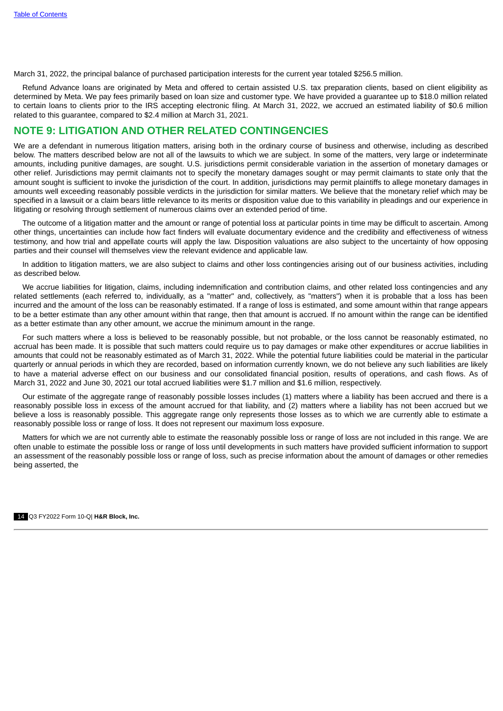March 31, 2022, the principal balance of purchased participation interests for the current year totaled \$256.5 million.

Refund Advance loans are originated by Meta and offered to certain assisted U.S. tax preparation clients, based on client eligibility as determined by Meta. We pay fees primarily based on loan size and customer type. We have provided a guarantee up to \$18.0 million related to certain loans to clients prior to the IRS accepting electronic filing. At March 31, 2022, we accrued an estimated liability of \$0.6 million related to this guarantee, compared to \$2.4 million at March 31, 2021.

## <span id="page-15-0"></span>**NOTE 9: LITIGATION AND OTHER RELATED CONTINGENCIES**

We are a defendant in numerous litigation matters, arising both in the ordinary course of business and otherwise, including as described below. The matters described below are not all of the lawsuits to which we are subject. In some of the matters, very large or indeterminate amounts, including punitive damages, are sought. U.S. jurisdictions permit considerable variation in the assertion of monetary damages or other relief. Jurisdictions may permit claimants not to specify the monetary damages sought or may permit claimants to state only that the amount sought is sufficient to invoke the jurisdiction of the court. In addition, jurisdictions may permit plaintiffs to allege monetary damages in amounts well exceeding reasonably possible verdicts in the jurisdiction for similar matters. We believe that the monetary relief which may be specified in a lawsuit or a claim bears little relevance to its merits or disposition value due to this variability in pleadings and our experience in litigating or resolving through settlement of numerous claims over an extended period of time.

The outcome of a litigation matter and the amount or range of potential loss at particular points in time may be difficult to ascertain. Among other things, uncertainties can include how fact finders will evaluate documentary evidence and the credibility and effectiveness of witness testimony, and how trial and appellate courts will apply the law. Disposition valuations are also subject to the uncertainty of how opposing parties and their counsel will themselves view the relevant evidence and applicable law.

In addition to litigation matters, we are also subject to claims and other loss contingencies arising out of our business activities, including as described below.

We accrue liabilities for litigation, claims, including indemnification and contribution claims, and other related loss contingencies and any related settlements (each referred to, individually, as a "matter" and, collectively, as "matters") when it is probable that a loss has been incurred and the amount of the loss can be reasonably estimated. If a range of loss is estimated, and some amount within that range appears to be a better estimate than any other amount within that range, then that amount is accrued. If no amount within the range can be identified as a better estimate than any other amount, we accrue the minimum amount in the range.

For such matters where a loss is believed to be reasonably possible, but not probable, or the loss cannot be reasonably estimated, no accrual has been made. It is possible that such matters could require us to pay damages or make other expenditures or accrue liabilities in amounts that could not be reasonably estimated as of March 31, 2022. While the potential future liabilities could be material in the particular quarterly or annual periods in which they are recorded, based on information currently known, we do not believe any such liabilities are likely to have a material adverse effect on our business and our consolidated financial position, results of operations, and cash flows. As of March 31, 2022 and June 30, 2021 our total accrued liabilities were \$1.7 million and \$1.6 million, respectively.

Our estimate of the aggregate range of reasonably possible losses includes (1) matters where a liability has been accrued and there is a reasonably possible loss in excess of the amount accrued for that liability, and (2) matters where a liability has not been accrued but we believe a loss is reasonably possible. This aggregate range only represents those losses as to which we are currently able to estimate a reasonably possible loss or range of loss. It does not represent our maximum loss exposure.

Matters for which we are not currently able to estimate the reasonably possible loss or range of loss are not included in this range. We are often unable to estimate the possible loss or range of loss until developments in such matters have provided sufficient information to support an assessment of the reasonably possible loss or range of loss, such as precise information about the amount of damages or other remedies being asserted, the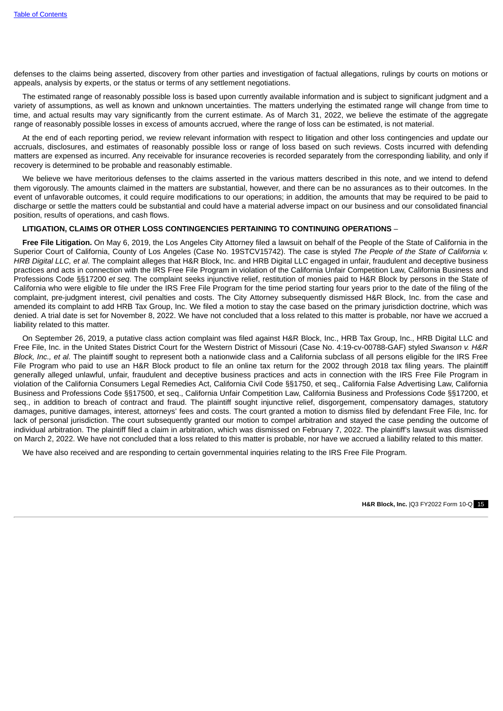defenses to the claims being asserted, discovery from other parties and investigation of factual allegations, rulings by courts on motions or appeals, analysis by experts, or the status or terms of any settlement negotiations.

The estimated range of reasonably possible loss is based upon currently available information and is subject to significant judgment and a variety of assumptions, as well as known and unknown uncertainties. The matters underlying the estimated range will change from time to time, and actual results may vary significantly from the current estimate. As of March 31, 2022, we believe the estimate of the aggregate range of reasonably possible losses in excess of amounts accrued, where the range of loss can be estimated, is not material.

At the end of each reporting period, we review relevant information with respect to litigation and other loss contingencies and update our accruals, disclosures, and estimates of reasonably possible loss or range of loss based on such reviews. Costs incurred with defending matters are expensed as incurred. Any receivable for insurance recoveries is recorded separately from the corresponding liability, and only if recovery is determined to be probable and reasonably estimable.

We believe we have meritorious defenses to the claims asserted in the various matters described in this note, and we intend to defend them vigorously. The amounts claimed in the matters are substantial, however, and there can be no assurances as to their outcomes. In the event of unfavorable outcomes, it could require modifications to our operations; in addition, the amounts that may be required to be paid to discharge or settle the matters could be substantial and could have a material adverse impact on our business and our consolidated financial position, results of operations, and cash flows.

### **LITIGATION, CLAIMS OR OTHER LOSS CONTINGENCIES PERTAINING TO CONTINUING OPERATIONS** –

**Free File Litigation.** On May 6, 2019, the Los Angeles City Attorney filed a lawsuit on behalf of the People of the State of California in the Superior Court of California, County of Los Angeles (Case No. 19STCV15742). The case is styled *The People of the State of California v. HRB Digital LLC, et al*. The complaint alleges that H&R Block, Inc. and HRB Digital LLC engaged in unfair, fraudulent and deceptive business practices and acts in connection with the IRS Free File Program in violation of the California Unfair Competition Law, California Business and Professions Code §§17200 *et seq.* The complaint seeks injunctive relief, restitution of monies paid to H&R Block by persons in the State of California who were eligible to file under the IRS Free File Program for the time period starting four years prior to the date of the filing of the complaint, pre-judgment interest, civil penalties and costs. The City Attorney subsequently dismissed H&R Block, Inc. from the case and amended its complaint to add HRB Tax Group, Inc. We filed a motion to stay the case based on the primary jurisdiction doctrine, which was denied. A trial date is set for November 8, 2022. We have not concluded that a loss related to this matter is probable, nor have we accrued a liability related to this matter.

On September 26, 2019, a putative class action complaint was filed against H&R Block, Inc., HRB Tax Group, Inc., HRB Digital LLC and Free File, Inc. in the United States District Court for the Western District of Missouri (Case No. 4:19-cv-00788-GAF) styled *Swanson v. H&R Block, Inc., et al.* The plaintiff sought to represent both a nationwide class and a California subclass of all persons eligible for the IRS Free File Program who paid to use an H&R Block product to file an online tax return for the 2002 through 2018 tax filing years. The plaintiff generally alleged unlawful, unfair, fraudulent and deceptive business practices and acts in connection with the IRS Free File Program in violation of the California Consumers Legal Remedies Act, California Civil Code §§1750, et seq., California False Advertising Law, California Business and Professions Code §§17500, et seq., California Unfair Competition Law, California Business and Professions Code §§17200, et seq., in addition to breach of contract and fraud. The plaintiff sought injunctive relief, disgorgement, compensatory damages, statutory damages, punitive damages, interest, attorneys' fees and costs. The court granted a motion to dismiss filed by defendant Free File, Inc. for lack of personal jurisdiction. The court subsequently granted our motion to compel arbitration and stayed the case pending the outcome of individual arbitration. The plaintiff filed a claim in arbitration, which was dismissed on February 7, 2022. The plaintiff's lawsuit was dismissed on March 2, 2022. We have not concluded that a loss related to this matter is probable, nor have we accrued a liability related to this matter.

We have also received and are responding to certain governmental inquiries relating to the IRS Free File Program.

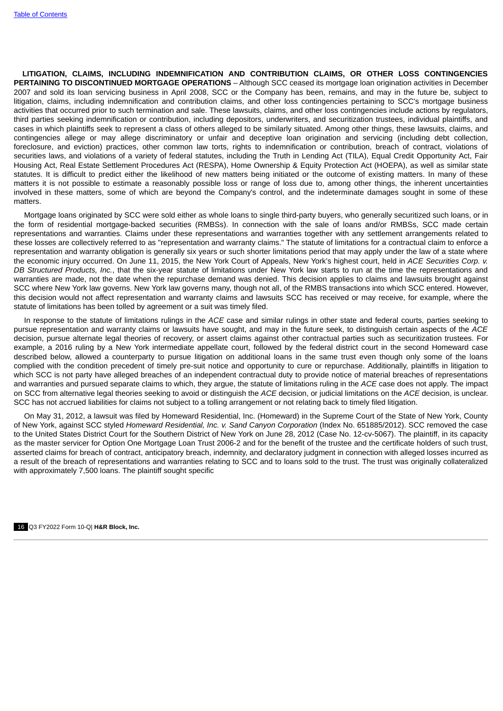**LITIGATION, CLAIMS, INCLUDING INDEMNIFICATION AND CONTRIBUTION CLAIMS, OR OTHER LOSS CONTINGENCIES PERTAINING TO DISCONTINUED MORTGAGE OPERATIONS** – Although SCC ceased its mortgage loan origination activities in December 2007 and sold its loan servicing business in April 2008, SCC or the Company has been, remains, and may in the future be, subject to litigation, claims, including indemnification and contribution claims, and other loss contingencies pertaining to SCC's mortgage business activities that occurred prior to such termination and sale. These lawsuits, claims, and other loss contingencies include actions by regulators, third parties seeking indemnification or contribution, including depositors, underwriters, and securitization trustees, individual plaintiffs, and cases in which plaintiffs seek to represent a class of others alleged to be similarly situated. Among other things, these lawsuits, claims, and contingencies allege or may allege discriminatory or unfair and deceptive loan origination and servicing (including debt collection, foreclosure, and eviction) practices, other common law torts, rights to indemnification or contribution, breach of contract, violations of securities laws, and violations of a variety of federal statutes, including the Truth in Lending Act (TILA), Equal Credit Opportunity Act, Fair Housing Act, Real Estate Settlement Procedures Act (RESPA), Home Ownership & Equity Protection Act (HOEPA), as well as similar state statutes. It is difficult to predict either the likelihood of new matters being initiated or the outcome of existing matters. In many of these matters it is not possible to estimate a reasonably possible loss or range of loss due to, among other things, the inherent uncertainties involved in these matters, some of which are beyond the Company's control, and the indeterminate damages sought in some of these matters.

Mortgage loans originated by SCC were sold either as whole loans to single third-party buyers, who generally securitized such loans, or in the form of residential mortgage-backed securities (RMBSs). In connection with the sale of loans and/or RMBSs, SCC made certain representations and warranties. Claims under these representations and warranties together with any settlement arrangements related to these losses are collectively referred to as "representation and warranty claims." The statute of limitations for a contractual claim to enforce a representation and warranty obligation is generally six years or such shorter limitations period that may apply under the law of a state where the economic injury occurred. On June 11, 2015, the New York Court of Appeals, New York's highest court, held in *ACE Securities Corp. v. DB Structured Products, Inc.*, that the six-year statute of limitations under New York law starts to run at the time the representations and warranties are made, not the date when the repurchase demand was denied. This decision applies to claims and lawsuits brought against SCC where New York law governs. New York law governs many, though not all, of the RMBS transactions into which SCC entered. However, this decision would not affect representation and warranty claims and lawsuits SCC has received or may receive, for example, where the statute of limitations has been tolled by agreement or a suit was timely filed.

In response to the statute of limitations rulings in the *ACE* case and similar rulings in other state and federal courts, parties seeking to pursue representation and warranty claims or lawsuits have sought, and may in the future seek, to distinguish certain aspects of the *ACE* decision, pursue alternate legal theories of recovery, or assert claims against other contractual parties such as securitization trustees. For example, a 2016 ruling by a New York intermediate appellate court, followed by the federal district court in the second Homeward case described below, allowed a counterparty to pursue litigation on additional loans in the same trust even though only some of the loans complied with the condition precedent of timely pre-suit notice and opportunity to cure or repurchase. Additionally, plaintiffs in litigation to which SCC is not party have alleged breaches of an independent contractual duty to provide notice of material breaches of representations and warranties and pursued separate claims to which, they argue, the statute of limitations ruling in the *ACE* case does not apply. The impact on SCC from alternative legal theories seeking to avoid or distinguish the *ACE* decision, or judicial limitations on the *ACE* decision, is unclear. SCC has not accrued liabilities for claims not subject to a tolling arrangement or not relating back to timely filed litigation.

On May 31, 2012, a lawsuit was filed by Homeward Residential, Inc. (Homeward) in the Supreme Court of the State of New York, County of New York, against SCC styled *Homeward Residential, Inc. v. Sand Canyon Corporation* (Index No. 651885/2012). SCC removed the case to the United States District Court for the Southern District of New York on June 28, 2012 (Case No. 12-cv-5067). The plaintiff, in its capacity as the master servicer for Option One Mortgage Loan Trust 2006-2 and for the benefit of the trustee and the certificate holders of such trust, asserted claims for breach of contract, anticipatory breach, indemnity, and declaratory judgment in connection with alleged losses incurred as a result of the breach of representations and warranties relating to SCC and to loans sold to the trust. The trust was originally collateralized with approximately 7,500 loans. The plaintiff sought specific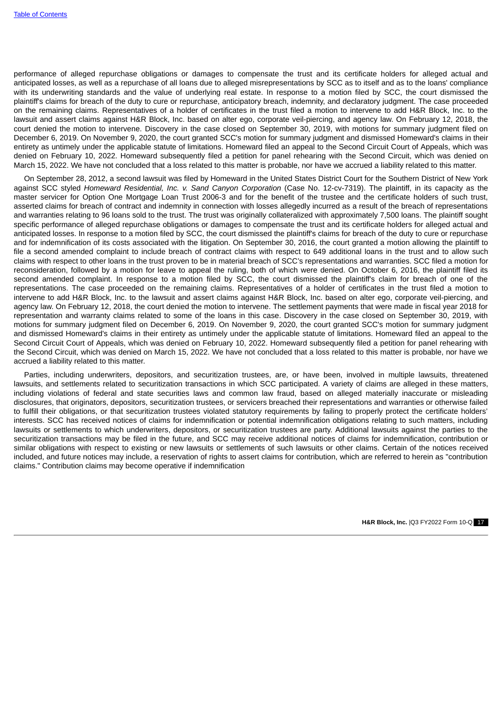performance of alleged repurchase obligations or damages to compensate the trust and its certificate holders for alleged actual and anticipated losses, as well as a repurchase of all loans due to alleged misrepresentations by SCC as to itself and as to the loans' compliance with its underwriting standards and the value of underlying real estate. In response to a motion filed by SCC, the court dismissed the plaintiff's claims for breach of the duty to cure or repurchase, anticipatory breach, indemnity, and declaratory judgment. The case proceeded on the remaining claims. Representatives of a holder of certificates in the trust filed a motion to intervene to add H&R Block, Inc. to the lawsuit and assert claims against H&R Block, Inc. based on alter ego, corporate veil-piercing, and agency law. On February 12, 2018, the court denied the motion to intervene. Discovery in the case closed on September 30, 2019, with motions for summary judgment filed on December 6, 2019. On November 9, 2020, the court granted SCC's motion for summary judgment and dismissed Homeward's claims in their entirety as untimely under the applicable statute of limitations. Homeward filed an appeal to the Second Circuit Court of Appeals, which was denied on February 10, 2022. Homeward subsequently filed a petition for panel rehearing with the Second Circuit, which was denied on March 15, 2022. We have not concluded that a loss related to this matter is probable, nor have we accrued a liability related to this matter.

On September 28, 2012, a second lawsuit was filed by Homeward in the United States District Court for the Southern District of New York against SCC styled *Homeward Residential, Inc. v. Sand Canyon Corporation* (Case No. 12-cv-7319). The plaintiff, in its capacity as the master servicer for Option One Mortgage Loan Trust 2006-3 and for the benefit of the trustee and the certificate holders of such trust, asserted claims for breach of contract and indemnity in connection with losses allegedly incurred as a result of the breach of representations and warranties relating to 96 loans sold to the trust. The trust was originally collateralized with approximately 7,500 loans. The plaintiff sought specific performance of alleged repurchase obligations or damages to compensate the trust and its certificate holders for alleged actual and anticipated losses. In response to a motion filed by SCC, the court dismissed the plaintiff's claims for breach of the duty to cure or repurchase and for indemnification of its costs associated with the litigation. On September 30, 2016, the court granted a motion allowing the plaintiff to file a second amended complaint to include breach of contract claims with respect to 649 additional loans in the trust and to allow such claims with respect to other loans in the trust proven to be in material breach of SCC's representations and warranties. SCC filed a motion for reconsideration, followed by a motion for leave to appeal the ruling, both of which were denied. On October 6, 2016, the plaintiff filed its second amended complaint. In response to a motion filed by SCC, the court dismissed the plaintiff's claim for breach of one of the representations. The case proceeded on the remaining claims. Representatives of a holder of certificates in the trust filed a motion to intervene to add H&R Block, Inc. to the lawsuit and assert claims against H&R Block, Inc. based on alter ego, corporate veil-piercing, and agency law. On February 12, 2018, the court denied the motion to intervene. The settlement payments that were made in fiscal year 2018 for representation and warranty claims related to some of the loans in this case. Discovery in the case closed on September 30, 2019, with motions for summary judgment filed on December 6, 2019. On November 9, 2020, the court granted SCC's motion for summary judgment and dismissed Homeward's claims in their entirety as untimely under the applicable statute of limitations. Homeward filed an appeal to the Second Circuit Court of Appeals, which was denied on February 10, 2022. Homeward subsequently filed a petition for panel rehearing with the Second Circuit, which was denied on March 15, 2022. We have not concluded that a loss related to this matter is probable, nor have we accrued a liability related to this matter.

Parties, including underwriters, depositors, and securitization trustees, are, or have been, involved in multiple lawsuits, threatened lawsuits, and settlements related to securitization transactions in which SCC participated. A variety of claims are alleged in these matters, including violations of federal and state securities laws and common law fraud, based on alleged materially inaccurate or misleading disclosures, that originators, depositors, securitization trustees, or servicers breached their representations and warranties or otherwise failed to fulfill their obligations, or that securitization trustees violated statutory requirements by failing to properly protect the certificate holders' interests. SCC has received notices of claims for indemnification or potential indemnification obligations relating to such matters, including lawsuits or settlements to which underwriters, depositors, or securitization trustees are party. Additional lawsuits against the parties to the securitization transactions may be filed in the future, and SCC may receive additional notices of claims for indemnification, contribution or similar obligations with respect to existing or new lawsuits or settlements of such lawsuits or other claims. Certain of the notices received included, and future notices may include, a reservation of rights to assert claims for contribution, which are referred to herein as "contribution claims." Contribution claims may become operative if indemnification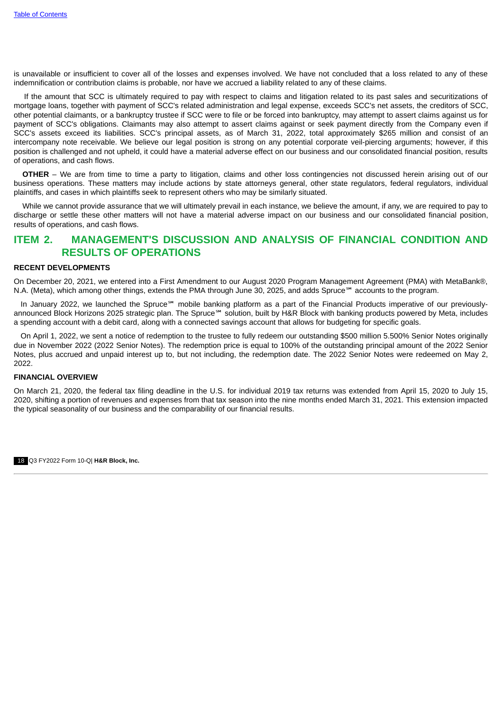is unavailable or insufficient to cover all of the losses and expenses involved. We have not concluded that a loss related to any of these indemnification or contribution claims is probable, nor have we accrued a liability related to any of these claims.

If the amount that SCC is ultimately required to pay with respect to claims and litigation related to its past sales and securitizations of mortgage loans, together with payment of SCC's related administration and legal expense, exceeds SCC's net assets, the creditors of SCC, other potential claimants, or a bankruptcy trustee if SCC were to file or be forced into bankruptcy, may attempt to assert claims against us for payment of SCC's obligations. Claimants may also attempt to assert claims against or seek payment directly from the Company even if SCC's assets exceed its liabilities. SCC's principal assets, as of March 31, 2022, total approximately \$265 million and consist of an intercompany note receivable. We believe our legal position is strong on any potential corporate veil-piercing arguments; however, if this position is challenged and not upheld, it could have a material adverse effect on our business and our consolidated financial position, results of operations, and cash flows.

**OTHER** – We are from time to time a party to litigation, claims and other loss contingencies not discussed herein arising out of our business operations. These matters may include actions by state attorneys general, other state regulators, federal regulators, individual plaintiffs, and cases in which plaintiffs seek to represent others who may be similarly situated.

While we cannot provide assurance that we will ultimately prevail in each instance, we believe the amount, if any, we are required to pay to discharge or settle these other matters will not have a material adverse impact on our business and our consolidated financial position, results of operations, and cash flows.

# <span id="page-19-0"></span>**ITEM 2. MANAGEMENT'S DISCUSSION AND ANALYSIS OF FINANCIAL CONDITION AND RESULTS OF OPERATIONS**

#### **RECENT DEVELOPMENTS**

On December 20, 2021, we entered into a First Amendment to our August 2020 Program Management Agreement (PMA) with MetaBank®, N.A. (Meta), which among other things, extends the PMA through June 30, 2025, and adds Spruce<sup>™</sup> accounts to the program.

In January 2022, we launched the Spruce<sup>™</sup> mobile banking platform as a part of the Financial Products imperative of our previouslyannounced Block Horizons 2025 strategic plan. The Spruce<sup>™</sup> solution, built by H&R Block with banking products powered by Meta, includes a spending account with a debit card, along with a connected savings account that allows for budgeting for specific goals.

On April 1, 2022, we sent a notice of redemption to the trustee to fully redeem our outstanding \$500 million 5.500% Senior Notes originally due in November 2022 (2022 Senior Notes). The redemption price is equal to 100% of the outstanding principal amount of the 2022 Senior Notes, plus accrued and unpaid interest up to, but not including, the redemption date. The 2022 Senior Notes were redeemed on May 2, 2022.

### **FINANCIAL OVERVIEW**

On March 21, 2020, the federal tax filing deadline in the U.S. for individual 2019 tax returns was extended from April 15, 2020 to July 15, 2020, shifting a portion of revenues and expenses from that tax season into the nine months ended March 31, 2021. This extension impacted the typical seasonality of our business and the comparability of our financial results.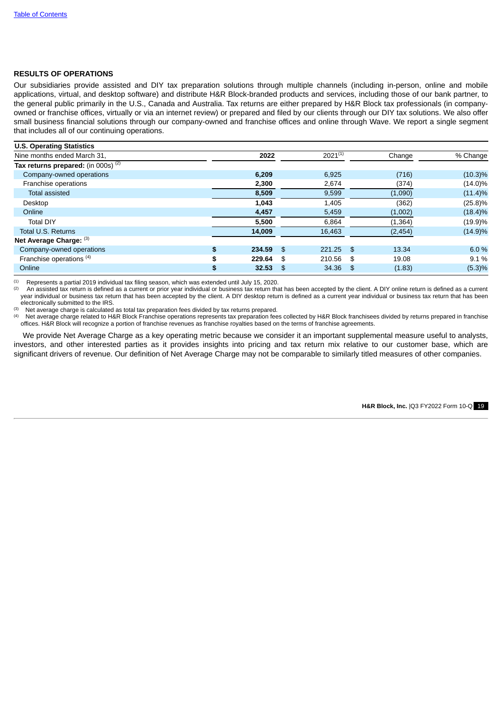#### **RESULTS OF OPERATIONS**

Our subsidiaries provide assisted and DIY tax preparation solutions through multiple channels (including in-person, online and mobile applications, virtual, and desktop software) and distribute H&R Block-branded products and services, including those of our bank partner, to the general public primarily in the U.S., Canada and Australia. Tax returns are either prepared by H&R Block tax professionals (in companyowned or franchise offices, virtually or via an internet review) or prepared and filed by our clients through our DIY tax solutions. We also offer small business financial solutions through our company-owned and franchise offices and online through Wave. We report a single segment that includes all of our continuing operations.

| % Change   |
|------------|
|            |
|            |
| $(10.3)\%$ |
| $(14.0)\%$ |
| $(11.4)\%$ |
| $(25.8)\%$ |
| $(18.4)\%$ |
| $(19.9)\%$ |
| $(14.9)\%$ |
|            |
| 6.0%       |
| 9.1%       |
| (5.3)%     |
|            |

Represents a partial 2019 individual tax filing season, which was extended until July 15, 2020. (1)

An assisted tax return is defined as a current or prior year individual or business tax return that has been accepted by the client. A DIY online return is defined as a current year individual or business tax return that has been accepted by the client. A DIY desktop return is defined as a current year individual or business tax return that has been electronically submitted to the IRS. (2)

Net average charge is calculated as total tax preparation fees divided by tax returns prepared. (3)

Net average charge related to H&R Block Franchise operations represents tax preparation fees collected by H&R Block franchisees divided by returns prepared in franchise offices. H&R Block will recognize a portion of franchise revenues as franchise royalties based on the terms of franchise agreements. (4)

We provide Net Average Charge as a key operating metric because we consider it an important supplemental measure useful to analysts, investors, and other interested parties as it provides insights into pricing and tax return mix relative to our customer base, which are significant drivers of revenue. Our definition of Net Average Charge may not be comparable to similarly titled measures of other companies.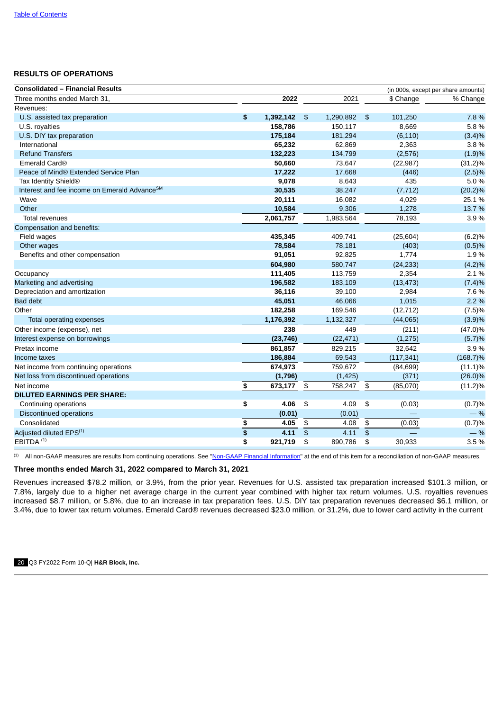#### **RESULTS OF OPERATIONS**

| <b>Consolidated - Financial Results</b>      |                         |           |                  |           |                  |            | (in 000s, except per share amounts) |
|----------------------------------------------|-------------------------|-----------|------------------|-----------|------------------|------------|-------------------------------------|
| Three months ended March 31                  |                         | 2022      |                  | 2021      |                  | \$ Change  | % Change                            |
| Revenues:                                    |                         |           |                  |           |                  |            |                                     |
| U.S. assisted tax preparation                | \$                      | 1,392,142 | $\frac{1}{2}$    | 1,290,892 | $\frac{3}{2}$    | 101,250    | 7.8 %                               |
| U.S. royalties                               |                         | 158,786   |                  | 150,117   |                  | 8,669      | 5.8%                                |
| U.S. DIY tax preparation                     |                         | 175,184   |                  | 181,294   |                  | (6, 110)   | (3.4)%                              |
| International                                |                         | 65,232    |                  | 62,869    |                  | 2,363      | 3.8%                                |
| <b>Refund Transfers</b>                      |                         | 132,223   |                  | 134,799   |                  | (2,576)    | (1.9)%                              |
| Emerald Card®                                |                         | 50,660    |                  | 73,647    |                  | (22, 987)  | $(31.2)\%$                          |
| Peace of Mind® Extended Service Plan         |                         | 17,222    |                  | 17,668    |                  | (446)      | (2.5)%                              |
| Tax Identity Shield®                         |                         | 9,078     |                  | 8,643     |                  | 435        | 5.0%                                |
| Interest and fee income on Emerald AdvanceSM |                         | 30,535    |                  | 38,247    |                  | (7, 712)   | $(20.2)\%$                          |
| Wave                                         |                         | 20,111    |                  | 16,082    |                  | 4,029      | 25.1%                               |
| Other                                        |                         | 10,584    |                  | 9,306     |                  | 1,278      | 13.7%                               |
| <b>Total revenues</b>                        |                         | 2,061,757 |                  | 1,983,564 |                  | 78,193     | 3.9%                                |
| Compensation and benefits:                   |                         |           |                  |           |                  |            |                                     |
| Field wages                                  |                         | 435,345   |                  | 409,741   |                  | (25, 604)  | (6.2)%                              |
| Other wages                                  |                         | 78,584    |                  | 78,181    |                  | (403)      | (0.5)%                              |
| Benefits and other compensation              |                         | 91,051    |                  | 92,825    |                  | 1,774      | 1.9%                                |
|                                              |                         | 604,980   |                  | 580,747   |                  | (24, 233)  | (4.2)%                              |
| Occupancy                                    |                         | 111,405   |                  | 113,759   |                  | 2,354      | 2.1%                                |
| Marketing and advertising                    |                         | 196,582   |                  | 183,109   |                  | (13, 473)  | (7.4)%                              |
| Depreciation and amortization                |                         | 36,116    |                  | 39,100    |                  | 2,984      | 7.6%                                |
| <b>Bad debt</b>                              |                         | 45,051    |                  | 46,066    |                  | 1,015      | 2.2%                                |
| Other                                        |                         | 182,258   |                  | 169,546   |                  | (12, 712)  | (7.5)%                              |
| Total operating expenses                     |                         | 1,176,392 |                  | 1,132,327 |                  | (44,065)   | (3.9)%                              |
| Other income (expense), net                  |                         | 238       |                  | 449       |                  | (211)      | $(47.0)\%$                          |
| Interest expense on borrowings               |                         | (23, 746) |                  | (22, 471) |                  | (1, 275)   | (5.7)%                              |
| Pretax income                                |                         | 861,857   |                  | 829,215   |                  | 32,642     | 3.9%                                |
| Income taxes                                 |                         | 186,884   |                  | 69,543    |                  | (117, 341) | $(168.7)\%$                         |
| Net income from continuing operations        |                         | 674,973   |                  | 759,672   |                  | (84, 699)  | $(11.1)\%$                          |
| Net loss from discontinued operations        |                         | (1,796)   |                  | (1, 425)  |                  | (371)      | $(26.0)\%$                          |
| Net income                                   | \$                      | 673,177   | \$               | 758,247   | \$               | (85,070)   | $(11.2)\%$                          |
| <b>DILUTED EARNINGS PER SHARE:</b>           |                         |           |                  |           |                  |            |                                     |
| Continuing operations                        | \$                      | 4.06      | \$               | 4.09      | \$               | (0.03)     | (0.7)%                              |
| Discontinued operations                      |                         | (0.01)    |                  | (0.01)    |                  |            | $-$ %                               |
| Consolidated                                 | \$                      | 4.05      | \$               | 4.08      | \$               | (0.03)     | (0.7)%                              |
| Adjusted diluted EPS <sup>(1)</sup>          | $\overline{\mathbf{3}}$ | 4.11      | $$\mathfrak{s}$$ | 4.11      | $$\mathfrak{S}$$ |            | $-$ %                               |
| EBITDA <sup>(1)</sup>                        | \$                      | 921,719   | \$               | 890,786   | \$               | 30,933     | 3.5%                                |
|                                              |                         |           |                  |           |                  |            |                                     |

<sup>(1)</sup> All non-GAAP measures are results from continuing operations. See "Non-GAAP Financial [Information"](#page-27-0) at the end of this item for a reconciliation of non-GAAP measures.

## **Three months ended March 31, 2022 compared to March 31, 2021**

Revenues increased \$78.2 million, or 3.9%, from the prior year. Revenues for U.S. assisted tax preparation increased \$101.3 million, or 7.8%, largely due to a higher net average charge in the current year combined with higher tax return volumes. U.S. royalties revenues increased \$8.7 million, or 5.8%, due to an increase in tax preparation fees. U.S. DIY tax preparation revenues decreased \$6.1 million, or 3.4%, due to lower tax return volumes. Emerald Card® revenues decreased \$23.0 million, or 31.2%, due to lower card activity in the current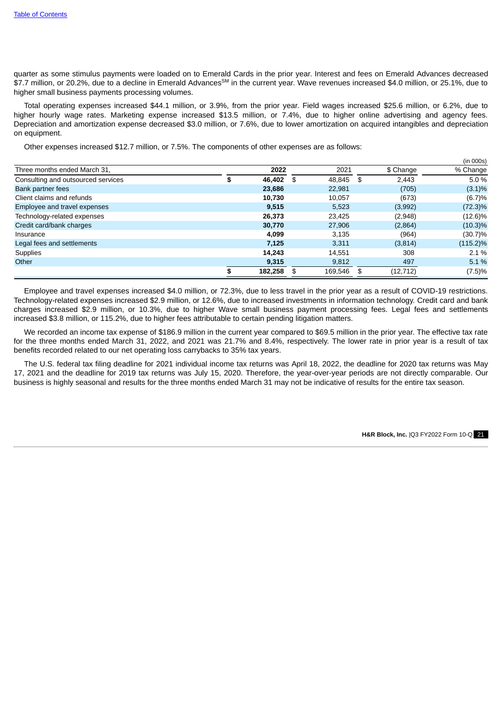quarter as some stimulus payments were loaded on to Emerald Cards in the prior year. Interest and fees on Emerald Advances decreased \$7.7 million, or 20.2%, due to a decline in Emerald Advances<sup>sM</sup> in the current year. Wave revenues increased \$4.0 million, or 25.1%, due to higher small business payments processing volumes.

Total operating expenses increased \$44.1 million, or 3.9%, from the prior year. Field wages increased \$25.6 million, or 6.2%, due to higher hourly wage rates. Marketing expense increased \$13.5 million, or 7.4%, due to higher online advertising and agency fees. Depreciation and amortization expense decreased \$3.0 million, or 7.6%, due to lower amortization on acquired intangibles and depreciation on equipment.

Other expenses increased \$12.7 million, or 7.5%. The components of other expenses are as follows:

|                                    |   |         |               |                 | (in 000s)   |
|------------------------------------|---|---------|---------------|-----------------|-------------|
| Three months ended March 31,       |   | 2022    | 2021          | \$ Change       | % Change    |
| Consulting and outsourced services | S | 46,402  | \$<br>48,845  | \$<br>2,443     | 5.0%        |
| Bank partner fees                  |   | 23,686  | 22,981        | (705)           | $(3.1)\%$   |
| Client claims and refunds          |   | 10,730  | 10,057        | (673)           | (6.7)%      |
| Employee and travel expenses       |   | 9,515   | 5,523         | (3,992)         | $(72.3)\%$  |
| Technology-related expenses        |   | 26,373  | 23,425        | (2,948)         | $(12.6)\%$  |
| Credit card/bank charges           |   | 30,770  | 27,906        | (2,864)         | $(10.3)\%$  |
| Insurance                          |   | 4,099   | 3,135         | (964)           | $(30.7)\%$  |
| Legal fees and settlements         |   | 7,125   | 3,311         | (3,814)         | $(115.2)\%$ |
| Supplies                           |   | 14.243  | 14.551        | 308             | $2.1\%$     |
| Other                              |   | 9,315   | 9,812         | 497             | 5.1 %       |
|                                    |   | 182,258 | \$<br>169.546 | \$<br>(12, 712) | (7.5)%      |

Employee and travel expenses increased \$4.0 million, or 72.3%, due to less travel in the prior year as a result of COVID-19 restrictions. Technology-related expenses increased \$2.9 million, or 12.6%, due to increased investments in information technology. Credit card and bank charges increased \$2.9 million, or 10.3%, due to higher Wave small business payment processing fees. Legal fees and settlements increased \$3.8 million, or 115.2%, due to higher fees attributable to certain pending litigation matters.

We recorded an income tax expense of \$186.9 million in the current year compared to \$69.5 million in the prior year. The effective tax rate for the three months ended March 31, 2022, and 2021 was 21.7% and 8.4%, respectively. The lower rate in prior year is a result of tax benefits recorded related to our net operating loss carrybacks to 35% tax years.

The U.S. federal tax filing deadline for 2021 individual income tax returns was April 18, 2022, the deadline for 2020 tax returns was May 17, 2021 and the deadline for 2019 tax returns was July 15, 2020. Therefore, the year-over-year periods are not directly comparable. Our business is highly seasonal and results for the three months ended March 31 may not be indicative of results for the entire tax season.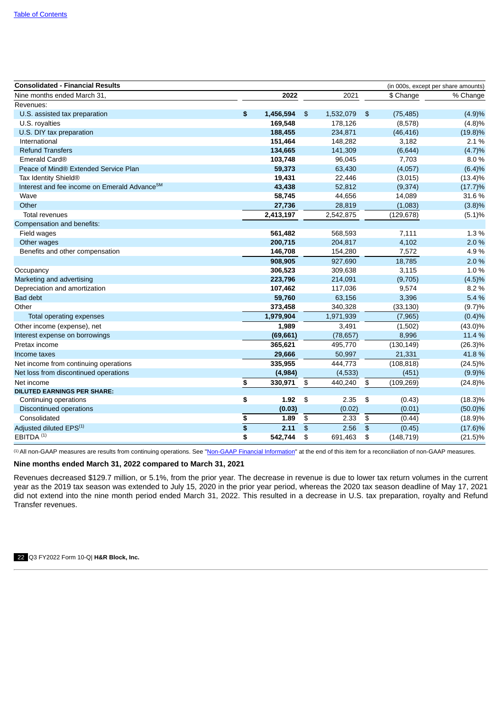| <b>Consolidated - Financial Results</b>      |                         |           |                |           |                |            | (in 000s, except per share amounts) |
|----------------------------------------------|-------------------------|-----------|----------------|-----------|----------------|------------|-------------------------------------|
| Nine months ended March 31,                  |                         | 2022      |                | 2021      |                | \$ Change  | % Change                            |
| Revenues:                                    |                         |           |                |           |                |            |                                     |
| U.S. assisted tax preparation                | \$                      | 1,456,594 | \$             | 1,532,079 | \$             | (75, 485)  | (4.9)%                              |
| U.S. royalties                               |                         | 169,548   |                | 178,126   |                | (8,578)    | (4.8)%                              |
| U.S. DIY tax preparation                     |                         | 188,455   |                | 234,871   |                | (46, 416)  | $(19.8)\%$                          |
| International                                |                         | 151,464   |                | 148,282   |                | 3,182      | 2.1%                                |
| <b>Refund Transfers</b>                      |                         | 134,665   |                | 141,309   |                | (6, 644)   | (4.7)%                              |
| Emerald Card®                                |                         | 103,748   |                | 96,045    |                | 7,703      | 8.0%                                |
| Peace of Mind® Extended Service Plan         |                         | 59,373    |                | 63,430    |                | (4,057)    | (6.4)%                              |
| Tax Identity Shield®                         |                         | 19,431    |                | 22,446    |                | (3,015)    | $(13.4)\%$                          |
| Interest and fee income on Emerald AdvanceSM |                         | 43,438    |                | 52,812    |                | (9, 374)   | (17.7)%                             |
| Wave                                         |                         | 58,745    |                | 44,656    |                | 14,089     | 31.6 %                              |
| Other                                        |                         | 27,736    |                | 28,819    |                | (1,083)    | (3.8)%                              |
| <b>Total revenues</b>                        |                         | 2,413,197 |                | 2,542,875 |                | (129, 678) | (5.1)%                              |
| Compensation and benefits:                   |                         |           |                |           |                |            |                                     |
| Field wages                                  |                         | 561,482   |                | 568,593   |                | 7,111      | 1.3 %                               |
| Other wages                                  |                         | 200,715   |                | 204,817   |                | 4,102      | 2.0 %                               |
| Benefits and other compensation              |                         | 146,708   |                | 154,280   |                | 7,572      | 4.9%                                |
|                                              |                         | 908,905   |                | 927,690   |                | 18,785     | 2.0 %                               |
| Occupancy                                    |                         | 306,523   |                | 309,638   |                | 3,115      | 1.0%                                |
| Marketing and advertising                    |                         | 223,796   |                | 214,091   |                | (9,705)    | (4.5)%                              |
| Depreciation and amortization                |                         | 107,462   |                | 117,036   |                | 9,574      | 8.2%                                |
| <b>Bad debt</b>                              |                         | 59,760    |                | 63,156    |                | 3,396      | 5.4 %                               |
| Other                                        |                         | 373,458   |                | 340,328   |                | (33, 130)  | (9.7)%                              |
| Total operating expenses                     |                         | 1,979,904 |                | 1,971,939 |                | (7, 965)   | (0.4)%                              |
| Other income (expense), net                  |                         | 1,989     |                | 3,491     |                | (1,502)    | $(43.0)\%$                          |
| Interest expense on borrowings               |                         | (69, 661) |                | (78, 657) |                | 8,996      | 11.4 %                              |
| Pretax income                                |                         | 365,621   |                | 495,770   |                | (130, 149) | $(26.3)\%$                          |
| Income taxes                                 |                         | 29,666    |                | 50,997    |                | 21,331     | 41.8%                               |
| Net income from continuing operations        |                         | 335,955   |                | 444,773   |                | (108, 818) | $(24.5)\%$                          |
| Net loss from discontinued operations        |                         | (4,984)   |                | (4, 533)  |                | (451)      | (9.9)%                              |
| Net income                                   | \$                      | 330,971   | \$             | 440,240   | \$             | (109, 269) | $(24.8)\%$                          |
| <b>DILUTED EARNINGS PER SHARE:</b>           |                         |           |                |           |                |            |                                     |
| Continuing operations                        | \$                      | 1.92      | \$             | 2.35      | \$             | (0.43)     | $(18.3)\%$                          |
| Discontinued operations                      |                         | (0.03)    |                | (0.02)    |                | (0.01)     | $(50.0)\%$                          |
| Consolidated                                 | \$                      | 1.89      | \$             | 2.33      | \$             | (0.44)     | $(18.9)\%$                          |
| Adjusted diluted EPS <sup>(1)</sup>          | $\overline{\mathbf{3}}$ | 2.11      | $\mathfrak{D}$ | 2.56      | $\mathfrak{D}$ | (0.45)     | $(17.6)\%$                          |
| EBITDA $(1)$                                 | \$                      | 542,744   | \$             | 691,463   | \$             | (148, 719) | $(21.5)\%$                          |

<sup>(1)</sup> All non-GAAP measures are results from continuing operations. See ["Non-GAAP](#page-27-0) Financial Information" at the end of this item for a reconciliation of non-GAAP measures.

### **Nine months ended March 31, 2022 compared to March 31, 2021**

Revenues decreased \$129.7 million, or 5.1%, from the prior year. The decrease in revenue is due to lower tax return volumes in the current year as the 2019 tax season was extended to July 15, 2020 in the prior year period, whereas the 2020 tax season deadline of May 17, 2021 did not extend into the nine month period ended March 31, 2022. This resulted in a decrease in U.S. tax preparation, royalty and Refund Transfer revenues.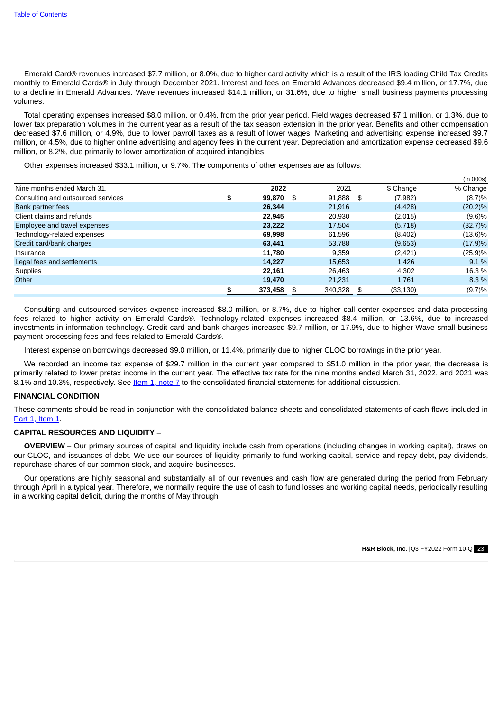Emerald Card® revenues increased \$7.7 million, or 8.0%, due to higher card activity which is a result of the IRS loading Child Tax Credits monthly to Emerald Cards® in July through December 2021. Interest and fees on Emerald Advances decreased \$9.4 million, or 17.7%, due to a decline in Emerald Advances. Wave revenues increased \$14.1 million, or 31.6%, due to higher small business payments processing volumes.

Total operating expenses increased \$8.0 million, or 0.4%, from the prior year period. Field wages decreased \$7.1 million, or 1.3%, due to lower tax preparation volumes in the current year as a result of the tax season extension in the prior year. Benefits and other compensation decreased \$7.6 million, or 4.9%, due to lower payroll taxes as a result of lower wages. Marketing and advertising expense increased \$9.7 million, or 4.5%, due to higher online advertising and agency fees in the current year. Depreciation and amortization expense decreased \$9.6 million, or 8.2%, due primarily to lower amortization of acquired intangibles.

Other expenses increased \$33.1 million, or 9.7%. The components of other expenses are as follows:

|   |         |              |                 | (in 000s)  |
|---|---------|--------------|-----------------|------------|
|   | 2022    | 2021         | \$ Change       | % Change   |
| S |         | \$<br>91,888 | \$<br>(7,982)   | (8.7)%     |
|   | 26,344  | 21,916       | (4, 428)        | $(20.2)\%$ |
|   | 22,945  | 20,930       | (2,015)         | (9.6)%     |
|   | 23,222  | 17,504       | (5,718)         | $(32.7)\%$ |
|   | 69,998  | 61,596       | (8,402)         | $(13.6)\%$ |
|   | 63,441  | 53,788       | (9,653)         | (17.9)%    |
|   | 11.780  | 9,359        | (2,421)         | $(25.9)\%$ |
|   | 14.227  | 15,653       | 1,426           | $9.1\%$    |
|   | 22,161  | 26,463       | 4,302           | 16.3 %     |
|   | 19,470  | 21,231       | 1,761           | 8.3 %      |
|   | 373,458 | 340,328      | \$<br>(33, 130) | (9.7)%     |
|   |         | 99,870       |                 |            |

Consulting and outsourced services expense increased \$8.0 million, or 8.7%, due to higher call center expenses and data processing fees related to higher activity on Emerald Cards®. Technology-related expenses increased \$8.4 million, or 13.6%, due to increased investments in information technology. Credit card and bank charges increased \$9.7 million, or 17.9%, due to higher Wave small business payment processing fees and fees related to Emerald Cards®.

Interest expense on borrowings decreased \$9.0 million, or 11.4%, primarily due to higher CLOC borrowings in the prior year.

We recorded an income tax expense of \$29.7 million in the current year compared to \$51.0 million in the prior year, the decrease is primarily related to lower pretax income in the current year. The effective tax rate for the nine months ended March 31, 2022, and 2021 was 8.1% and 10.3%, respectively. See Item 1, [note](#page-13-0) 7 to the consolidated financial statements for additional discussion.

#### **FINANCIAL CONDITION**

These comments should be read in conjunction with the consolidated balance sheets and consolidated statements of cash flows included in Part 1, [Item](#page-3-0) 1

## **CAPITAL RESOURCES AND LIQUIDITY** –

**OVERVIEW** – Our primary sources of capital and liquidity include cash from operations (including changes in working capital), draws on our CLOC, and issuances of debt. We use our sources of liquidity primarily to fund working capital, service and repay debt, pay dividends, repurchase shares of our common stock, and acquire businesses.

Our operations are highly seasonal and substantially all of our revenues and cash flow are generated during the period from February through April in a typical year. Therefore, we normally require the use of cash to fund losses and working capital needs, periodically resulting in a working capital deficit, during the months of May through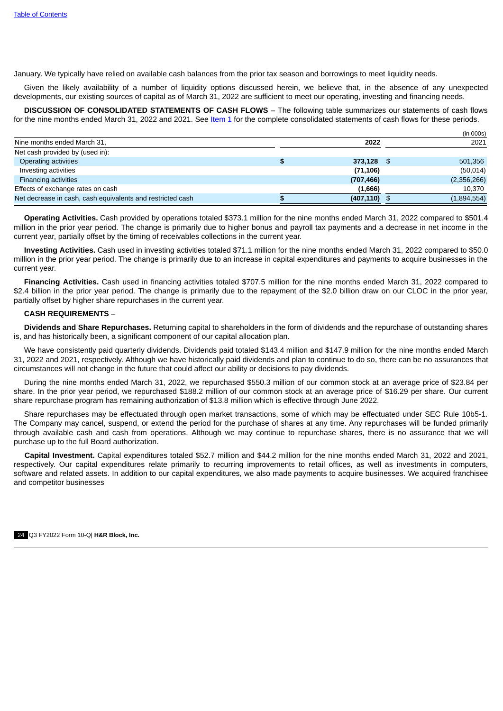January. We typically have relied on available cash balances from the prior tax season and borrowings to meet liquidity needs.

Given the likely availability of a number of liquidity options discussed herein, we believe that, in the absence of any unexpected developments, our existing sources of capital as of March 31, 2022 are sufficient to meet our operating, investing and financing needs.

**DISCUSSION OF CONSOLIDATED STATEMENTS OF CASH FLOWS** – The following table summarizes our statements of cash flows for the nine months ended March 31, 2022 and 2021. See [Item](#page-3-0) 1 for the complete consolidated statements of cash flows for these periods.

|                                                            |            |      | (in 000s)   |
|------------------------------------------------------------|------------|------|-------------|
| Nine months ended March 31,                                | 2022       |      | 2021        |
| Net cash provided by (used in):                            |            |      |             |
| Operating activities                                       | 373,128    | - \$ | 501,356     |
| Investing activities                                       | (71, 106)  |      | (50, 014)   |
| <b>Financing activities</b>                                | (707, 466) |      | (2,356,266) |
| Effects of exchange rates on cash                          | (1,666)    |      | 10,370      |
| Net decrease in cash, cash equivalents and restricted cash | (407, 110) |      | (1,894,554) |

**Operating Activities.** Cash provided by operations totaled \$373.1 million for the nine months ended March 31, 2022 compared to \$501.4 million in the prior year period. The change is primarily due to higher bonus and payroll tax payments and a decrease in net income in the current year, partially offset by the timing of receivables collections in the current year.

**Investing Activities.** Cash used in investing activities totaled \$71.1 million for the nine months ended March 31, 2022 compared to \$50.0 million in the prior year period. The change is primarily due to an increase in capital expenditures and payments to acquire businesses in the current year.

**Financing Activities.** Cash used in financing activities totaled \$707.5 million for the nine months ended March 31, 2022 compared to \$2.4 billion in the prior year period. The change is primarily due to the repayment of the \$2.0 billion draw on our CLOC in the prior year, partially offset by higher share repurchases in the current year.

## **CASH REQUIREMENTS** –

**Dividends and Share Repurchases.** Returning capital to shareholders in the form of dividends and the repurchase of outstanding shares is, and has historically been, a significant component of our capital allocation plan.

We have consistently paid quarterly dividends. Dividends paid totaled \$143.4 million and \$147.9 million for the nine months ended March 31, 2022 and 2021, respectively. Although we have historically paid dividends and plan to continue to do so, there can be no assurances that circumstances will not change in the future that could affect our ability or decisions to pay dividends.

During the nine months ended March 31, 2022, we repurchased \$550.3 million of our common stock at an average price of \$23.84 per share. In the prior year period, we repurchased \$188.2 million of our common stock at an average price of \$16.29 per share. Our current share repurchase program has remaining authorization of \$13.8 million which is effective through June 2022.

Share repurchases may be effectuated through open market transactions, some of which may be effectuated under SEC Rule 10b5-1. The Company may cancel, suspend, or extend the period for the purchase of shares at any time. Any repurchases will be funded primarily through available cash and cash from operations. Although we may continue to repurchase shares, there is no assurance that we will purchase up to the full Board authorization.

**Capital Investment.** Capital expenditures totaled \$52.7 million and \$44.2 million for the nine months ended March 31, 2022 and 2021, respectively. Our capital expenditures relate primarily to recurring improvements to retail offices, as well as investments in computers, software and related assets. In addition to our capital expenditures, we also made payments to acquire businesses. We acquired franchisee and competitor businesses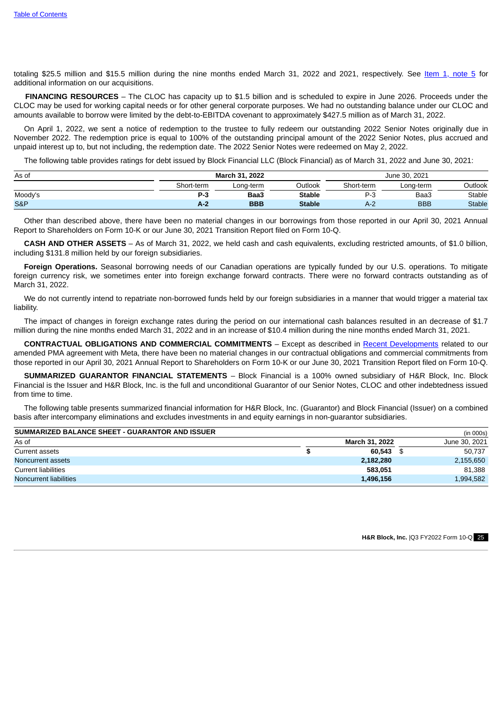totaling \$25.5 million and \$15.5 million during the nine months ended March 31, 2022 and 2021, respectively. See Item 1, [note](#page-11-0) 5 for additional information on our acquisitions.

**FINANCING RESOURCES** – The CLOC has capacity up to \$1.5 billion and is scheduled to expire in June 2026. Proceeds under the CLOC may be used for working capital needs or for other general corporate purposes. We had no outstanding balance under our CLOC and amounts available to borrow were limited by the debt-to-EBITDA covenant to approximately \$427.5 million as of March 31, 2022.

On April 1, 2022, we sent a notice of redemption to the trustee to fully redeem our outstanding 2022 Senior Notes originally due in November 2022. The redemption price is equal to 100% of the outstanding principal amount of the 2022 Senior Notes, plus accrued and unpaid interest up to, but not including, the redemption date. The 2022 Senior Notes were redeemed on May 2, 2022.

The following table provides ratings for debt issued by Block Financial LLC (Block Financial) as of March 31, 2022 and June 30, 2021:

| As of          |            | <b>March 31, 2022</b> |               | June 30, 2021 |            |               |  |  |
|----------------|------------|-----------------------|---------------|---------------|------------|---------------|--|--|
|                | Short-term | Long-term             | Outlook       | Short-term    | Long-term  | Outlook       |  |  |
| Moody's        | $P-3$      | Baa3                  | <b>Stable</b> | P-3           | Baa3       | Stable        |  |  |
| <b>S&amp;P</b> | A-2        | <b>BBB</b>            | <b>Stable</b> | A-2           | <b>BBB</b> | <b>Stable</b> |  |  |

Other than described above, there have been no material changes in our borrowings from those reported in our April 30, 2021 Annual Report to Shareholders on Form 10-K or our June 30, 2021 Transition Report filed on Form 10-Q.

**CASH AND OTHER ASSETS** – As of March 31, 2022, we held cash and cash equivalents, excluding restricted amounts, of \$1.0 billion, including \$131.8 million held by our foreign subsidiaries.

**Foreign Operations.** Seasonal borrowing needs of our Canadian operations are typically funded by our U.S. operations. To mitigate foreign currency risk, we sometimes enter into foreign exchange forward contracts. There were no forward contracts outstanding as of March 31, 2022.

We do not currently intend to repatriate non-borrowed funds held by our foreign subsidiaries in a manner that would trigger a material tax liability.

The impact of changes in foreign exchange rates during the period on our international cash balances resulted in an decrease of \$1.7 million during the nine months ended March 31, 2022 and in an increase of \$10.4 million during the nine months ended March 31, 2021.

**CONTRACTUAL OBLIGATIONS AND COMMERCIAL COMMITMENTS** – Except as described in Recent [Developments](#page-19-0) related to our amended PMA agreement with Meta, there have been no material changes in our contractual obligations and commercial commitments from those reported in our April 30, 2021 Annual Report to Shareholders on Form 10-K or our June 30, 2021 Transition Report filed on Form 10-Q.

**SUMMARIZED GUARANTOR FINANCIAL STATEMENTS** – Block Financial is a 100% owned subsidiary of H&R Block, Inc. Block Financial is the Issuer and H&R Block, Inc. is the full and unconditional Guarantor of our Senior Notes, CLOC and other indebtedness issued from time to time.

The following table presents summarized financial information for H&R Block, Inc. (Guarantor) and Block Financial (Issuer) on a combined basis after intercompany eliminations and excludes investments in and equity earnings in non-guarantor subsidiaries.

| SUMMARIZED BALANCE SHEET - GUARANTOR AND ISSUER | (in 000s)             |               |  |
|-------------------------------------------------|-----------------------|---------------|--|
| As of                                           | <b>March 31, 2022</b> | June 30, 2021 |  |
| Current assets                                  | 60.543                | 50,737        |  |
| Noncurrent assets                               | 2,182,280             | 2,155,650     |  |
| Current liabilities                             | 583.051               | 81.388        |  |
| Noncurrent liabilities                          | 1,496,156             | 1,994,582     |  |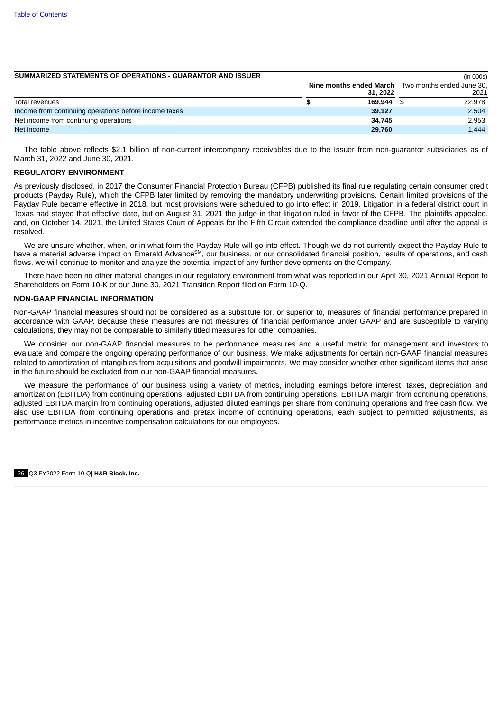#### **SUMMARIZED STATEMENTS OF OPERATIONS - GUARANTOR AND ISSUER** (in 000s)

|                                                       |          | , ,                                                       |
|-------------------------------------------------------|----------|-----------------------------------------------------------|
|                                                       | 31, 2022 | Nine months ended March Two months ended June 30.<br>2021 |
| Total revenues                                        | 169.944  | 22,978                                                    |
| Income from continuing operations before income taxes | 39,127   | 2,504                                                     |
| Net income from continuing operations                 | 34.745   | 2,953                                                     |
| Net income                                            | 29,760   | 1,444                                                     |

The table above reflects \$2.1 billion of non-current intercompany receivables due to the Issuer from non-guarantor subsidiaries as of March 31, 2022 and June 30, 2021.

#### **REGULATORY ENVIRONMENT**

As previously disclosed, in 2017 the Consumer Financial Protection Bureau (CFPB) published its final rule regulating certain consumer credit products (Payday Rule), which the CFPB later limited by removing the mandatory underwriting provisions. Certain limited provisions of the Payday Rule became effective in 2018, but most provisions were scheduled to go into effect in 2019. Litigation in a federal district court in Texas had stayed that effective date, but on August 31, 2021 the judge in that litigation ruled in favor of the CFPB. The plaintiffs appealed, and, on October 14, 2021, the United States Court of Appeals for the Fifth Circuit extended the compliance deadline until after the appeal is resolved.

We are unsure whether, when, or in what form the Payday Rule will go into effect. Though we do not currently expect the Payday Rule to have a material adverse impact on Emerald Advance<sup>sM</sup>, our business, or our consolidated financial position, results of operations, and cash flows, we will continue to monitor and analyze the potential impact of any further developments on the Company.

There have been no other material changes in our regulatory environment from what was reported in our April 30, 2021 Annual Report to Shareholders on Form 10-K or our June 30, 2021 Transition Report filed on Form 10-Q.

#### <span id="page-27-0"></span>**NON-GAAP FINANCIAL INFORMATION**

Non-GAAP financial measures should not be considered as a substitute for, or superior to, measures of financial performance prepared in accordance with GAAP. Because these measures are not measures of financial performance under GAAP and are susceptible to varying calculations, they may not be comparable to similarly titled measures for other companies.

We consider our non-GAAP financial measures to be performance measures and a useful metric for management and investors to evaluate and compare the ongoing operating performance of our business. We make adjustments for certain non-GAAP financial measures related to amortization of intangibles from acquisitions and goodwill impairments. We may consider whether other significant items that arise in the future should be excluded from our non-GAAP financial measures.

We measure the performance of our business using a variety of metrics, including earnings before interest, taxes, depreciation and amortization (EBITDA) from continuing operations, adjusted EBITDA from continuing operations, EBITDA margin from continuing operations, adjusted EBITDA margin from continuing operations, adjusted diluted earnings per share from continuing operations and free cash flow. We also use EBITDA from continuing operations and pretax income of continuing operations, each subject to permitted adjustments, as performance metrics in incentive compensation calculations for our employees.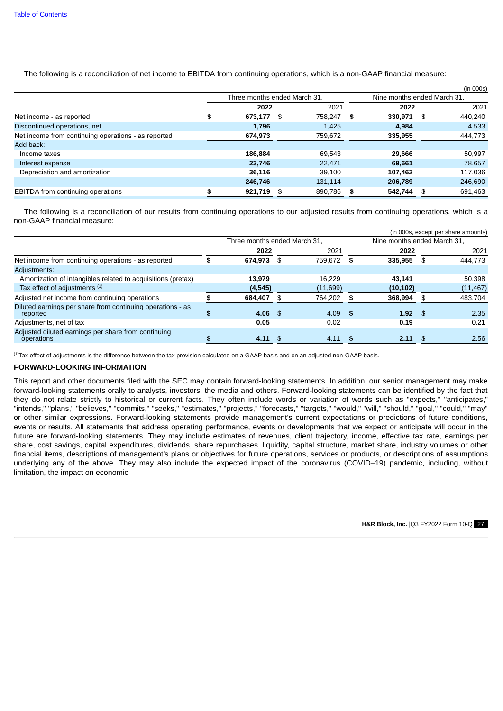The following is a reconciliation of net income to EBITDA from continuing operations, which is a non-GAAP financial measure:

|                                                     |                              |         |      |         |   |                             |    | (in 000s) |  |
|-----------------------------------------------------|------------------------------|---------|------|---------|---|-----------------------------|----|-----------|--|
|                                                     | Three months ended March 31, |         |      |         |   | Nine months ended March 31. |    |           |  |
|                                                     |                              | 2022    |      | 2021    |   | 2022                        |    | 2021      |  |
| Net income - as reported                            | \$                           | 673,177 | - \$ | 758,247 | S | 330.971                     | \$ | 440,240   |  |
| Discontinued operations, net                        |                              | 1,796   |      | 1,425   |   | 4,984                       |    | 4,533     |  |
| Net income from continuing operations - as reported |                              | 674,973 |      | 759,672 |   | 335,955                     |    | 444,773   |  |
| Add back:                                           |                              |         |      |         |   |                             |    |           |  |
| Income taxes                                        |                              | 186,884 |      | 69.543  |   | 29,666                      |    | 50,997    |  |
| Interest expense                                    |                              | 23,746  |      | 22.471  |   | 69,661                      |    | 78,657    |  |
| Depreciation and amortization                       |                              | 36,116  |      | 39,100  |   | 107,462                     |    | 117,036   |  |
|                                                     |                              | 246,746 |      | 131,114 |   | 206,789                     |    | 246,690   |  |
| EBITDA from continuing operations                   |                              | 921,719 | - \$ | 890,786 |   | 542,744                     |    | 691,463   |  |

The following is a reconciliation of our results from continuing operations to our adjusted results from continuing operations, which is a non-GAAP financial measure:

|                                                                        |                              |            |      |          |      |                             |      | (in 000s, except per share amounts) |
|------------------------------------------------------------------------|------------------------------|------------|------|----------|------|-----------------------------|------|-------------------------------------|
|                                                                        | Three months ended March 31, |            |      |          |      | Nine months ended March 31, |      |                                     |
|                                                                        |                              | 2022       |      | 2021     |      | 2022                        |      | 2021                                |
| Net income from continuing operations - as reported                    | æ                            | 674,973 \$ |      | 759,672  | - 5  | 335,955                     | \$   | 444,773                             |
| Adjustments:                                                           |                              |            |      |          |      |                             |      |                                     |
| Amortization of intangibles related to acquisitions (pretax)           |                              | 13.979     |      | 16.229   |      | 43.141                      |      | 50,398                              |
| Tax effect of adjustments (1)                                          |                              | (4, 545)   |      | (11,699) |      | (10, 102)                   |      | (11, 467)                           |
| Adjusted net income from continuing operations                         |                              | 684,407    | - \$ | 764,202  |      | 368,994                     | £.   | 483,704                             |
| Diluted earnings per share from continuing operations - as<br>reported | S                            | $4.06$ \$  |      | 4.09     | - \$ | 1.92                        | - SS | 2.35                                |
| Adjustments, net of tax                                                |                              | 0.05       |      | 0.02     |      | 0.19                        |      | 0.21                                |
| Adjusted diluted earnings per share from continuing<br>operations      |                              | 4.11       | - \$ | 4.11     | S    | 2.11                        | -S   | 2.56                                |

 $^{(1)}$ Tax effect of adjustments is the difference between the tax provision calculated on a GAAP basis and on an adjusted non-GAAP basis.

### **FORWARD-LOOKING INFORMATION**

This report and other documents filed with the SEC may contain forward-looking statements. In addition, our senior management may make forward-looking statements orally to analysts, investors, the media and others. Forward-looking statements can be identified by the fact that they do not relate strictly to historical or current facts. They often include words or variation of words such as "expects," "anticipates," "intends," "plans," "believes," "commits," "seeks," "estimates," "projects," "forecasts," "targets," "would," "will," "should," "goal," "could," "may" or other similar expressions. Forward-looking statements provide management's current expectations or predictions of future conditions, events or results. All statements that address operating performance, events or developments that we expect or anticipate will occur in the future are forward-looking statements. They may include estimates of revenues, client trajectory, income, effective tax rate, earnings per share, cost savings, capital expenditures, dividends, share repurchases, liquidity, capital structure, market share, industry volumes or other financial items, descriptions of management's plans or objectives for future operations, services or products, or descriptions of assumptions underlying any of the above. They may also include the expected impact of the coronavirus (COVID–19) pandemic, including, without limitation, the impact on economic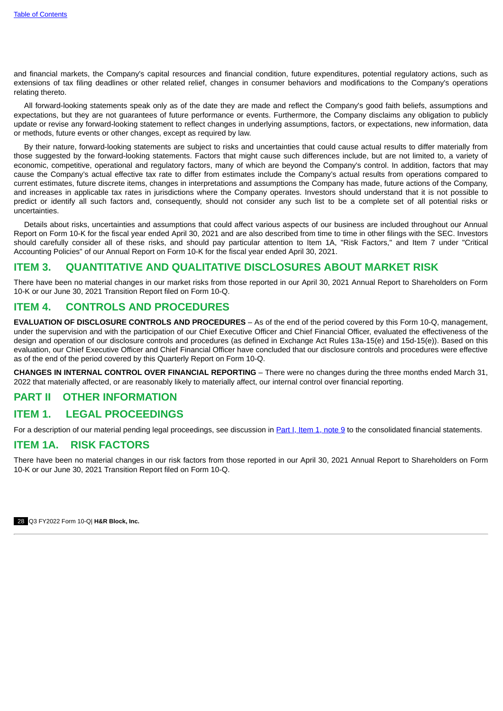and financial markets, the Company's capital resources and financial condition, future expenditures, potential regulatory actions, such as extensions of tax filing deadlines or other related relief, changes in consumer behaviors and modifications to the Company's operations relating thereto.

All forward-looking statements speak only as of the date they are made and reflect the Company's good faith beliefs, assumptions and expectations, but they are not guarantees of future performance or events. Furthermore, the Company disclaims any obligation to publicly update or revise any forward-looking statement to reflect changes in underlying assumptions, factors, or expectations, new information, data or methods, future events or other changes, except as required by law.

By their nature, forward-looking statements are subject to risks and uncertainties that could cause actual results to differ materially from those suggested by the forward-looking statements. Factors that might cause such differences include, but are not limited to, a variety of economic, competitive, operational and regulatory factors, many of which are beyond the Company's control. In addition, factors that may cause the Company's actual effective tax rate to differ from estimates include the Company's actual results from operations compared to current estimates, future discrete items, changes in interpretations and assumptions the Company has made, future actions of the Company, and increases in applicable tax rates in jurisdictions where the Company operates. Investors should understand that it is not possible to predict or identify all such factors and, consequently, should not consider any such list to be a complete set of all potential risks or uncertainties.

Details about risks, uncertainties and assumptions that could affect various aspects of our business are included throughout our Annual Report on Form 10-K for the fiscal year ended April 30, 2021 and are also described from time to time in other filings with the SEC. Investors should carefully consider all of these risks, and should pay particular attention to Item 1A, "Risk Factors," and Item 7 under "Critical Accounting Policies" of our Annual Report on Form 10-K for the fiscal year ended April 30, 2021.

## <span id="page-29-0"></span>**ITEM 3. QUANTITATIVE AND QUALITATIVE DISCLOSURES ABOUT MARKET RISK**

There have been no material changes in our market risks from those reported in our April 30, 2021 Annual Report to Shareholders on Form 10-K or our June 30, 2021 Transition Report filed on Form 10-Q.

## <span id="page-29-1"></span>**ITEM 4. CONTROLS AND PROCEDURES**

**EVALUATION OF DISCLOSURE CONTROLS AND PROCEDURES** – As of the end of the period covered by this Form 10-Q, management, under the supervision and with the participation of our Chief Executive Officer and Chief Financial Officer, evaluated the effectiveness of the design and operation of our disclosure controls and procedures (as defined in Exchange Act Rules 13a-15(e) and 15d-15(e)). Based on this evaluation, our Chief Executive Officer and Chief Financial Officer have concluded that our disclosure controls and procedures were effective as of the end of the period covered by this Quarterly Report on Form 10-Q.

**CHANGES IN INTERNAL CONTROL OVER FINANCIAL REPORTING** – There were no changes during the three months ended March 31, 2022 that materially affected, or are reasonably likely to materially affect, our internal control over financial reporting.

## <span id="page-29-2"></span>**PART II OTHER INFORMATION**

## <span id="page-29-3"></span>**ITEM 1. LEGAL PROCEEDINGS**

For a description of our material pending legal proceedings, see discussion in Part I, Item 1, [note](#page-15-0) 9 to the consolidated financial statements.

## <span id="page-29-4"></span>**ITEM 1A. RISK FACTORS**

<span id="page-29-5"></span>There have been no material changes in our risk factors from those reported in our April 30, 2021 Annual Report to Shareholders on Form 10-K or our June 30, 2021 Transition Report filed on Form 10-Q.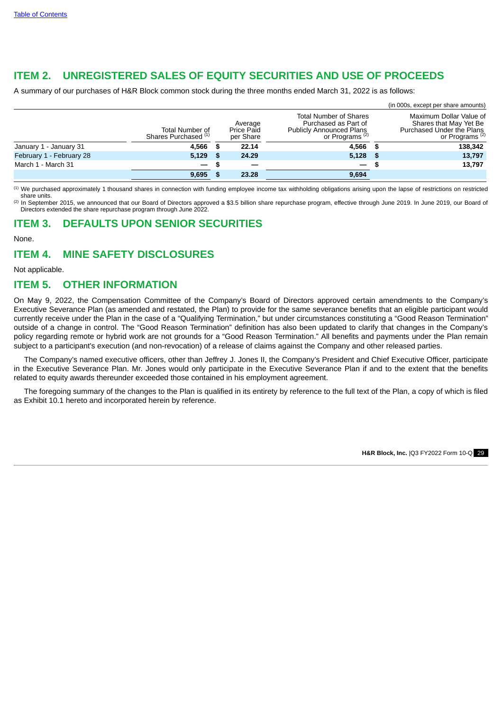# **ITEM 2. UNREGISTERED SALES OF EQUITY SECURITIES AND USE OF PROCEEDS**

A summary of our purchases of H&R Block common stock during the three months ended March 31, 2022 is as follows:

|                          |                                                    |          |                                    |                                                                                                                        |      | (in 000s, except per share amounts)                                                                          |
|--------------------------|----------------------------------------------------|----------|------------------------------------|------------------------------------------------------------------------------------------------------------------------|------|--------------------------------------------------------------------------------------------------------------|
|                          | Total Number of<br>Shares Purchased <sup>(1)</sup> |          | Average<br>Price Paid<br>per Share | <b>Total Number of Shares</b><br>Purchased as Part of<br><b>Publicly Announced Plans</b><br>or Programs <sup>(2)</sup> |      | Maximum Dollar Value of<br>Shares that May Yet Be<br>Purchased Under the Plans<br>or Programs <sup>(2)</sup> |
| January 1 - January 31   | 4,566                                              | - 55     | 22.14                              | 4.566                                                                                                                  | - 56 | 138,342                                                                                                      |
| February 1 - February 28 | 5,129                                              | <b>S</b> | 24.29                              | 5,128                                                                                                                  | - \$ | 13,797                                                                                                       |
| March 1 - March 31       | $\overline{\phantom{0}}$                           |          |                                    | $\overline{\phantom{m}}$                                                                                               |      | 13,797                                                                                                       |
|                          | 9,695                                              |          | 23.28                              | 9,694                                                                                                                  |      |                                                                                                              |

We purchased approximately 1 thousand shares in connection with funding employee income tax withholding obligations arising upon the lapse of restrictions on restricted (1) share units.

 $^{(2)}$  In September 2015, we announced that our Board of Directors approved a \$3.5 billion share repurchase program, effective through June 2019. In June 2019, our Board of Directors extended the share repurchase program through June 2022.

## <span id="page-30-0"></span>**ITEM 3. DEFAULTS UPON SENIOR SECURITIES**

None.

## <span id="page-30-1"></span>**ITEM 4. MINE SAFETY DISCLOSURES**

Not applicable.

## <span id="page-30-2"></span>**ITEM 5. OTHER INFORMATION**

On May 9, 2022, the Compensation Committee of the Company's Board of Directors approved certain amendments to the Company's Executive Severance Plan (as amended and restated, the Plan) to provide for the same severance benefits that an eligible participant would currently receive under the Plan in the case of a "Qualifying Termination," but under circumstances constituting a "Good Reason Termination" outside of a change in control. The "Good Reason Termination" definition has also been updated to clarify that changes in the Company's policy regarding remote or hybrid work are not grounds for a "Good Reason Termination." All benefits and payments under the Plan remain subject to a participant's execution (and non-revocation) of a release of claims against the Company and other released parties.

The Company's named executive officers, other than Jeffrey J. Jones II, the Company's President and Chief Executive Officer, participate in the Executive Severance Plan. Mr. Jones would only participate in the Executive Severance Plan if and to the extent that the benefits related to equity awards thereunder exceeded those contained in his employment agreement.

<span id="page-30-3"></span>The foregoing summary of the changes to the Plan is qualified in its entirety by reference to the full text of the Plan, a copy of which is filed as Exhibit 10.1 hereto and incorporated herein by reference.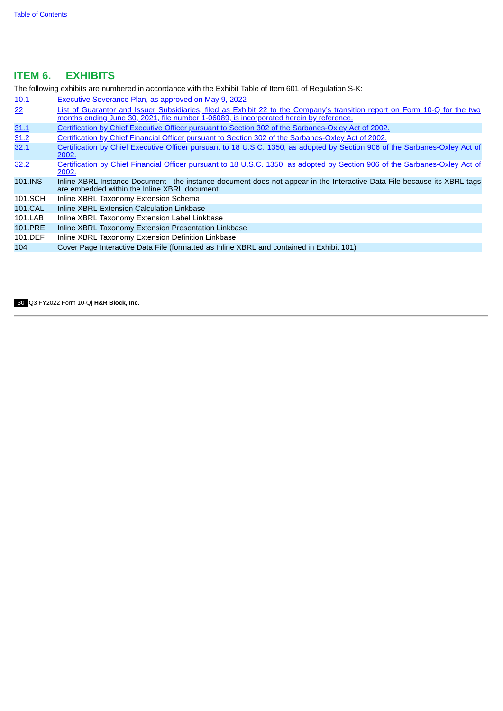# **ITEM 6. EXHIBITS**

The following exhibits are numbered in accordance with the Exhibit Table of Item 601 of Regulation S-K:

- [10.1](#page-33-0) Executive [Severance](#page-33-0) Plan, as approved on May 9, 2022
- [22](http://www.sec.gov/Archives/edgar/data/12659/000183886221000036/hrbtransitionperiodex22.htm) List of Guarantor and Issuer [Subsidiaries,](http://www.sec.gov/Archives/edgar/data/12659/000183886221000036/hrbtransitionperiodex22.htm) filed as Exhibit 22 to the Company's transition report on Form 10-Q for the two months ending June 30, 2021, file number 1-06089, is incorporated herein by reference.
- [31.1](#page-54-0) Certification by Chief Executive Officer pursuant to Section 302 of the [Sarbanes-Oxley](#page-54-0) Act of 2002.
- [31.2](#page-55-0) Certification by Chief Financial Officer pursuant to Section 302 of the [Sarbanes-Oxley](#page-55-0) Act of 2002.
- [32.1](#page-56-0) Certification by Chief Executive Officer pursuant to 18 U.S.C. 1350, as adopted by Section 906 of the [Sarbanes-Oxley](#page-56-0) Act of 2002.
- [32.2](#page-57-0) Certification by Chief Financial Officer pursuant to 18 U.S.C. 1350, as adopted by Section 906 of the [Sarbanes-Oxley](#page-57-0) Act of 2002.
- 101.INS Inline XBRL Instance Document the instance document does not appear in the Interactive Data File because its XBRL tags are embedded within the Inline XBRL document
- 101.SCH Inline XBRL Taxonomy Extension Schema
- 101.CAL Inline XBRL Extension Calculation Linkbase
- 101.LAB Inline XBRL Taxonomy Extension Label Linkbase
- 101.PRE Inline XBRL Taxonomy Extension Presentation Linkbase
- 101.DEF Inline XBRL Taxonomy Extension Definition Linkbase

<span id="page-31-0"></span>104 Cover Page Interactive Data File (formatted as Inline XBRL and contained in Exhibit 101)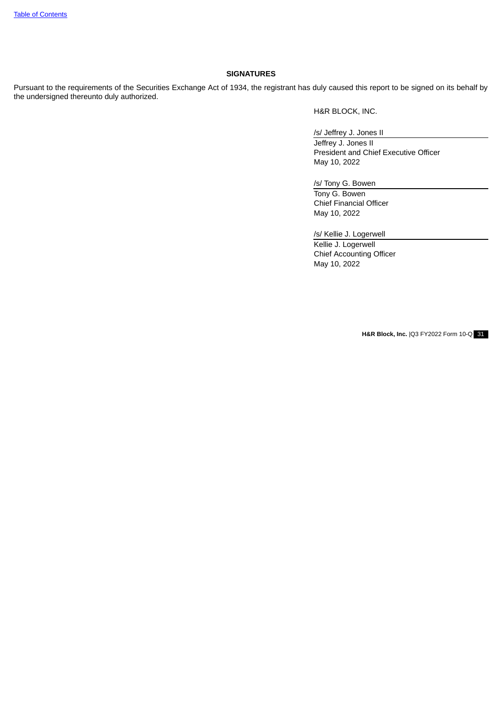## **SIGNATURES**

Pursuant to the requirements of the Securities Exchange Act of 1934, the registrant has duly caused this report to be signed on its behalf by the undersigned thereunto duly authorized.

H&R BLOCK, INC.

/s/ Jeffrey J. Jones II Jeffrey J. Jones II President and Chief Executive Officer May 10, 2022

/s/ Tony G. Bowen Tony G. Bowen

Chief Financial Officer May 10, 2022

/s/ Kellie J. Logerwell Kellie J. Logerwell Chief Accounting Officer May 10, 2022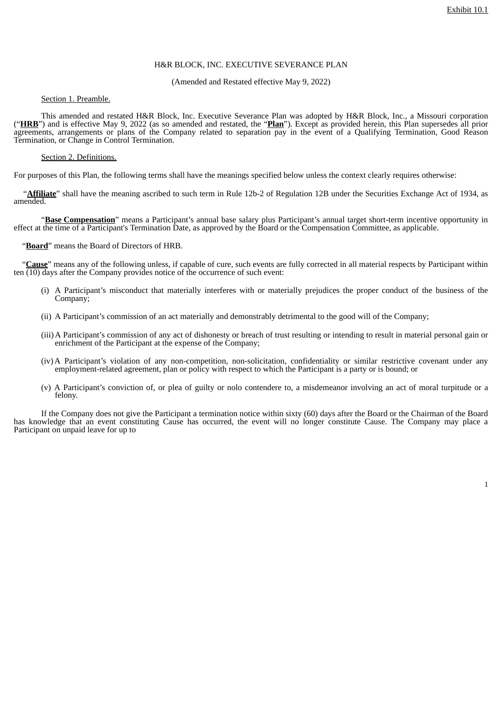## H&R BLOCK, INC. EXECUTIVE SEVERANCE PLAN

### (Amended and Restated effective May 9, 2022)

### <span id="page-33-0"></span>Section 1. Preamble.

This amended and restated H&R Block, Inc. Executive Severance Plan was adopted by H&R Block, Inc., a Missouri corporation ("**HRB**") and is effective May 9, 2022 (as so amended and restated, the "**Plan**"). Except as provided herein, this Plan supersedes all prior agreements, arrangements or plans of the Company related to separation pay in the event of a Qualifying Termination, Good Reason Termination, or Change in Control Termination.

#### Section 2. Definitions.

For purposes of this Plan, the following terms shall have the meanings specified below unless the context clearly requires otherwise:

"**Affiliate**" shall have the meaning ascribed to such term in Rule 12b-2 of Regulation 12B under the Securities Exchange Act of 1934, as amended.

"**Base Compensation**" means a Participant's annual base salary plus Participant's annual target short-term incentive opportunity in effect at the time of a Participant's Termination Date, as approved by the Board or the Compensation Committee, as applicable.

"**Board**" means the Board of Directors of HRB.

"**Cause**" means any of the following unless, if capable of cure, such events are fully corrected in all material respects by Participant within ten  $(10)$  days after the Company provides notice of the occurrence of such event:

- (i) A Participant's misconduct that materially interferes with or materially prejudices the proper conduct of the business of the Company;
- (ii) A Participant's commission of an act materially and demonstrably detrimental to the good will of the Company;
- (iii)A Participant's commission of any act of dishonesty or breach of trust resulting or intending to result in material personal gain or enrichment of the Participant at the expense of the Company;
- (iv)A Participant's violation of any non-competition, non-solicitation, confidentiality or similar restrictive covenant under any employment-related agreement, plan or policy with respect to which the Participant is a party or is bound; or
- (v) A Participant's conviction of, or plea of guilty or nolo contendere to, a misdemeanor involving an act of moral turpitude or a felony.

If the Company does not give the Participant a termination notice within sixty (60) days after the Board or the Chairman of the Board has knowledge that an event constituting Cause has occurred, the event will no longer constitute Cause. The Company may place a Participant on unpaid leave for up to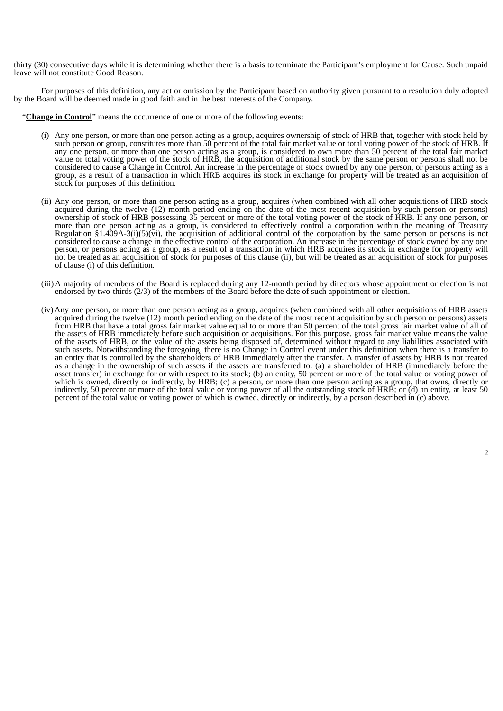thirty (30) consecutive days while it is determining whether there is a basis to terminate the Participant's employment for Cause. Such unpaid leave will not constitute Good Reason.

For purposes of this definition, any act or omission by the Participant based on authority given pursuant to a resolution duly adopted by the Board will be deemed made in good faith and in the best interests of the Company.

"**Change in Control**" means the occurrence of one or more of the following events:

- (i) Any one person, or more than one person acting as a group, acquires ownership of stock of HRB that, together with stock held by such person or group, constitutes more than 50 percent of the total fair market value or total voting power of the stock of HRB. If any one person, or more than one person acting as a group, is considered to own more than 50 percent of the total fair market value or total voting power of the stock of HRB, the acquisition of additional stock by the same person or persons shall not be considered to cause a Change in Control. An increase in the percentage of stock owned by any one person, or persons acting as a group, as a result of a transaction in which HRB acquires its stock in exchange for property will be treated as an acquisition of stock for purposes of this definition.
- (ii) Any one person, or more than one person acting as a group, acquires (when combined with all other acquisitions of HRB stock acquired during the twelve (12) month period ending on the date of the most recent acquisition by such person or persons) ownership of stock of HRB possessing 35 percent or more of the total voting power of the stock of HRB. If any one person, or more than one person acting as a group, is considered to effectively control a corporation within the meaning of Treasury Regulation  $\S1.409A-3(i)(5)(vi)$ , the acquisition of additional control of the corporation by the same person or persons is not considered to cause a change in the effective control of the corporation. An increase in the percentage of stock owned by any one person, or persons acting as a group, as a result of a transaction in which HRB acquires its stock in exchange for property will not be treated as an acquisition of stock for purposes of this clause (ii), but will be treated as an acquisition of stock for purposes of clause (i) of this definition.
- (iii)A majority of members of the Board is replaced during any 12-month period by directors whose appointment or election is not endorsed by two-thirds (2/3) of the members of the Board before the date of such appointment or election.
- (iv)Any one person, or more than one person acting as a group, acquires (when combined with all other acquisitions of HRB assets acquired during the twelve (12) month period ending on the date of the most recent acquisition by such person or persons) assets from HRB that have a total gross fair market value equal to or more than 50 percent of the total gross fair market value of all of the assets of HRB immediately before such acquisition or acquisitions. For this purpose, gross fair market value means the value of the assets of HRB, or the value of the assets being disposed of, determined without regard to any liabilities associated with such assets. Notwithstanding the foregoing, there is no Change in Control event under this definition when there is a transfer to an entity that is controlled by the shareholders of HRB immediately after the transfer. A transfer of assets by HRB is not treated as a change in the ownership of such assets if the assets are transferred to: (a) a shareholder of HRB (immediately before the asset transfer) in exchange for or with respect to its stock; (b) an entity, 50 percent or more of the total value or voting power of which is owned, directly or indirectly, by HRB; (c) a person, or more than one person acting as a group, that owns, directly or indirectly, 50 percent or more of the total value or voting power of all the outstanding stock of HRB; or (d) an entity, at least 50 percent of the total value or voting power of which is owned, directly or indirectly, by a person described in (c) above.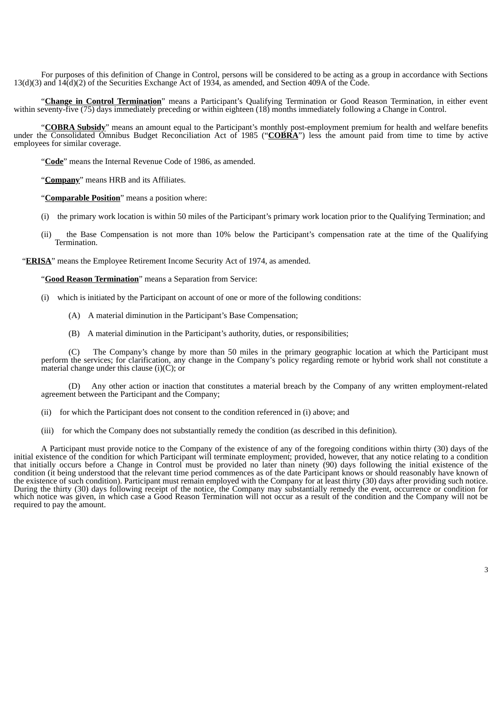For purposes of this definition of Change in Control, persons will be considered to be acting as a group in accordance with Sections 13(d)(3) and 14(d)(2) of the Securities Exchange Act of 1934, as amended, and Section 409A of the Code.

"**Change in Control Termination**" means a Participant's Qualifying Termination or Good Reason Termination, in either event within seventy-five (75) days immediately preceding or within eighteen (18) months immediately following a Change in Control.

"**COBRA Subsidy**" means an amount equal to the Participant's monthly post-employment premium for health and welfare benefits under the Consolidated Omnibus Budget Reconciliation Act of 1985 ("**COBRA**") less the amount paid from time to time by active employees for similar coverage.

"**Code**" means the Internal Revenue Code of 1986, as amended.

"**Company**" means HRB and its Affiliates.

"**Comparable Position**" means a position where:

- (i) the primary work location is within 50 miles of the Participant's primary work location prior to the Qualifying Termination; and
- (ii) the Base Compensation is not more than 10% below the Participant's compensation rate at the time of the Qualifying Termination.

"**ERISA**" means the Employee Retirement Income Security Act of 1974, as amended.

"**Good Reason Termination**" means a Separation from Service:

- (i) which is initiated by the Participant on account of one or more of the following conditions:
	- (A) A material diminution in the Participant's Base Compensation;
	- (B) A material diminution in the Participant's authority, duties, or responsibilities;

(C) The Company's change by more than 50 miles in the primary geographic location at which the Participant must perform the services; for clarification, any change in the Company's policy regarding remote or hybrid work shall not constitute a material change under this clause (i) $(C)$ ; or

(D) Any other action or inaction that constitutes a material breach by the Company of any written employment-related agreement between the Participant and the Company;

- (ii) for which the Participant does not consent to the condition referenced in (i) above; and
- (iii) for which the Company does not substantially remedy the condition (as described in this definition).

A Participant must provide notice to the Company of the existence of any of the foregoing conditions within thirty (30) days of the initial existence of the condition for which Participant will terminate employment; provided, however, that any notice relating to a condition that initially occurs before a Change in Control must be provided no later than ninety (90) days following the initial existence of the condition (it being understood that the relevant time period commences as of the date Participant knows or should reasonably have known of the existence of such condition). Participant must remain employed with the Company for at least thirty (30) days after providing such notice. During the thirty (30) days following receipt of the notice, the Company may substantially remedy the event, occurrence or condition for which notice was given, in which case a Good Reason Termination will not occur as a result of the condition and the Company will not be required to pay the amount.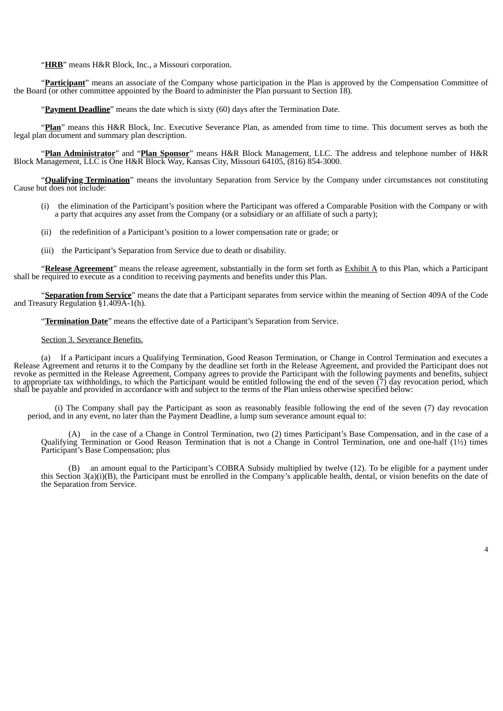"**HRB**" means H&R Block, Inc., a Missouri corporation.

"**Participant**" means an associate of the Company whose participation in the Plan is approved by the Compensation Committee of the Board (or other committee appointed by the Board to administer the Plan pursuant to Section 18).

"**Payment Deadline**" means the date which is sixty (60) days after the Termination Date.

"**Plan**" means this H&R Block, Inc. Executive Severance Plan, as amended from time to time. This document serves as both the legal plan document and summary plan description.

"**Plan Administrator**" and "**Plan Sponsor**" means H&R Block Management, LLC. The address and telephone number of H&R Block Management, LLC is One H&R Block Way, Kansas City, Missouri 64105, (816) 854-3000.

"**Qualifying Termination**" means the involuntary Separation from Service by the Company under circumstances not constituting Cause but does not include:

- (i) the elimination of the Participant's position where the Participant was offered a Comparable Position with the Company or with a party that acquires any asset from the Company (or a subsidiary or an affiliate of such a party);
- (ii) the redefinition of a Participant's position to a lower compensation rate or grade; or
- (iii) the Participant's Separation from Service due to death or disability.

"**Release Agreement**" means the release agreement, substantially in the form set forth as Exhibit A to this Plan, which a Participant shall be required to execute as a condition to receiving payments and benefits under this Plan.

"**Separation from Service**" means the date that a Participant separates from service within the meaning of Section 409A of the Code and Treasury Regulation §1.409A-1(h).

"**Termination Date**" means the effective date of a Participant's Separation from Service.

### Section 3. Severance Benefits.

(a) If a Participant incurs a Qualifying Termination, Good Reason Termination, or Change in Control Termination and executes a Release Agreement and returns it to the Company by the deadline set forth in the Release Agreement, and provided the Participant does not revoke as permitted in the Release Agreement, Company agrees to provide the Participant with the following payments and benefits, subject to appropriate tax withholdings, to which the Participant would be entitled following the end of the seven (7) day revocation period, which shall be payable and provided in accordance with and subject to the terms of the Plan unless otherwise specified below:

(i) The Company shall pay the Participant as soon as reasonably feasible following the end of the seven (7) day revocation period, and in any event, no later than the Payment Deadline, a lump sum severance amount equal to:

(A) in the case of a Change in Control Termination, two (2) times Participant's Base Compensation, and in the case of a Qualifying Termination or Good Reason Termination that is not a Change in Control Termination, one and one-half (1½) times Participant's Base Compensation; plus

an amount equal to the Participant's COBRA Subsidy multiplied by twelve (12). To be eligible for a payment under this Section 3(a)(i)(B), the Participant must be enrolled in the Company's applicable health, dental, or vision benefits on the date of the Separation from Service.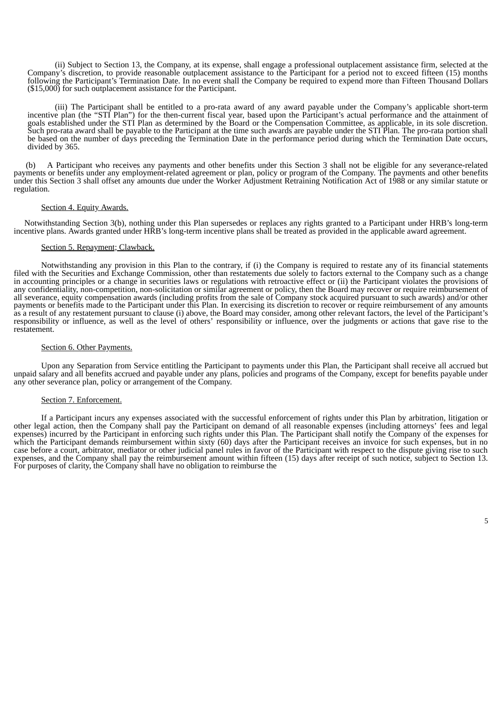(ii) Subject to Section 13, the Company, at its expense, shall engage a professional outplacement assistance firm, selected at the Company's discretion, to provide reasonable outplacement assistance to the Participant for a period not to exceed fifteen (15) months following the Participant's Termination Date. In no event shall the Company be required to expend more than Fifteen Thousand Dollars (\$15,000) for such outplacement assistance for the Participant.

(iii) The Participant shall be entitled to a pro-rata award of any award payable under the Company's applicable short-term incentive plan (the "STI Plan") for the then-current fiscal year, based upon the Participant's actual performance and the attainment of goals established under the STI Plan as determined by the Board or the Compensation Committee, as applicable, in its sole discretion. Such pro-rata award shall be payable to the Participant at the time such awards are payable under the STI Plan. The pro-rata portion shall be based on the number of days preceding the Termination Date in the performance period during which the Termination Date occurs, divided by 365.

(b) A Participant who receives any payments and other benefits under this Section 3 shall not be eligible for any severance-related payments or benefits under any employment-related agreement or plan, policy or program of the Company. The payments and other benefits under this Section 3 shall offset any amounts due under the Worker Adjustment Retraining Notification Act of 1988 or any similar statute or regulation.

#### Section 4. Equity Awards.

Notwithstanding Section 3(b), nothing under this Plan supersedes or replaces any rights granted to a Participant under HRB's long-term incentive plans. Awards granted under HRB's long-term incentive plans shall be treated as provided in the applicable award agreement.

#### Section 5. Repayment; Clawback.

Notwithstanding any provision in this Plan to the contrary, if (i) the Company is required to restate any of its financial statements filed with the Securities and Exchange Commission, other than restatements due solely to factors external to the Company such as a change in accounting principles or a change in securities laws or regulations with retroactive effect or (ii) the Participant violates the provisions of any confidentiality, non-competition, non-solicitation or similar agreement or policy, then the Board may recover or require reimbursement of all severance, equity compensation awards (including profits from the sale of Company stock acquired pursuant to such awards) and/or other payments or benefits made to the Participant under this Plan. In exercising its discretion to recover or require reimbursement of any amounts as a result of any restatement pursuant to clause (i) above, the Board may consider, among other relevant factors, the level of the Participant's responsibility or influence, as well as the level of others' responsibility or influence, over the judgments or actions that gave rise to the restatement.

#### Section 6. Other Payments.

Upon any Separation from Service entitling the Participant to payments under this Plan, the Participant shall receive all accrued but unpaid salary and all benefits accrued and payable under any plans, policies and programs of the Company, except for benefits payable under any other severance plan, policy or arrangement of the Company.

#### Section 7. Enforcement.

If a Participant incurs any expenses associated with the successful enforcement of rights under this Plan by arbitration, litigation or other legal action, then the Company shall pay the Participant on demand of all reasonable expenses (including attorneys' fees and legal expenses) incurred by the Participant in enforcing such rights under this Plan. The Participant shall notify the Company of the expenses for which the Participant demands reimbursement within sixty (60) days after the Participant receives an invoice for such expenses, but in no case before a court, arbitrator, mediator or other judicial panel rules in favor of the Participant with respect to the dispute giving rise to such expenses, and the Company shall pay the reimbursement amount within fifteen (15) days after receipt of such notice, subject to Section 13. For purposes of clarity, the Company shall have no obligation to reimburse the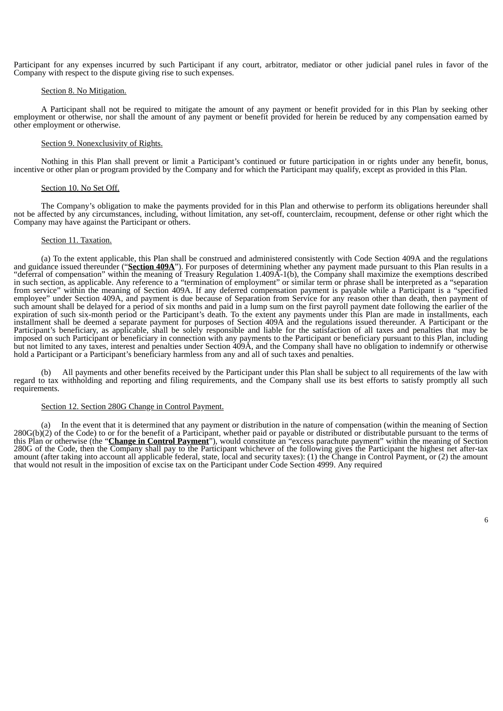Participant for any expenses incurred by such Participant if any court, arbitrator, mediator or other judicial panel rules in favor of the Company with respect to the dispute giving rise to such expenses.

## Section 8. No Mitigation.

A Participant shall not be required to mitigate the amount of any payment or benefit provided for in this Plan by seeking other employment or otherwise, nor shall the amount of any payment or benefit provided for herein be reduced by any compensation earned by other employment or otherwise.

#### Section 9. Nonexclusivity of Rights.

Nothing in this Plan shall prevent or limit a Participant's continued or future participation in or rights under any benefit, bonus, incentive or other plan or program provided by the Company and for which the Participant may qualify, except as provided in this Plan.

#### Section 10. No Set Off.

The Company's obligation to make the payments provided for in this Plan and otherwise to perform its obligations hereunder shall not be affected by any circumstances, including, without limitation, any set-off, counterclaim, recoupment, defense or other right which the Company may have against the Participant or others.

#### Section 11. Taxation.

(a) To the extent applicable, this Plan shall be construed and administered consistently with Code Section 409A and the regulations and guidance issued thereunder ("**Section 409A**"). For purposes of determining whether any payment made pursuant to this Plan results in a "deferral of compensation" within the meaning of Treasury Regulation 1.409A-1(b), the Company shall maximize the exemptions described in such section, as applicable. Any reference to a "termination of employment" or similar term or phrase shall be interpreted as a "separation from service" within the meaning of Section 409A. If any deferred compensation payment is payable while a Participant is a "specified employee" under Section 409A, and payment is due because of Separation from Service for any reason other than death, then payment of such amount shall be delayed for a period of six months and paid in a lump sum on the first payroll payment date following the earlier of the expiration of such six-month period or the Participant's death. To the extent any payments under this Plan are made in installments, each installment shall be deemed a separate payment for purposes of Section 409A and the regulations issued thereunder. A Participant or the Participant's beneficiary, as applicable, shall be solely responsible and liable for the satisfaction of all taxes and penalties that may be imposed on such Participant or beneficiary in connection with any payments to the Participant or beneficiary pursuant to this Plan, including but not limited to any taxes, interest and penalties under Section 409A, and the Company shall have no obligation to indemnify or otherwise hold a Participant or a Participant's beneficiary harmless from any and all of such taxes and penalties.

(b) All payments and other benefits received by the Participant under this Plan shall be subject to all requirements of the law with regard to tax withholding and reporting and filing requirements, and the Company shall use its best efforts to satisfy promptly all such requirements.

#### Section 12. Section 280G Change in Control Payment.

In the event that it is determined that any payment or distribution in the nature of compensation (within the meaning of Section  $280G(b)(2)$  of the Code) to or for the benefit of a Participant, whether paid or payable or distributed or distributable pursuant to the terms of this Plan or otherwise (the "**Change in Control Payment**"), would constitute an "excess parachute payment" within the meaning of Section 280G of the Code, then the Company shall pay to the Participant whichever of the following gives the Participant the highest net after-tax amount (after taking into account all applicable federal, state, local and security taxes): (1) the Change in Control Payment, or (2) the amount that would not result in the imposition of excise tax on the Participant under Code Section 4999. Any required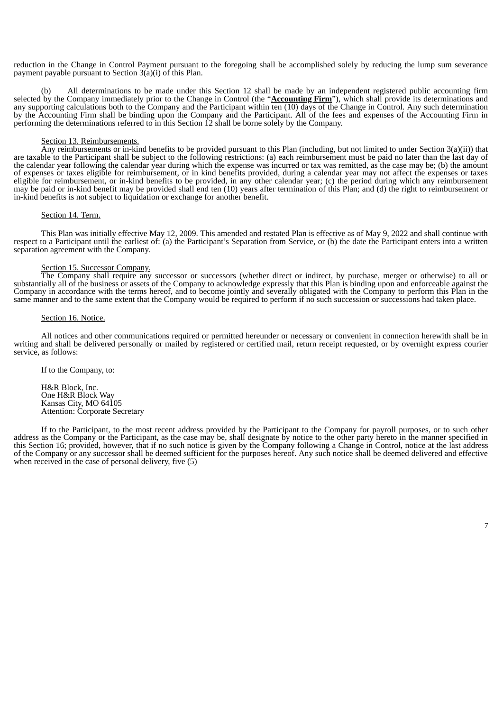reduction in the Change in Control Payment pursuant to the foregoing shall be accomplished solely by reducing the lump sum severance payment payable pursuant to Section 3(a)(i) of this Plan.

(b) All determinations to be made under this Section 12 shall be made by an independent registered public accounting firm selected by the Company immediately prior to the Change in Control (the "**Accounting Firm**"), which shall provide its determinations and any supporting calculations both to the Company and the Participant within ten (10) days of the Change in Control. Any such determination by the Accounting Firm shall be binding upon the Company and the Participant. All of the fees and expenses of the Accounting Firm in performing the determinations referred to in this Section 12 shall be borne solely by the Company.

#### Section 13. Reimbursements.

Any reimbursements or in-kind benefits to be provided pursuant to this Plan (including, but not limited to under Section 3(a)(ii)) that are taxable to the Participant shall be subject to the following restrictions: (a) each reimbursement must be paid no later than the last day of the calendar year following the calendar year during which the expense was incurred or tax was remitted, as the case may be; (b) the amount of expenses or taxes eligible for reimbursement, or in kind benefits provided, during a calendar year may not affect the expenses or taxes eligible for reimbursement, or in-kind benefits to be provided, in any other calendar year; (c) the period during which any reimbursement may be paid or in-kind benefit may be provided shall end ten (10) years after termination of this Plan; and (d) the right to reimbursement or in-kind benefits is not subject to liquidation or exchange for another benefit.

#### Section 14. Term.

This Plan was initially effective May 12, 2009. This amended and restated Plan is effective as of May 9, 2022 and shall continue with respect to a Participant until the earliest of: (a) the Participant's Separation from Service, or (b) the date the Participant enters into a written separation agreement with the Company.

#### Section 15. Successor Company.

The Company shall require any successor or successors (whether direct or indirect, by purchase, merger or otherwise) to all or substantially all of the business or assets of the Company to acknowledge expressly that this Plan is binding upon and enforceable against the Company in accordance with the terms hereof, and to become jointly and severally obligated with the Company to perform this Plan in the same manner and to the same extent that the Company would be required to perform if no such succession or successions had taken place.

#### Section 16. Notice.

All notices and other communications required or permitted hereunder or necessary or convenient in connection herewith shall be in writing and shall be delivered personally or mailed by registered or certified mail, return receipt requested, or by overnight express courier service, as follows:

If to the Company, to:

H&R Block, Inc. One H&R Block Way Kansas City, MO 64105 Attention: Corporate Secretary

If to the Participant, to the most recent address provided by the Participant to the Company for payroll purposes, or to such other address as the Company or the Participant, as the case may be, shall designate by notice to the other party hereto in the manner specified in this Section 16; provided, however, that if no such notice is given by the Company following a Change in Control, notice at the last address of the Company or any successor shall be deemed sufficient for the purposes hereof. Any such notice shall be deemed delivered and effective when received in the case of personal delivery, five (5)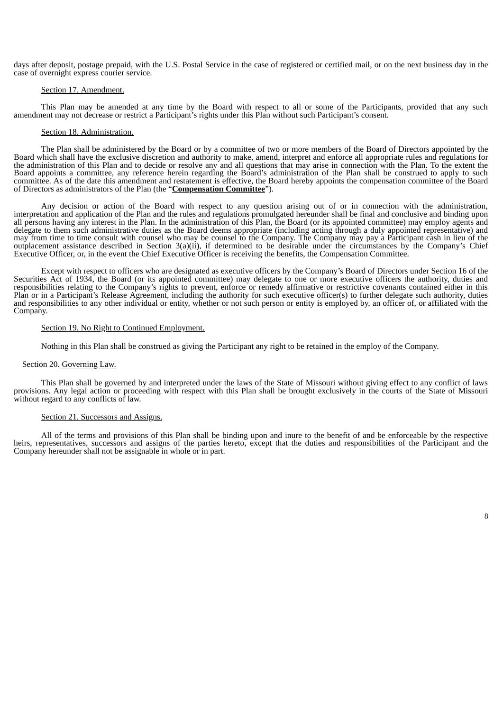days after deposit, postage prepaid, with the U.S. Postal Service in the case of registered or certified mail, or on the next business day in the case of overnight express courier service.

#### Section 17. Amendment.

This Plan may be amended at any time by the Board with respect to all or some of the Participants, provided that any such amendment may not decrease or restrict a Participant's rights under this Plan without such Participant's consent.

#### Section 18. Administration.

The Plan shall be administered by the Board or by a committee of two or more members of the Board of Directors appointed by the Board which shall have the exclusive discretion and authority to make, amend, interpret and enforce all appropriate rules and regulations for the administration of this Plan and to decide or resolve any and all questions that may arise in connection with the Plan. To the extent the Board appoints a committee, any reference herein regarding the Board's administration of the Plan shall be construed to apply to such committee. As of the date this amendment and restatement is effective, the Board hereby appoints the compensation committee of the Board of Directors as administrators of the Plan (the "**Compensation Committee**").

Any decision or action of the Board with respect to any question arising out of or in connection with the administration, interpretation and application of the Plan and the rules and regulations promulgated hereunder shall be final and conclusive and binding upon all persons having any interest in the Plan. In the administration of this Plan, the Board (or its appointed committee) may employ agents and delegate to them such administrative duties as the Board deems appropriate (including acting through a duly appointed representative) and may from time to time consult with counsel who may be counsel to the Company. The Company may pay a Participant cash in lieu of the outplacement assistance described in Section 3(a)(ii), if determined to be desirable under the circumstances by the Company's Chief Executive Officer, or, in the event the Chief Executive Officer is receiving the benefits, the Compensation Committee.

Except with respect to officers who are designated as executive officers by the Company's Board of Directors under Section 16 of the Securities Act of 1934, the Board (or its appointed committee) may delegate to one or more executive officers the authority, duties and responsibilities relating to the Company's rights to prevent, enforce or remedy affirmative or restrictive covenants contained either in this Plan or in a Participant's Release Agreement, including the authority for such executive officer(s) to further delegate such authority, duties and responsibilities to any other individual or entity, whether or not such person or entity is employed by, an officer of, or affiliated with the Company.

#### Section 19. No Right to Continued Employment.

Nothing in this Plan shall be construed as giving the Participant any right to be retained in the employ of the Company.

#### Section 20. Governing Law.

This Plan shall be governed by and interpreted under the laws of the State of Missouri without giving effect to any conflict of laws provisions. Any legal action or proceeding with respect with this Plan shall be brought exclusively in the courts of the State of Missouri without regard to any conflicts of law.

#### Section 21. Successors and Assigns.

All of the terms and provisions of this Plan shall be binding upon and inure to the benefit of and be enforceable by the respective heirs, representatives, successors and assigns of the parties hereto, except that the duties and responsibilities of the Participant and the Company hereunder shall not be assignable in whole or in part.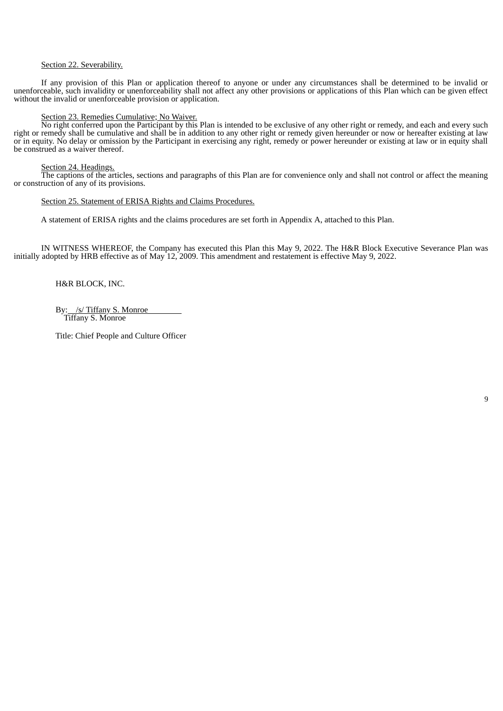### Section 22. Severability.

If any provision of this Plan or application thereof to anyone or under any circumstances shall be determined to be invalid or unenforceable, such invalidity or unenforceability shall not affect any other provisions or applications of this Plan which can be given effect without the invalid or unenforceable provision or application.

## Section 23. Remedies Cumulative; No Waiver.

<u>No right conferred upon the Participant by this</u> Plan is intended to be exclusive of any other right or remedy, and each and every such right or remedy shall be cumulative and shall be in addition to any other right or remedy given hereunder or now or hereafter existing at law or in equity. No delay or omission by the Participant in exercising any right, remedy or power hereunder or existing at law or in equity shall be construed as a waiver thereof.

#### Section 24. Headings.

The captions of the articles, sections and paragraphs of this Plan are for convenience only and shall not control or affect the meaning or construction of any of its provisions.

## Section 25. Statement of ERISA Rights and Claims Procedures.

A statement of ERISA rights and the claims procedures are set forth in Appendix A, attached to this Plan.

IN WITNESS WHEREOF, the Company has executed this Plan this May 9, 2022. The H&R Block Executive Severance Plan was initially adopted by HRB effective as of May 12, 2009. This amendment and restatement is effective May 9, 2022.

H&R BLOCK, INC.

By: /s/ Tiffany S. Monroe Tiffany S. Monroe

Title: Chief People and Culture Officer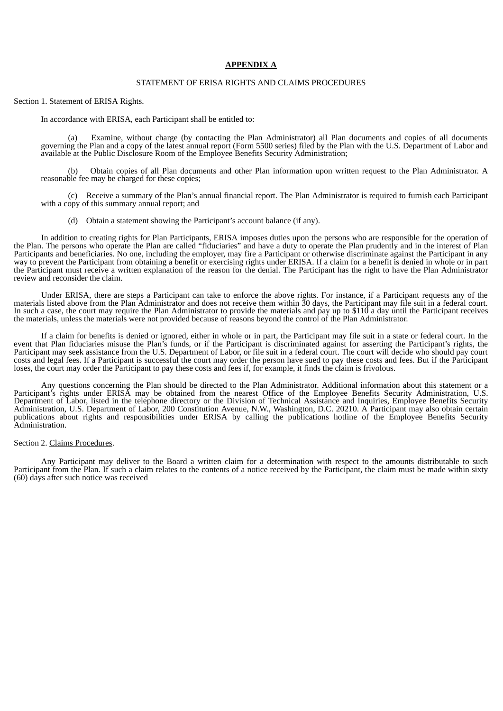## **APPENDIX A**

### STATEMENT OF ERISA RIGHTS AND CLAIMS PROCEDURES

Section 1. Statement of ERISA Rights.

In accordance with ERISA, each Participant shall be entitled to:

(a) Examine, without charge (by contacting the Plan Administrator) all Plan documents and copies of all documents governing the Plan and a copy of the latest annual report (Form 5500 series) filed by the Plan with the U.S. Department of Labor and available at the Public Disclosure Room of the Employee Benefits Security Administration;

(b) Obtain copies of all Plan documents and other Plan information upon written request to the Plan Administrator. A reasonable fee may be charged for these copies;

(c) Receive a summary of the Plan's annual financial report. The Plan Administrator is required to furnish each Participant with a copy of this summary annual report; and

(d) Obtain a statement showing the Participant's account balance (if any).

In addition to creating rights for Plan Participants, ERISA imposes duties upon the persons who are responsible for the operation of the Plan. The persons who operate the Plan are called "fiduciaries" and have a duty to operate the Plan prudently and in the interest of Plan Participants and beneficiaries. No one, including the employer, may fire a Participant or otherwise discriminate against the Participant in any way to prevent the Participant from obtaining a benefit or exercising rights under ERISA. If a claim for a benefit is denied in whole or in part the Participant must receive a written explanation of the reason for the denial. The Participant has the right to have the Plan Administrator review and reconsider the claim.

Under ERISA, there are steps a Participant can take to enforce the above rights. For instance, if a Participant requests any of the materials listed above from the Plan Administrator and does not receive them within 30 days, the Participant may file suit in a federal court. In such a case, the court may require the Plan Administrator to provide the materials and pay up to \$110 a day until the Participant receives the materials, unless the materials were not provided because of reasons beyond the control of the Plan Administrator.

If a claim for benefits is denied or ignored, either in whole or in part, the Participant may file suit in a state or federal court. In the event that Plan fiduciaries misuse the Plan's funds, or if the Participant is discriminated against for asserting the Participant's rights, the Participant may seek assistance from the U.S. Department of Labor, or file suit in a federal court. The court will decide who should pay court costs and legal fees. If a Participant is successful the court may order the person have sued to pay these costs and fees. But if the Participant loses, the court may order the Participant to pay these costs and fees if, for example, it finds the claim is frivolous.

Any questions concerning the Plan should be directed to the Plan Administrator. Additional information about this statement or a Participant's rights under ERISA may be obtained from the nearest Office of the Employee Benefits Security Administration, U.S. Department of Labor, listed in the telephone directory or the Division of Technical Assistance and Inquiries, Employee Benefits Security Administration, U.S. Department of Labor, 200 Constitution Avenue, N.W., Washington, D.C. 20210. A Participant may also obtain certain publications about rights and responsibilities under ERISA by calling the publications hotline of the Employee Benefits Security Administration.

#### Section 2. Claims Procedures.

Any Participant may deliver to the Board a written claim for a determination with respect to the amounts distributable to such Participant from the Plan. If such a claim relates to the contents of a notice received by the Participant, the claim must be made within sixty (60) days after such notice was received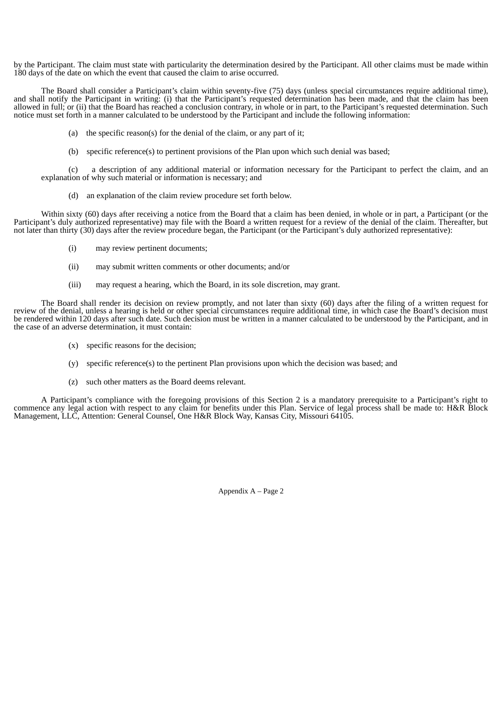by the Participant. The claim must state with particularity the determination desired by the Participant. All other claims must be made within 180 days of the date on which the event that caused the claim to arise occurred.

The Board shall consider a Participant's claim within seventy-five (75) days (unless special circumstances require additional time), and shall notify the Participant in writing: (i) that the Participant's requested determination has been made, and that the claim has been allowed in full; or (ii) that the Board has reached a conclusion contrary, in whole or in part, to the Participant's requested determination. Such notice must set forth in a manner calculated to be understood by the Participant and include the following information:

- (a) the specific reason(s) for the denial of the claim, or any part of it;
- (b) specific reference(s) to pertinent provisions of the Plan upon which such denial was based;

(c) a description of any additional material or information necessary for the Participant to perfect the claim, and an explanation of why such material or information is necessary; and

(d) an explanation of the claim review procedure set forth below.

Within sixty (60) days after receiving a notice from the Board that a claim has been denied, in whole or in part, a Participant (or the Participant's duly authorized representative) may file with the Board a written request for a review of the denial of the claim. Thereafter, but not later than thirty (30) days after the review procedure began, the Participant (or the Participant's duly authorized representative):

- (i) may review pertinent documents;
- (ii) may submit written comments or other documents; and/or
- (iii) may request a hearing, which the Board, in its sole discretion, may grant.

The Board shall render its decision on review promptly, and not later than sixty (60) days after the filing of a written request for review of the denial, unless a hearing is held or other special circumstances require additional time, in which case the Board's decision must be rendered within 120 days after such date. Such decision must be written in a manner calculated to be understood by the Participant, and in the case of an adverse determination, it must contain:

- (x) specific reasons for the decision;
- (y) specific reference(s) to the pertinent Plan provisions upon which the decision was based; and
- (z) such other matters as the Board deems relevant.

A Participant's compliance with the foregoing provisions of this Section 2 is a mandatory prerequisite to a Participant's right to commence any legal action with respect to any claim for benefits under this Plan. Service of legal process shall be made to: H&R Block Management, LLC, Attention: General Counsel, One H&R Block Way, Kansas City, Missouri 64105.

Appendix A – Page 2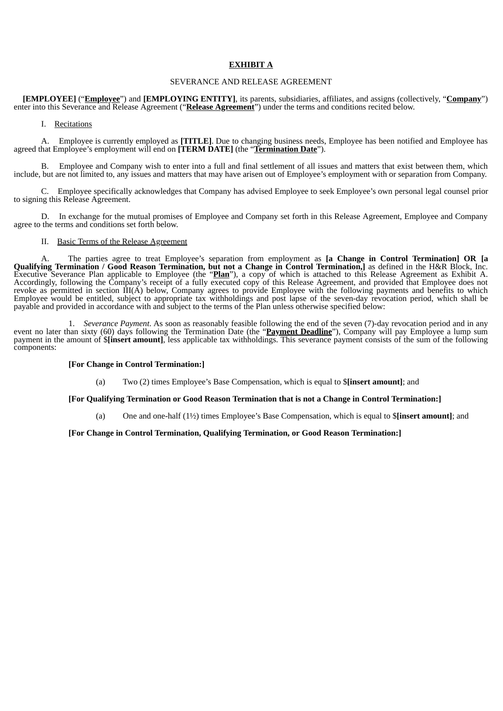## **EXHIBIT A**

## SEVERANCE AND RELEASE AGREEMENT

**[EMPLOYEE]** ("**Employee**") and **[EMPLOYING ENTITY]**, its parents, subsidiaries, affiliates, and assigns (collectively, "**Company**") enter into this Severance and Release Agreement ("**Release Agreement**") under the terms and conditions recited below.

#### I. Recitations

A. Employee is currently employed as **[TITLE]**. Due to changing business needs, Employee has been notified and Employee has agreed that Employee's employment will end on **[TERM DATE]** (the "**Termination Date**").

B. Employee and Company wish to enter into a full and final settlement of all issues and matters that exist between them, which include, but are not limited to, any issues and matters that may have arisen out of Employee's employment with or separation from Company.

C. Employee specifically acknowledges that Company has advised Employee to seek Employee's own personal legal counsel prior to signing this Release Agreement.

D. In exchange for the mutual promises of Employee and Company set forth in this Release Agreement, Employee and Company agree to the terms and conditions set forth below.

#### II. Basic Terms of the Release Agreement

A. The parties agree to treat Employee's separation from employment as **[a Change in Control Termination] OR [a Qualifying Termination / Good Reason Termination, but not a Change in Control Termination,]** as defined in the H&R Block, Inc. Executive Severance Plan applicable to Employee (the "**Plan**"), a copy of which is attached to this Release Agreement as Exhibit A. Accordingly, following the Company's receipt of a fully executed copy of this Release Agreement, and provided that Employee does not revoke as permitted in section III(A) below, Company agrees to provide Employee with the following payments and benefits to which Employee would be entitled, subject to appropriate tax withholdings and post lapse of the seven-day revocation period, which shall be payable and provided in accordance with and subject to the terms of the Plan unless otherwise specified below:

1. *Severance Payment*. As soon as reasonably feasible following the end of the seven (7)-day revocation period and in any event no later than sixty (60) days following the Termination Date (the "**Payment Deadline**"), Company will pay Employee a lump sum payment in the amount of \$**[insert amount]**, less applicable tax withholdings. This severance payment consists of the sum of the following components:

### **[For Change in Control Termination:]**

(a) Two (2) times Employee's Base Compensation, which is equal to \$**[insert amount]**; and

#### **[For Qualifying Termination or Good Reason Termination that is not a Change in Control Termination:]**

(a) One and one-half (1½) times Employee's Base Compensation, which is equal to \$**[insert amount]**; and

### **[For Change in Control Termination, Qualifying Termination, or Good Reason Termination:]**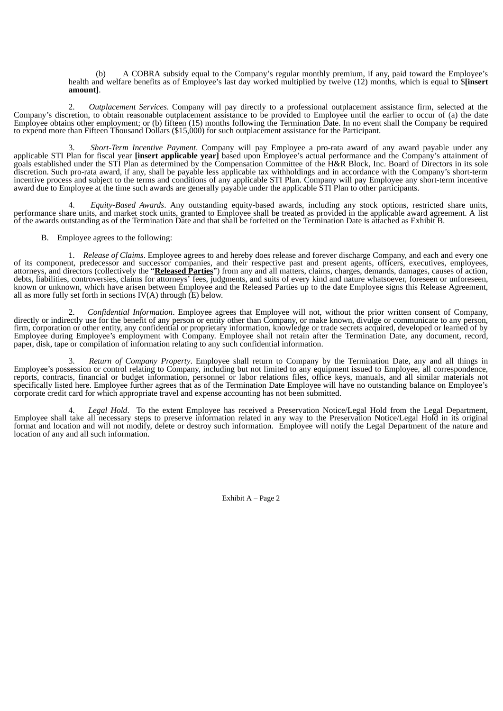(b) A COBRA subsidy equal to the Company's regular monthly premium, if any, paid toward the Employee's health and welfare benefits as of Employee's last day worked multiplied by twelve (12) months, which is equal to \$**[insert amount]**.

2. *Outplacement Services*. Company will pay directly to a professional outplacement assistance firm, selected at the Company's discretion, to obtain reasonable outplacement assistance to be provided to Employee until the earlier to occur of (a) the date Employee obtains other employment; or (b) fifteen (15) months following the Termination Date. In no event shall the Company be required to expend more than Fifteen Thousand Dollars (\$15,000) for such outplacement assistance for the Participant.

3. *Short-Term Incentive Payment*. Company will pay Employee a pro-rata award of any award payable under any applicable STI Plan for fiscal year **[insert applicable year]** based upon Employee's actual performance and the Company's attainment of goals established under the STI Plan as determined by the Compensation Committee of the H&R Block, Inc. Board of Directors in its sole discretion. Such pro-rata award, if any, shall be payable less applicable tax withholdings and in accordance with the Company's short-term incentive process and subject to the terms and conditions of any applicable STI Plan. Company will pay Employee any short-term incentive award due to Employee at the time such awards are generally payable under the applicable STI Plan to other participants.

4. *Equity-Based Awards*. Any outstanding equity-based awards, including any stock options, restricted share units, performance share units, and market stock units, granted to Employee shall be treated as provided in the applicable award agreement. A list of the awards outstanding as of the Termination Date and that shall be forfeited on the Termination Date is attached as Exhibit B.

### B. Employee agrees to the following:

1. *Release of Claims*. Employee agrees to and hereby does release and forever discharge Company, and each and every one of its component, predecessor and successor companies, and their respective past and present agents, officers, executives, employees, attorneys, and directors (collectively the "**Released Parties**") from any and all matters, claims, charges, demands, damages, causes of action, debts, liabilities, controversies, claims for attorneys' fees, judgments, and suits of every kind and nature whatsoever, foreseen or unforeseen, known or unknown, which have arisen between Employee and the Released Parties up to the date Employee signs this Release Agreement, all as more fully set forth in sections  $IV(A)$  through  $(E)$  below.

2. *Confidential Information*. Employee agrees that Employee will not, without the prior written consent of Company, directly or indirectly use for the benefit of any person or entity other than Company, or make known, divulge or communicate to any person, firm, corporation or other entity, any confidential or proprietary information, knowledge or trade secrets acquired, developed or learned of by Employee during Employee's employment with Company. Employee shall not retain after the Termination Date, any document, record, paper, disk, tape or compilation of information relating to any such confidential information.

3. *Return of Company Property*. Employee shall return to Company by the Termination Date, any and all things in Employee's possession or control relating to Company, including but not limited to any equipment issued to Employee, all correspondence, reports, contracts, financial or budget information, personnel or labor relations files, office keys, manuals, and all similar materials not specifically listed here. Employee further agrees that as of the Termination Date Employee will have no outstanding balance on Employee's corporate credit card for which appropriate travel and expense accounting has not been submitted.

4. *Legal Hold*. To the extent Employee has received a Preservation Notice/Legal Hold from the Legal Department, Employee shall take all necessary steps to preserve information related in any way to the Preservation Notice/Legal Hold in its original format and location and will not modify, delete or destroy such information. Employee will notify the Legal Department of the nature and location of any and all such information.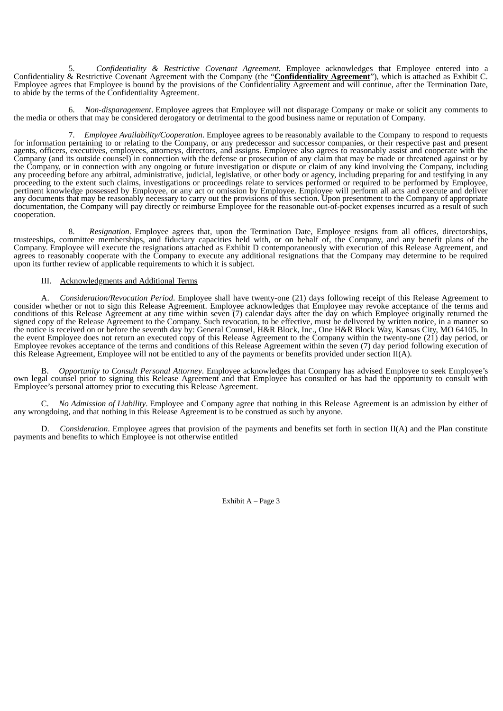5. *Confidentiality & Restrictive Covenant Agreement*. Employee acknowledges that Employee entered into a Confidentiality & Restrictive Covenant Agreement with the Company (the "**Confidentiality Agreement**"), which is attached as Exhibit C. Employee agrees that Employee is bound by the provisions of the Confidentiality Agreement and will continue, after the Termination Date, to abide by the terms of the Confidentiality Agreement.

6. *Non-disparagement*. Employee agrees that Employee will not disparage Company or make or solicit any comments to the media or others that may be considered derogatory or detrimental to the good business name or reputation of Company.

7. *Employee Availability/Cooperation*. Employee agrees to be reasonably available to the Company to respond to requests for information pertaining to or relating to the Company, or any predecessor and successor companies, or their respective past and present agents, officers, executives, employees, attorneys, directors, and assigns. Employee also agrees to reasonably assist and cooperate with the Company (and its outside counsel) in connection with the defense or prosecution of any claim that may be made or threatened against or by the Company, or in connection with any ongoing or future investigation or dispute or claim of any kind involving the Company, including any proceeding before any arbitral, administrative, judicial, legislative, or other body or agency, including preparing for and testifying in any proceeding to the extent such claims, investigations or proceedings relate to services performed or required to be performed by Employee, pertinent knowledge possessed by Employee, or any act or omission by Employee. Employee will perform all acts and execute and deliver any documents that may be reasonably necessary to carry out the provisions of this section. Upon presentment to the Company of appropriate documentation, the Company will pay directly or reimburse Employee for the reasonable out-of-pocket expenses incurred as a result of such cooperation.

8. *Resignation*. Employee agrees that, upon the Termination Date, Employee resigns from all offices, directorships, trusteeships, committee memberships, and fiduciary capacities held with, or on behalf of, the Company, and any benefit plans of the Company. Employee will execute the resignations attached as Exhibit D contemporaneously with execution of this Release Agreement, and agrees to reasonably cooperate with the Company to execute any additional resignations that the Company may determine to be required upon its further review of applicable requirements to which it is subject.

### III. Acknowledgments and Additional Terms

A. *Consideration/Revocation Period*. Employee shall have twenty-one (21) days following receipt of this Release Agreement to consider whether or not to sign this Release Agreement. Employee acknowledges that Employee may revoke acceptance of the terms and conditions of this Release Agreement at any time within seven (7) calendar days after the day on which Employee originally returned the signed copy of the Release Agreement to the Company. Such revocation, to be effective, must be delivered by written notice, in a manner so the notice is received on or before the seventh day by: General Counsel, H&R Block, Inc., One H&R Block Way, Kansas City, MO 64105. In the event Employee does not return an executed copy of this Release Agreement to the Company within the twenty-one (21) day period, or Employee revokes acceptance of the terms and conditions of this Release Agreement within the seven (7) day period following execution of this Release Agreement, Employee will not be entitled to any of the payments or benefits provided under section II(A).

B. *Opportunity to Consult Personal Attorney*. Employee acknowledges that Company has advised Employee to seek Employee's own legal counsel prior to signing this Release Agreement and that Employee has consulted or has had the opportunity to consult with Employee's personal attorney prior to executing this Release Agreement.

C. *No Admission of Liability*. Employee and Company agree that nothing in this Release Agreement is an admission by either of any wrongdoing, and that nothing in this Release Agreement is to be construed as such by anyone.

D. *Consideration*. Employee agrees that provision of the payments and benefits set forth in section II(A) and the Plan constitute payments and benefits to which Employee is not otherwise entitled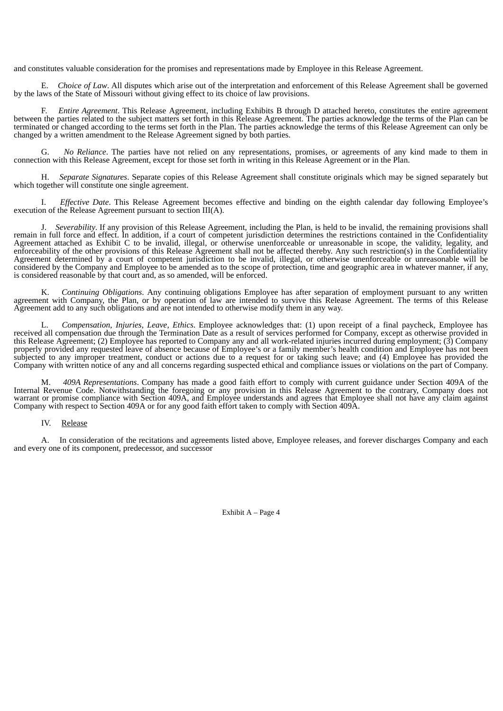and constitutes valuable consideration for the promises and representations made by Employee in this Release Agreement.

E. *Choice of Law*. All disputes which arise out of the interpretation and enforcement of this Release Agreement shall be governed by the laws of the State of Missouri without giving effect to its choice of law provisions.

F. *Entire Agreement*. This Release Agreement, including Exhibits B through D attached hereto, constitutes the entire agreement between the parties related to the subject matters set forth in this Release Agreement. The parties acknowledge the terms of the Plan can be terminated or changed according to the terms set forth in the Plan. The parties acknowledge the terms of this Release Agreement can only be changed by a written amendment to the Release Agreement signed by both parties.

G. *No Reliance*. The parties have not relied on any representations, promises, or agreements of any kind made to them in connection with this Release Agreement, except for those set forth in writing in this Release Agreement or in the Plan.

H. *Separate Signatures*. Separate copies of this Release Agreement shall constitute originals which may be signed separately but which together will constitute one single agreement.

I. *Effective Date*. This Release Agreement becomes effective and binding on the eighth calendar day following Employee's execution of the Release Agreement pursuant to section III(A).

J. *Severability*. If any provision of this Release Agreement, including the Plan, is held to be invalid, the remaining provisions shall remain in full force and effect. In addition, if a court of competent jurisdiction determines the restrictions contained in the Confidentiality Agreement attached as Exhibit C to be invalid, illegal, or otherwise unenforceable or unreasonable in scope, the validity, legality, and enforceability of the other provisions of this Release Agreement shall not be affected thereby. Any such restriction(s) in the Confidentiality Agreement determined by a court of competent jurisdiction to be invalid, illegal, or otherwise unenforceable or unreasonable will be considered by the Company and Employee to be amended as to the scope of protection, time and geographic area in whatever manner, if any, is considered reasonable by that court and, as so amended, will be enforced.

K. *Continuing Obligations*. Any continuing obligations Employee has after separation of employment pursuant to any written agreement with Company, the Plan, or by operation of law are intended to survive this Release Agreement. The terms of this Release Agreement add to any such obligations and are not intended to otherwise modify them in any way.

L. *Compensation, Injuries, Leave, Ethics*. Employee acknowledges that: (1) upon receipt of a final paycheck, Employee has received all compensation due through the Termination Date as a result of services performed for Company, except as otherwise provided in this Release Agreement; (2) Employee has reported to Company any and all work-related injuries incurred during employment; (3) Company properly provided any requested leave of absence because of Employee's or a family member's health condition and Employee has not been subjected to any improper treatment, conduct or actions due to a request for or taking such leave; and (4) Employee has provided the Company with written notice of any and all concerns regarding suspected ethical and compliance issues or violations on the part of Company.

M. *409A Representations*. Company has made a good faith effort to comply with current guidance under Section 409A of the Internal Revenue Code. Notwithstanding the foregoing or any provision in this Release Agreement to the contrary, Company does not warrant or promise compliance with Section 409A, and Employee understands and agrees that Employee shall not have any claim against Company with respect to Section 409A or for any good faith effort taken to comply with Section 409A.

### IV. Release

A. In consideration of the recitations and agreements listed above, Employee releases, and forever discharges Company and each and every one of its component, predecessor, and successor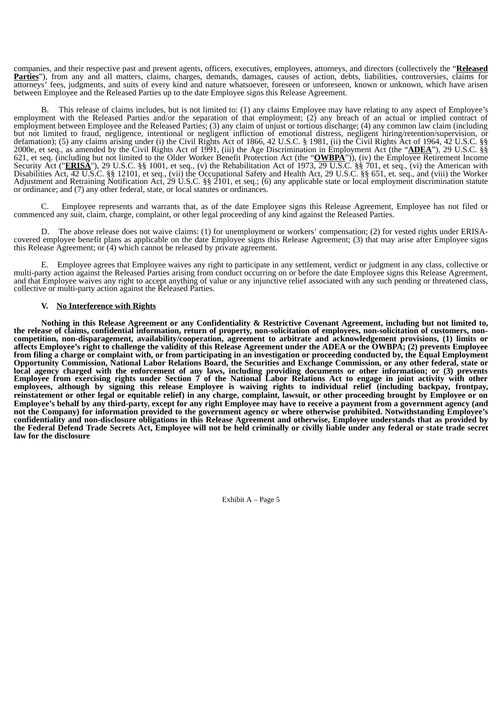companies, and their respective past and present agents, officers, executives, employees, attorneys, and directors (collectively the "**Released Parties**"), from any and all matters, claims, charges, demands, damages, causes of action, debts, liabilities, controversies, claims for attorneys' fees, judgments, and suits of every kind and nature whatsoever, foreseen or unforeseen, known or unknown, which have arisen between Employee and the Released Parties up to the date Employee signs this Release Agreement.

B. This release of claims includes, but is not limited to: (1) any claims Employee may have relating to any aspect of Employee's employment with the Released Parties and/or the separation of that employment; (2) any breach of an actual or implied contract of employment between Employee and the Released Parties; (3) any claim of unjust or tortious discharge; (4) any common law claim (including but not limited to fraud, negligence, intentional or negligent infliction of emotional distress, negligent hiring/retention/supervision, or defamation); (5) any claims arising under (i) the Civil Rights Act of 1866, 42 U.S.C. § 1981, (ii) the Civil Rights Act of 1964, 42 U.S.C. §§ 2000e, et seq., as amended by the Civil Rights Act of 1991, (iii) the Age Discrimination in Employment Act (the "**ADEA**"), 29 U.S.C. §§ 621, et seq. (including but not limited to the Older Worker Benefit Protection Act (the "**OWBPA**")), (iv) the Employee Retirement Income Security Act ("ERISA"), 29 U.S.C. §§ 1001, et seq., (v) the Rehabilitation Act of 1973, 29 U.S.C. §§ 701, et seq., (vi) the American with Disabilities Act, 42 U.S.C. §§ 12101, et seq., (vii) the Occupational Safety and Health Act, 29 U.S.C. §§ 651, et. seq., and (viii) the Worker Adjustment and Retraining Notification Act, 29 U.S.C. §§ 2101, et seq.; (6) any applicable state or local employment discrimination statute or ordinance; and (7) any other federal, state, or local statutes or ordinances.

C. Employee represents and warrants that, as of the date Employee signs this Release Agreement, Employee has not filed or commenced any suit, claim, charge, complaint, or other legal proceeding of any kind against the Released Parties.

D. The above release does not waive claims: (1) for unemployment or workers' compensation; (2) for vested rights under ERISAcovered employee benefit plans as applicable on the date Employee signs this Release Agreement; (3) that may arise after Employee signs this Release Agreement; or (4) which cannot be released by private agreement.

E. Employee agrees that Employee waives any right to participate in any settlement, verdict or judgment in any class, collective or multi-party action against the Released Parties arising from conduct occurring on or before the date Employee signs this Release Agreement, and that Employee waives any right to accept anything of value or any injunctive relief associated with any such pending or threatened class, collective or multi-party action against the Released Parties.

### **V. No Interference with Rights**

Nothing in this Release Agreement or any Confidentiality & Restrictive Covenant Agreement, including but not limited to, the release of claims, confidential information, return of property, non-solicitation of employees, non-solicitation of customers, non**competition, non-disparagement, availability/cooperation, agreement to arbitrate and acknowledgement provisions, (1) limits or** affects Employee's right to challenge the validity of this Release Agreement under the ADEA or the OWBPA; (2) prevents Employee from filing a charge or complaint with, or from participating in an investigation or proceeding conducted by, the Equal Employment Opportunity Commission, National Labor Relations Board, the Securities and Exchange Commission, or any other federal, state or local agency charged with the enforcement of any laws, including providing documents or other information; or (3) prevents Employee from exercising rights under Section 7 of the National Labor Relations Act to engage in joint activity with other employees, although by signing this release Employee is waiving rights to individual relief (including backpay, frontpay, reinstatement or other legal or equitable relief) in any charge, complaint, lawsuit, or other proceeding brought by Employee or on Employee's behalf by any third-party, except for any right Employee may have to receive a payment from a government agency (and not the Company) for information provided to the government agency or where otherwise prohibited. Notwithstanding Employee's confidentiality and non-disclosure obligations in this Release Agreement and otherwise, Employee understands that as provided by the Federal Defend Trade Secrets Act, Employee will not be held criminally or civilly liable under any federal or state trade secret **law for the disclosure**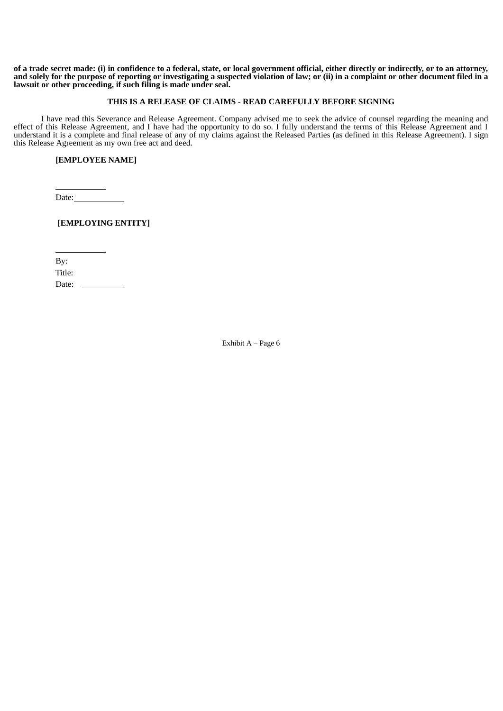of a trade secret made: (i) in confidence to a federal, state, or local government official, either directly or indirectly, or to an attorney, and solely for the purpose of reporting or investigating a suspected violation of law; or (ii) in a complaint or other document filed in a **lawsuit or other proceeding, if such filing is made under seal.**

### **THIS IS A RELEASE OF CLAIMS - READ CAREFULLY BEFORE SIGNING**

I have read this Severance and Release Agreement. Company advised me to seek the advice of counsel regarding the meaning and effect of this Release Agreement, and I have had the opportunity to do so. I fully understand the terms of this Release Agreement and I understand it is a complete and final release of any of my claims against the Released Parties (as defined in this Release Agreement). I sign this Release Agreement as my own free act and deed.

## **[EMPLOYEE NAME]**

Date:

**[EMPLOYING ENTITY]**

By: Title:

Date: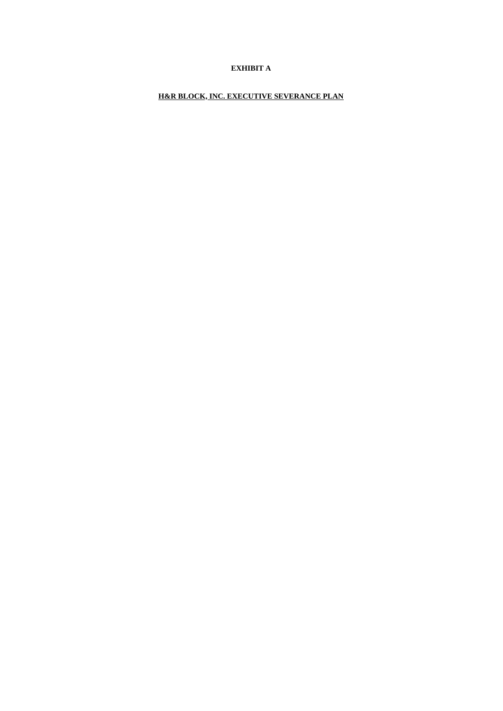## **EXHIBIT A**

**H&R BLOCK, INC. EXECUTIVE SEVERANCE PLAN**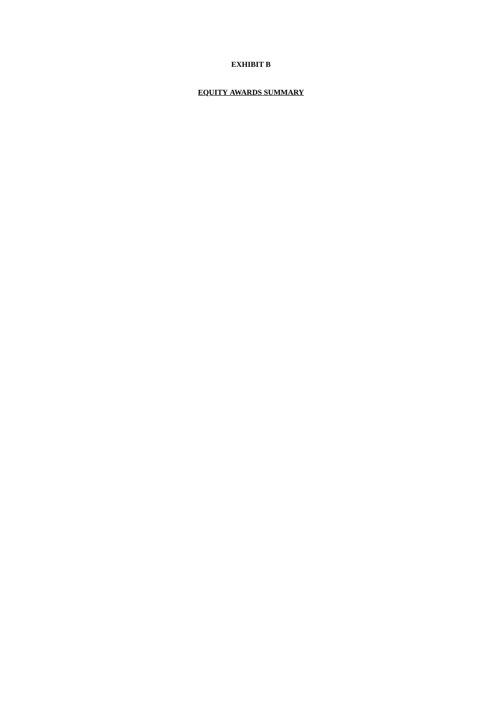## **EXHIBIT B**

## **EQUITY AWARDS SUMMARY**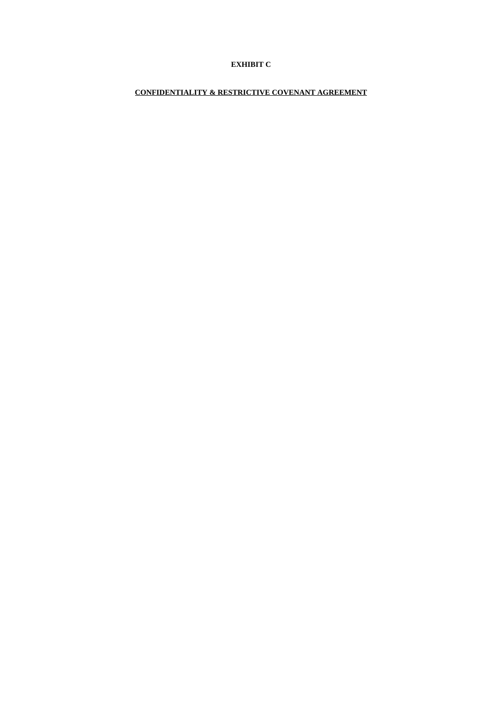## **EXHIBIT C**

**CONFIDENTIALITY & RESTRICTIVE COVENANT AGREEMENT**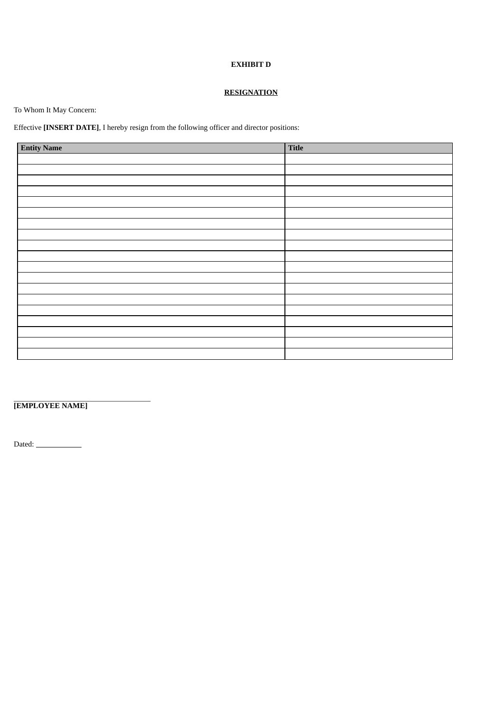## **EXHIBIT D**

## **RESIGNATION**

To Whom It May Concern:

Effective **[INSERT DATE]**, I hereby resign from the following officer and director positions:

| <b>Entity Name</b> | Title |
|--------------------|-------|
|                    |       |
|                    |       |
|                    |       |
|                    |       |
|                    |       |
|                    |       |
|                    |       |
|                    |       |
|                    |       |
|                    |       |
|                    |       |
|                    |       |
|                    |       |
|                    |       |
|                    |       |
|                    |       |
|                    |       |
|                    |       |
|                    |       |

\_\_\_\_\_\_\_\_\_\_\_\_\_\_\_\_\_\_\_\_\_\_\_\_\_\_\_\_\_\_\_\_\_\_\_\_ **[EMPLOYEE NAME]**

Dated: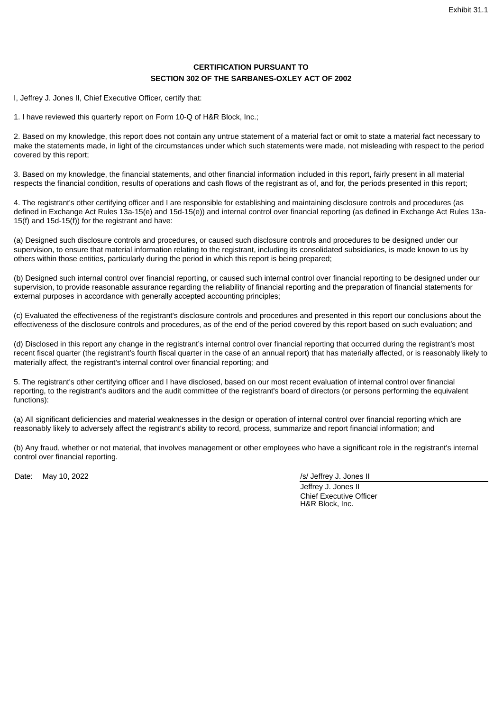## **CERTIFICATION PURSUANT TO SECTION 302 OF THE SARBANES-OXLEY ACT OF 2002**

<span id="page-54-0"></span>I, Jeffrey J. Jones II, Chief Executive Officer, certify that:

1. I have reviewed this quarterly report on Form 10-Q of H&R Block, Inc.;

2. Based on my knowledge, this report does not contain any untrue statement of a material fact or omit to state a material fact necessary to make the statements made, in light of the circumstances under which such statements were made, not misleading with respect to the period covered by this report;

3. Based on my knowledge, the financial statements, and other financial information included in this report, fairly present in all material respects the financial condition, results of operations and cash flows of the registrant as of, and for, the periods presented in this report;

4. The registrant's other certifying officer and I are responsible for establishing and maintaining disclosure controls and procedures (as defined in Exchange Act Rules 13a-15(e) and 15d-15(e)) and internal control over financial reporting (as defined in Exchange Act Rules 13a-15(f) and 15d-15(f)) for the registrant and have:

(a) Designed such disclosure controls and procedures, or caused such disclosure controls and procedures to be designed under our supervision, to ensure that material information relating to the registrant, including its consolidated subsidiaries, is made known to us by others within those entities, particularly during the period in which this report is being prepared;

(b) Designed such internal control over financial reporting, or caused such internal control over financial reporting to be designed under our supervision, to provide reasonable assurance regarding the reliability of financial reporting and the preparation of financial statements for external purposes in accordance with generally accepted accounting principles;

(c) Evaluated the effectiveness of the registrant's disclosure controls and procedures and presented in this report our conclusions about the effectiveness of the disclosure controls and procedures, as of the end of the period covered by this report based on such evaluation; and

(d) Disclosed in this report any change in the registrant's internal control over financial reporting that occurred during the registrant's most recent fiscal quarter (the registrant's fourth fiscal quarter in the case of an annual report) that has materially affected, or is reasonably likely to materially affect, the registrant's internal control over financial reporting; and

5. The registrant's other certifying officer and I have disclosed, based on our most recent evaluation of internal control over financial reporting, to the registrant's auditors and the audit committee of the registrant's board of directors (or persons performing the equivalent functions):

(a) All significant deficiencies and material weaknesses in the design or operation of internal control over financial reporting which are reasonably likely to adversely affect the registrant's ability to record, process, summarize and report financial information; and

(b) Any fraud, whether or not material, that involves management or other employees who have a significant role in the registrant's internal control over financial reporting.

Date: May 10, 2022 *Date:* May 10, 2022 *Date:* May 10, 2022

Jeffrey J. Jones II

Chief Executive Officer H&R Block, Inc.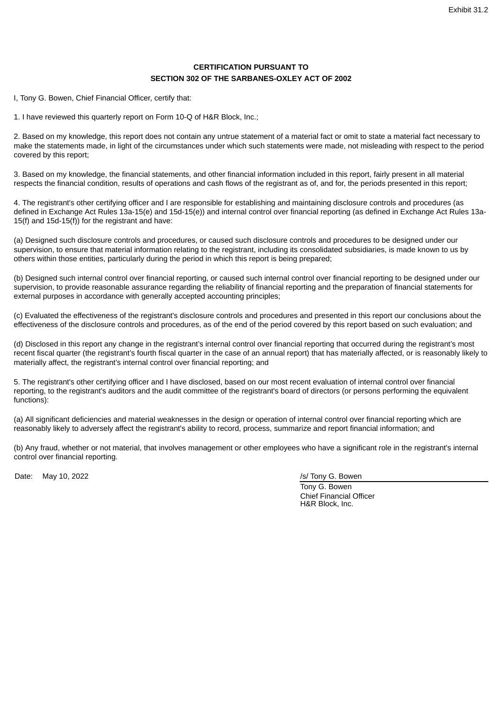## **CERTIFICATION PURSUANT TO SECTION 302 OF THE SARBANES-OXLEY ACT OF 2002**

<span id="page-55-0"></span>I, Tony G. Bowen, Chief Financial Officer, certify that:

1. I have reviewed this quarterly report on Form 10-Q of H&R Block, Inc.;

2. Based on my knowledge, this report does not contain any untrue statement of a material fact or omit to state a material fact necessary to make the statements made, in light of the circumstances under which such statements were made, not misleading with respect to the period covered by this report;

3. Based on my knowledge, the financial statements, and other financial information included in this report, fairly present in all material respects the financial condition, results of operations and cash flows of the registrant as of, and for, the periods presented in this report;

4. The registrant's other certifying officer and I are responsible for establishing and maintaining disclosure controls and procedures (as defined in Exchange Act Rules 13a-15(e) and 15d-15(e)) and internal control over financial reporting (as defined in Exchange Act Rules 13a-15(f) and 15d-15(f)) for the registrant and have:

(a) Designed such disclosure controls and procedures, or caused such disclosure controls and procedures to be designed under our supervision, to ensure that material information relating to the registrant, including its consolidated subsidiaries, is made known to us by others within those entities, particularly during the period in which this report is being prepared;

(b) Designed such internal control over financial reporting, or caused such internal control over financial reporting to be designed under our supervision, to provide reasonable assurance regarding the reliability of financial reporting and the preparation of financial statements for external purposes in accordance with generally accepted accounting principles;

(c) Evaluated the effectiveness of the registrant's disclosure controls and procedures and presented in this report our conclusions about the effectiveness of the disclosure controls and procedures, as of the end of the period covered by this report based on such evaluation; and

(d) Disclosed in this report any change in the registrant's internal control over financial reporting that occurred during the registrant's most recent fiscal quarter (the registrant's fourth fiscal quarter in the case of an annual report) that has materially affected, or is reasonably likely to materially affect, the registrant's internal control over financial reporting; and

5. The registrant's other certifying officer and I have disclosed, based on our most recent evaluation of internal control over financial reporting, to the registrant's auditors and the audit committee of the registrant's board of directors (or persons performing the equivalent functions):

(a) All significant deficiencies and material weaknesses in the design or operation of internal control over financial reporting which are reasonably likely to adversely affect the registrant's ability to record, process, summarize and report financial information; and

(b) Any fraud, whether or not material, that involves management or other employees who have a significant role in the registrant's internal control over financial reporting.

Date: May 10, 2022 *Date:* May 10, 2022 *Date:* May 10, 2022

Tony G. Bowen Chief Financial Officer H&R Block, Inc.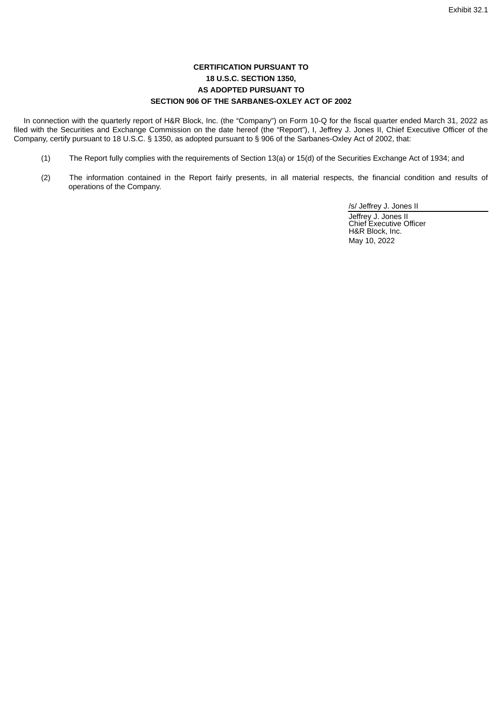## **CERTIFICATION PURSUANT TO 18 U.S.C. SECTION 1350, AS ADOPTED PURSUANT TO SECTION 906 OF THE SARBANES-OXLEY ACT OF 2002**

<span id="page-56-0"></span>In connection with the quarterly report of H&R Block, Inc. (the "Company") on Form 10‑Q for the fiscal quarter ended March 31, 2022 as filed with the Securities and Exchange Commission on the date hereof (the "Report"), I, Jeffrey J. Jones II, Chief Executive Officer of the Company, certify pursuant to 18 U.S.C. § 1350, as adopted pursuant to § 906 of the Sarbanes-Oxley Act of 2002, that:

- (1) The Report fully complies with the requirements of Section 13(a) or 15(d) of the Securities Exchange Act of 1934; and
- (2) The information contained in the Report fairly presents, in all material respects, the financial condition and results of operations of the Company.

/s/ Jeffrey J. Jones II

Jeffrey J. Jones II Chief Executive Officer H&R Block, Inc. May 10, 2022